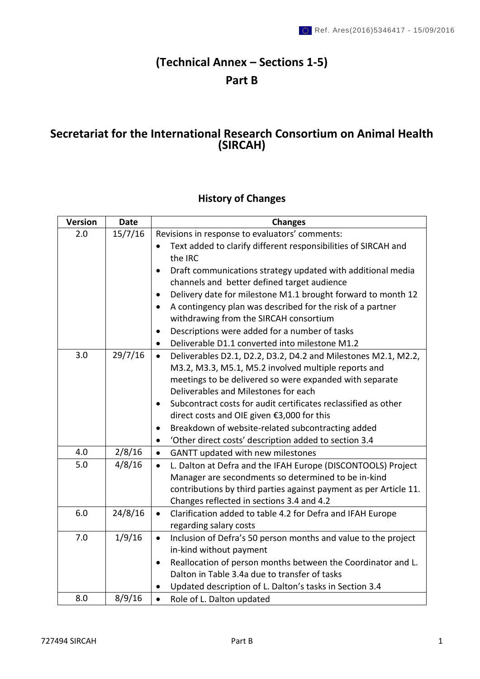# **(Technical Annex – Sections 1-5) Part B**

## **Secretariat for the International Research Consortium on Animal Health (SIRCAH)**

## **History of Changes**

| <b>Version</b> | <b>Date</b> | <b>Changes</b>                                                                                                                                                                                 |
|----------------|-------------|------------------------------------------------------------------------------------------------------------------------------------------------------------------------------------------------|
| 2.0            | 15/7/16     | Revisions in response to evaluators' comments:                                                                                                                                                 |
|                |             | Text added to clarify different responsibilities of SIRCAH and<br>$\bullet$<br>the IRC                                                                                                         |
|                |             | Draft communications strategy updated with additional media<br>$\bullet$                                                                                                                       |
|                |             | channels and better defined target audience                                                                                                                                                    |
|                |             | Delivery date for milestone M1.1 brought forward to month 12<br>$\bullet$                                                                                                                      |
|                |             | A contingency plan was described for the risk of a partner<br>$\bullet$                                                                                                                        |
|                |             | withdrawing from the SIRCAH consortium                                                                                                                                                         |
|                |             | Descriptions were added for a number of tasks<br>$\bullet$                                                                                                                                     |
|                |             | Deliverable D1.1 converted into milestone M1.2<br>$\bullet$                                                                                                                                    |
| 3.0            | 29/7/16     | Deliverables D2.1, D2.2, D3.2, D4.2 and Milestones M2.1, M2.2,<br>$\bullet$<br>M3.2, M3.3, M5.1, M5.2 involved multiple reports and<br>meetings to be delivered so were expanded with separate |
|                |             | Deliverables and Milestones for each                                                                                                                                                           |
|                |             | Subcontract costs for audit certificates reclassified as other<br>٠                                                                                                                            |
|                |             | direct costs and OIE given €3,000 for this                                                                                                                                                     |
|                |             | Breakdown of website-related subcontracting added<br>$\bullet$                                                                                                                                 |
|                |             | 'Other direct costs' description added to section 3.4<br>$\bullet$                                                                                                                             |
| 4.0            | 2/8/16      | GANTT updated with new milestones<br>$\bullet$                                                                                                                                                 |
| 5.0            | 4/8/16      | L. Dalton at Defra and the IFAH Europe (DISCONTOOLS) Project<br>$\bullet$                                                                                                                      |
|                |             | Manager are secondments so determined to be in-kind                                                                                                                                            |
|                |             | contributions by third parties against payment as per Article 11.                                                                                                                              |
|                |             | Changes reflected in sections 3.4 and 4.2                                                                                                                                                      |
| 6.0            | 24/8/16     | Clarification added to table 4.2 for Defra and IFAH Europe<br>$\bullet$<br>regarding salary costs                                                                                              |
| 7.0            | 1/9/16      | Inclusion of Defra's 50 person months and value to the project<br>$\bullet$                                                                                                                    |
|                |             | in-kind without payment                                                                                                                                                                        |
|                |             | Reallocation of person months between the Coordinator and L.<br>$\bullet$                                                                                                                      |
|                |             | Dalton in Table 3.4a due to transfer of tasks                                                                                                                                                  |
|                |             | Updated description of L. Dalton's tasks in Section 3.4<br>$\bullet$                                                                                                                           |
| 8.0            | 8/9/16      | Role of L. Dalton updated<br>$\bullet$                                                                                                                                                         |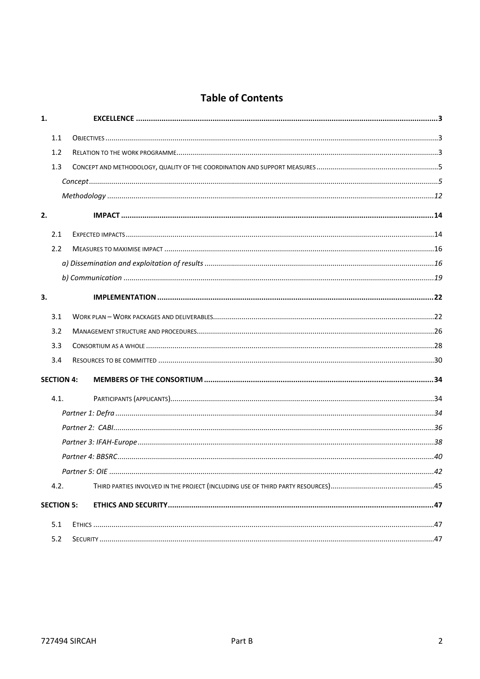## **Table of Contents**

| 1. |                   |                  |    |
|----|-------------------|------------------|----|
|    | 1.1               |                  |    |
|    | 1.2               |                  |    |
|    | 1.3               |                  |    |
|    |                   |                  |    |
|    |                   |                  |    |
| 2. |                   |                  |    |
|    | 2.1               |                  |    |
|    | 2.2               |                  |    |
|    |                   |                  |    |
|    |                   |                  |    |
| 3. |                   |                  |    |
|    | 3.1               |                  |    |
|    | 3.2               |                  |    |
|    | 3.3               |                  |    |
|    | 3.4               |                  |    |
|    | <b>SECTION 4:</b> |                  |    |
|    | 4.1.              |                  |    |
|    |                   |                  |    |
|    |                   |                  |    |
|    |                   |                  |    |
|    |                   |                  |    |
|    |                   | Partner $5:$ OIF | 42 |
|    | 4.2.              |                  |    |
|    | <b>SECTION 5:</b> |                  |    |
|    | 5.1               |                  |    |
|    | 5.2               |                  |    |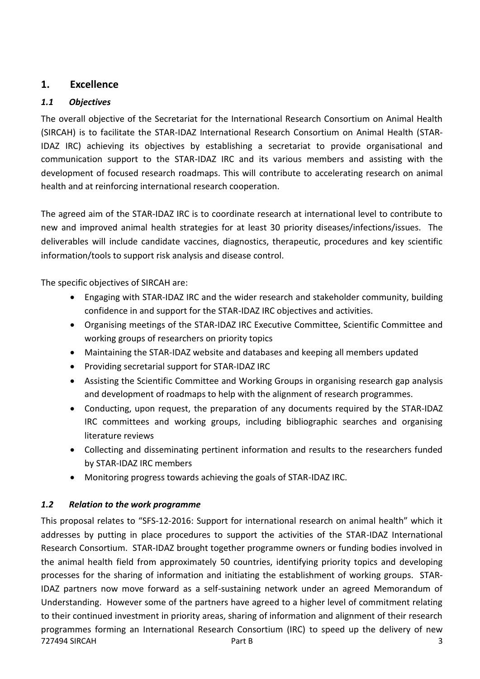## <span id="page-2-0"></span>**1. Excellence**

## <span id="page-2-1"></span>*1.1 Objectives*

The overall objective of the Secretariat for the International Research Consortium on Animal Health (SIRCAH) is to facilitate the STAR-IDAZ International Research Consortium on Animal Health (STAR-IDAZ IRC) achieving its objectives by establishing a secretariat to provide organisational and communication support to the STAR-IDAZ IRC and its various members and assisting with the development of focused research roadmaps. This will contribute to accelerating research on animal health and at reinforcing international research cooperation.

The agreed aim of the STAR-IDAZ IRC is to coordinate research at international level to contribute to new and improved animal health strategies for at least 30 priority diseases/infections/issues. The deliverables will include candidate vaccines, diagnostics, therapeutic, procedures and key scientific information/tools to support risk analysis and disease control.

The specific objectives of SIRCAH are:

- Engaging with STAR-IDAZ IRC and the wider research and stakeholder community, building confidence in and support for the STAR-IDAZ IRC objectives and activities.
- Organising meetings of the STAR-IDAZ IRC Executive Committee, Scientific Committee and working groups of researchers on priority topics
- Maintaining the STAR-IDAZ website and databases and keeping all members updated
- Providing secretarial support for STAR-IDAZ IRC
- Assisting the Scientific Committee and Working Groups in organising research gap analysis and development of roadmaps to help with the alignment of research programmes.
- Conducting, upon request, the preparation of any documents required by the STAR-IDAZ IRC committees and working groups, including bibliographic searches and organising literature reviews
- Collecting and disseminating pertinent information and results to the researchers funded by STAR-IDAZ IRC members
- Monitoring progress towards achieving the goals of STAR-IDAZ IRC.

## <span id="page-2-2"></span>*1.2 Relation to the work programme*

The Part B 3 and SIRCAH 3 This proposal relates to "SFS-12-2016: Support for international research on animal health" which it addresses by putting in place procedures to support the activities of the STAR-IDAZ International Research Consortium. STAR-IDAZ brought together programme owners or funding bodies involved in the animal health field from approximately 50 countries, identifying priority topics and developing processes for the sharing of information and initiating the establishment of working groups. STAR-IDAZ partners now move forward as a self-sustaining network under an agreed Memorandum of Understanding. However some of the partners have agreed to a higher level of commitment relating to their continued investment in priority areas, sharing of information and alignment of their research programmes forming an International Research Consortium (IRC) to speed up the delivery of new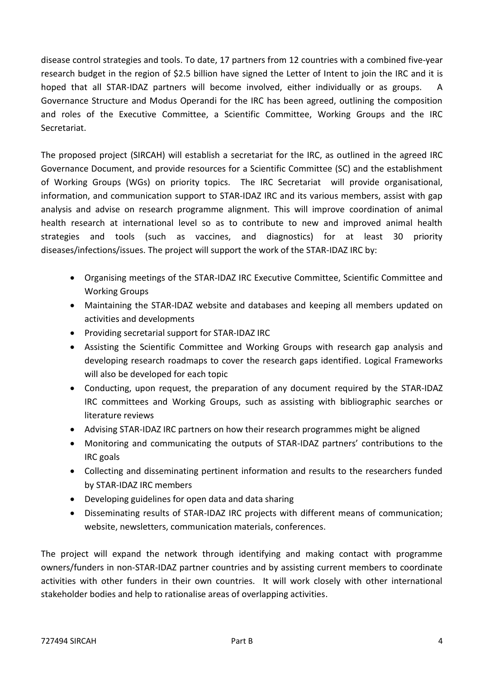disease control strategies and tools. To date, 17 partners from 12 countries with a combined five-year research budget in the region of \$2.5 billion have signed the Letter of Intent to join the IRC and it is hoped that all STAR-IDAZ partners will become involved, either individually or as groups. A Governance Structure and Modus Operandi for the IRC has been agreed, outlining the composition and roles of the Executive Committee, a Scientific Committee, Working Groups and the IRC Secretariat.

The proposed project (SIRCAH) will establish a secretariat for the IRC, as outlined in the agreed IRC Governance Document, and provide resources for a Scientific Committee (SC) and the establishment of Working Groups (WGs) on priority topics. The IRC Secretariat will provide organisational, information, and communication support to STAR-IDAZ IRC and its various members, assist with gap analysis and advise on research programme alignment. This will improve coordination of animal health research at international level so as to contribute to new and improved animal health strategies and tools (such as vaccines, and diagnostics) for at least 30 priority diseases/infections/issues. The project will support the work of the STAR-IDAZ IRC by:

- Organising meetings of the STAR-IDAZ IRC Executive Committee, Scientific Committee and Working Groups
- Maintaining the STAR-IDAZ website and databases and keeping all members updated on activities and developments
- Providing secretarial support for STAR-IDAZ IRC
- Assisting the Scientific Committee and Working Groups with research gap analysis and developing research roadmaps to cover the research gaps identified. Logical Frameworks will also be developed for each topic
- Conducting, upon request, the preparation of any document required by the STAR-IDAZ IRC committees and Working Groups, such as assisting with bibliographic searches or literature reviews
- Advising STAR-IDAZ IRC partners on how their research programmes might be aligned
- Monitoring and communicating the outputs of STAR-IDAZ partners' contributions to the IRC goals
- Collecting and disseminating pertinent information and results to the researchers funded by STAR-IDAZ IRC members
- Developing guidelines for open data and data sharing
- Disseminating results of STAR-IDAZ IRC projects with different means of communication; website, newsletters, communication materials, conferences.

The project will expand the network through identifying and making contact with programme owners/funders in non-STAR-IDAZ partner countries and by assisting current members to coordinate activities with other funders in their own countries. It will work closely with other international stakeholder bodies and help to rationalise areas of overlapping activities.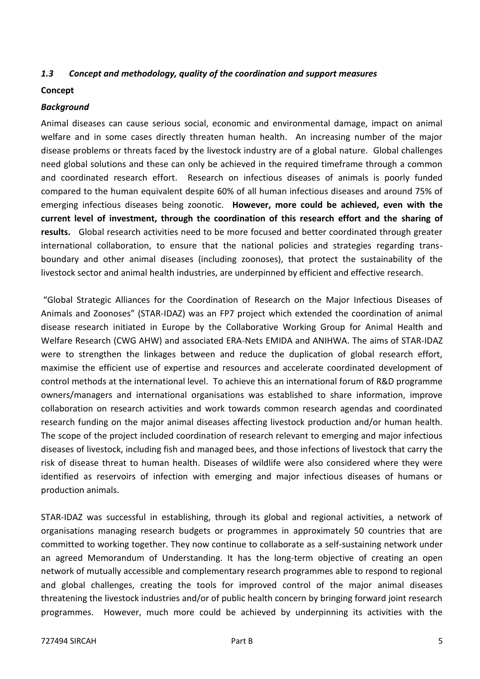#### <span id="page-4-0"></span>*1.3 Concept and methodology, quality of the coordination and support measures*

#### <span id="page-4-1"></span>**Concept**

#### *Background*

Animal diseases can cause serious social, economic and environmental damage, impact on animal welfare and in some cases directly threaten human health. An increasing number of the major disease problems or threats faced by the livestock industry are of a global nature. Global challenges need global solutions and these can only be achieved in the required timeframe through a common and coordinated research effort. Research on infectious diseases of animals is poorly funded compared to the human equivalent despite 60% of all human infectious diseases and around 75% of emerging infectious diseases being zoonotic. **However, more could be achieved, even with the current level of investment, through the coordination of this research effort and the sharing of results.** Global research activities need to be more focused and better coordinated through greater international collaboration, to ensure that the national policies and strategies regarding transboundary and other animal diseases (including zoonoses), that protect the sustainability of the livestock sector and animal health industries, are underpinned by efficient and effective research.

"Global Strategic Alliances for the Coordination of Research on the Major Infectious Diseases of Animals and Zoonoses" (STAR-IDAZ) was an FP7 project which extended the coordination of animal disease research initiated in Europe by the Collaborative Working Group for Animal Health and Welfare Research (CWG AHW) and associated ERA-Nets EMIDA and ANIHWA. The aims of STAR-IDAZ were to strengthen the linkages between and reduce the duplication of global research effort, maximise the efficient use of expertise and resources and accelerate coordinated development of control methods at the international level. To achieve this an international forum of R&D programme owners/managers and international organisations was established to share information, improve collaboration on research activities and work towards common research agendas and coordinated research funding on the major animal diseases affecting livestock production and/or human health. The scope of the project included coordination of research relevant to emerging and major infectious diseases of livestock, including fish and managed bees, and those infections of livestock that carry the risk of disease threat to human health. Diseases of wildlife were also considered where they were identified as reservoirs of infection with emerging and major infectious diseases of humans or production animals.

STAR-IDAZ was successful in establishing, through its global and regional activities, a network of organisations managing research budgets or programmes in approximately 50 countries that are committed to working together. They now continue to collaborate as a self-sustaining network under an agreed Memorandum of Understanding. It has the long-term objective of creating an open network of mutually accessible and complementary research programmes able to respond to regional and global challenges, creating the tools for improved control of the major animal diseases threatening the livestock industries and/or of public health concern by bringing forward joint research programmes. However, much more could be achieved by underpinning its activities with the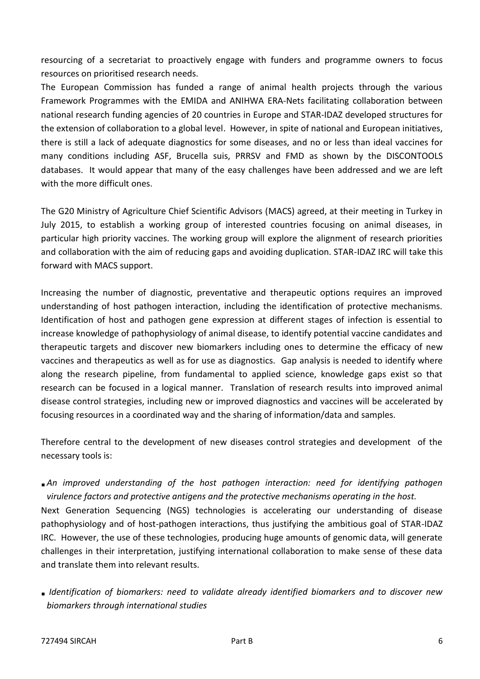resourcing of a secretariat to proactively engage with funders and programme owners to focus resources on prioritised research needs.

The European Commission has funded a range of animal health projects through the various Framework Programmes with the EMIDA and ANIHWA ERA-Nets facilitating collaboration between national research funding agencies of 20 countries in Europe and STAR-IDAZ developed structures for the extension of collaboration to a global level. However, in spite of national and European initiatives, there is still a lack of adequate diagnostics for some diseases, and no or less than ideal vaccines for many conditions including ASF, Brucella suis, PRRSV and FMD as shown by the DISCONTOOLS databases. It would appear that many of the easy challenges have been addressed and we are left with the more difficult ones.

The G20 Ministry of Agriculture Chief Scientific Advisors (MACS) agreed, at their meeting in Turkey in July 2015, to establish a working group of interested countries focusing on animal diseases, in particular high priority vaccines. The working group will explore the alignment of research priorities and collaboration with the aim of reducing gaps and avoiding duplication. STAR-IDAZ IRC will take this forward with MACS support.

Increasing the number of diagnostic, preventative and therapeutic options requires an improved understanding of host pathogen interaction, including the identification of protective mechanisms. Identification of host and pathogen gene expression at different stages of infection is essential to increase knowledge of pathophysiology of animal disease, to identify potential vaccine candidates and therapeutic targets and discover new biomarkers including ones to determine the efficacy of new vaccines and therapeutics as well as for use as diagnostics. Gap analysis is needed to identify where along the research pipeline, from fundamental to applied science, knowledge gaps exist so that research can be focused in a logical manner. Translation of research results into improved animal disease control strategies, including new or improved diagnostics and vaccines will be accelerated by focusing resources in a coordinated way and the sharing of information/data and samples.

Therefore central to the development of new diseases control strategies and development of the necessary tools is:

 *An improved understanding of the host pathogen interaction: need for identifying pathogen virulence factors and protective antigens and the protective mechanisms operating in the host.* 

Next Generation Sequencing (NGS) technologies is accelerating our understanding of disease pathophysiology and of host-pathogen interactions, thus justifying the ambitious goal of STAR-IDAZ IRC. However, the use of these technologies, producing huge amounts of genomic data, will generate challenges in their interpretation, justifying international collaboration to make sense of these data and translate them into relevant results.

 *Identification of biomarkers: need to validate already identified biomarkers and to discover new biomarkers through international studies*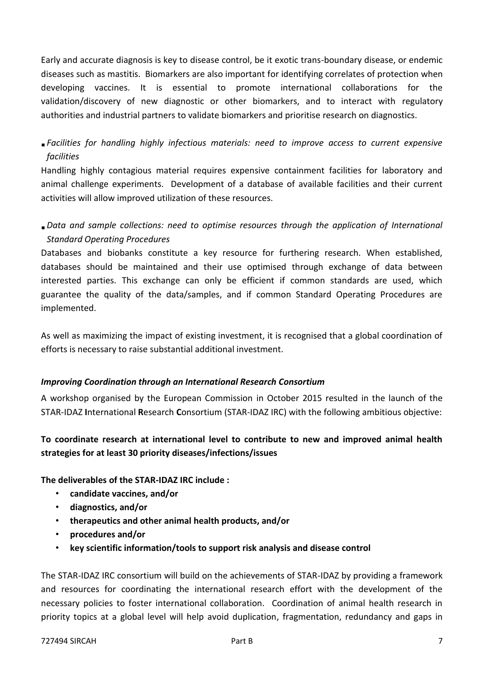Early and accurate diagnosis is key to disease control, be it exotic trans-boundary disease, or endemic diseases such as mastitis. Biomarkers are also important for identifying correlates of protection when developing vaccines. It is essential to promote international collaborations for the validation/discovery of new diagnostic or other biomarkers, and to interact with regulatory authorities and industrial partners to validate biomarkers and prioritise research on diagnostics.

 *Facilities for handling highly infectious materials: need to improve access to current expensive facilities* 

Handling highly contagious material requires expensive containment facilities for laboratory and animal challenge experiments. Development of a database of available facilities and their current activities will allow improved utilization of these resources.

*Data and sample collections: need to optimise resources through the application of International Standard Operating Procedures* 

Databases and biobanks constitute a key resource for furthering research. When established, databases should be maintained and their use optimised through exchange of data between interested parties. This exchange can only be efficient if common standards are used, which guarantee the quality of the data/samples, and if common Standard Operating Procedures are implemented.

As well as maximizing the impact of existing investment, it is recognised that a global coordination of efforts is necessary to raise substantial additional investment.

#### *Improving Coordination through an International Research Consortium*

A workshop organised by the European Commission in October 2015 resulted in the launch of the STAR-IDAZ **I**nternational **R**esearch **C**onsortium (STAR-IDAZ IRC) with the following ambitious objective:

## **To coordinate research at international level to contribute to new and improved animal health strategies for at least 30 priority diseases/infections/issues**

**The deliverables of the STAR-IDAZ IRC include :**

- **candidate vaccines, and/or**
- **diagnostics, and/or**
- **therapeutics and other animal health products, and/or**
- **procedures and/or**
- **key scientific information/tools to support risk analysis and disease control**

The STAR-IDAZ IRC consortium will build on the achievements of STAR-IDAZ by providing a framework and resources for coordinating the international research effort with the development of the necessary policies to foster international collaboration. Coordination of animal health research in priority topics at a global level will help avoid duplication, fragmentation, redundancy and gaps in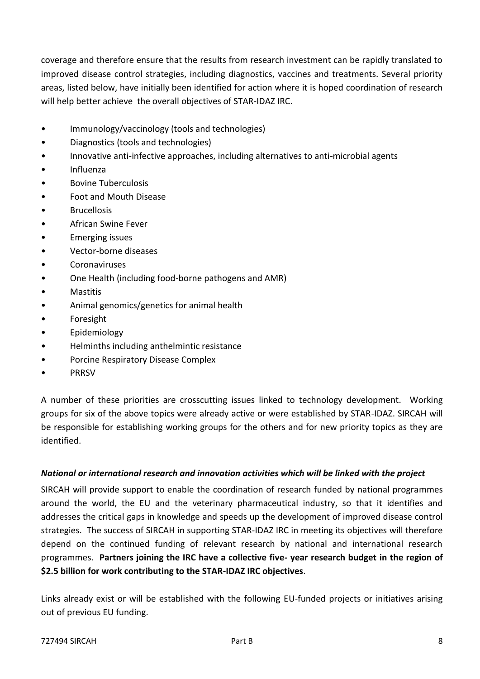coverage and therefore ensure that the results from research investment can be rapidly translated to improved disease control strategies, including diagnostics, vaccines and treatments. Several priority areas, listed below, have initially been identified for action where it is hoped coordination of research will help better achieve the overall objectives of STAR-IDAZ IRC.

- Immunology/vaccinology (tools and technologies)
- Diagnostics (tools and technologies)
- Innovative anti-infective approaches, including alternatives to anti-microbial agents
- Influenza
- Bovine Tuberculosis
- Foot and Mouth Disease
- **Brucellosis**
- African Swine Fever
- Emerging issues
- Vector-borne diseases
- Coronaviruses
- One Health (including food-borne pathogens and AMR)
- Mastitis
- Animal genomics/genetics for animal health
- **Foresight**
- Epidemiology
- Helminths including anthelmintic resistance
- Porcine Respiratory Disease Complex
- **PRRSV**

A number of these priorities are crosscutting issues linked to technology development. Working groups for six of the above topics were already active or were established by STAR-IDAZ. SIRCAH will be responsible for establishing working groups for the others and for new priority topics as they are identified.

#### *National or international research and innovation activities which will be linked with the project*

SIRCAH will provide support to enable the coordination of research funded by national programmes around the world, the EU and the veterinary pharmaceutical industry, so that it identifies and addresses the critical gaps in knowledge and speeds up the development of improved disease control strategies. The success of SIRCAH in supporting STAR-IDAZ IRC in meeting its objectives will therefore depend on the continued funding of relevant research by national and international research programmes. **Partners joining the IRC have a collective five- year research budget in the region of \$2.5 billion for work contributing to the STAR-IDAZ IRC objectives**.

Links already exist or will be established with the following EU-funded projects or initiatives arising out of previous EU funding.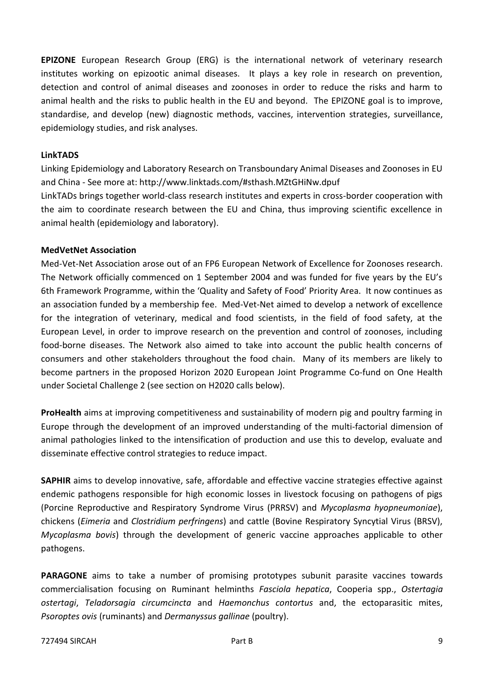**EPIZONE** European Research Group (ERG) is the international network of veterinary research institutes working on epizootic animal diseases. It plays a key role in research on prevention, detection and control of animal diseases and zoonoses in order to reduce the risks and harm to animal health and the risks to public health in the EU and beyond. The EPIZONE goal is to improve, standardise, and develop (new) diagnostic methods, vaccines, intervention strategies, surveillance, epidemiology studies, and risk analyses.

#### **LinkTADS**

Linking Epidemiology and Laboratory Research on Transboundary Animal Diseases and Zoonoses in EU and China - See more at: http://www.linktads.com/#sthash.MZtGHiNw.dpuf

LinkTADs brings together world-class research institutes and experts in cross-border cooperation with the aim to coordinate research between the EU and China, thus improving scientific excellence in animal health (epidemiology and laboratory).

#### **MedVetNet Association**

Med-Vet-Net Association arose out of an FP6 European Network of Excellence for Zoonoses research. The Network officially commenced on 1 September 2004 and was funded for five years by the EU's 6th Framework Programme, within the 'Quality and Safety of Food' Priority Area. It now continues as an association funded by a membership fee. Med-Vet-Net aimed to develop a network of excellence for the integration of veterinary, medical and food scientists, in the field of food safety, at the European Level, in order to improve research on the prevention and control of zoonoses, including food-borne diseases. The Network also aimed to take into account the public health concerns of consumers and other stakeholders throughout the food chain. Many of its members are likely to become partners in the proposed Horizon 2020 European Joint Programme Co-fund on One Health under Societal Challenge 2 (see section on H2020 calls below).

**ProHealth** aims at improving competitiveness and sustainability of modern pig and poultry farming in Europe through the development of an improved understanding of the multi-factorial dimension of animal pathologies linked to the intensification of production and use this to develop, evaluate and disseminate effective control strategies to reduce impact.

**SAPHIR** aims to develop innovative, safe, affordable and effective vaccine strategies effective against endemic pathogens responsible for high economic losses in livestock focusing on pathogens of pigs (Porcine Reproductive and Respiratory Syndrome Virus (PRRSV) and *Mycoplasma hyopneumoniae*), chickens (*Eimeria* and *Clostridium perfringens*) and cattle (Bovine Respiratory Syncytial Virus (BRSV), *Mycoplasma bovis*) through the development of generic vaccine approaches applicable to other pathogens.

**PARAGONE** aims to take a number of promising prototypes subunit parasite vaccines towards commercialisation focusing on Ruminant helminths *Fasciola hepatica*, Cooperia spp., *Ostertagia ostertagi*, *Teladorsagia circumcincta* and *Haemonchus contortus* and, the ectoparasitic mites, *Psoroptes ovis* (ruminants) and *Dermanyssus gallinae* (poultry).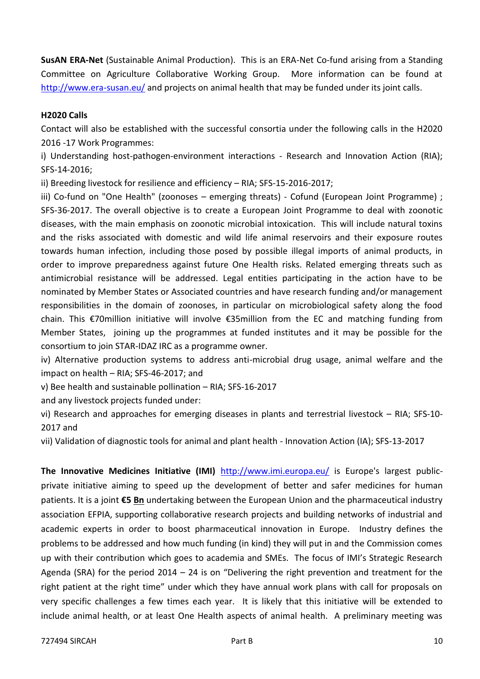**SusAN ERA-Net** (Sustainable Animal Production). This is an ERA-Net Co-fund arising from a Standing Committee on Agriculture Collaborative Working Group. More information can be found at <http://www.era-susan.eu/> and projects on animal health that may be funded under its joint calls.

#### **H2020 Calls**

Contact will also be established with the successful consortia under the following calls in the H2020 2016 -17 Work Programmes:

i) Understanding host-pathogen-environment interactions - Research and Innovation Action (RIA); SFS-14-2016;

ii) Breeding livestock for resilience and efficiency – RIA; SFS-15-2016-2017;

iii) Co-fund on "One Health" (zoonoses – emerging threats) - Cofund (European Joint Programme) ; SFS-36-2017. The overall objective is to create a European Joint Programme to deal with zoonotic diseases, with the main emphasis on zoonotic microbial intoxication. This will include natural toxins and the risks associated with domestic and wild life animal reservoirs and their exposure routes towards human infection, including those posed by possible illegal imports of animal products, in order to improve preparedness against future One Health risks. Related emerging threats such as antimicrobial resistance will be addressed. Legal entities participating in the action have to be nominated by Member States or Associated countries and have research funding and/or management responsibilities in the domain of zoonoses, in particular on microbiological safety along the food chain. This €70million initiative will involve €35million from the EC and matching funding from Member States, joining up the programmes at funded institutes and it may be possible for the consortium to join STAR-IDAZ IRC as a programme owner.

iv) Alternative production systems to address anti-microbial drug usage, animal welfare and the impact on health – RIA; SFS-46-2017; and

v) Bee health and sustainable pollination – RIA; SFS-16-2017

and any livestock projects funded under:

vi) Research and approaches for emerging diseases in plants and terrestrial livestock – RIA; SFS-10- 2017 and

vii) Validation of diagnostic tools for animal and plant health - Innovation Action (IA); SFS-13-2017

The Innovative Medicines Initiative (IMI) <http://www.imi.europa.eu/> is Europe's largest publicprivate initiative aiming to speed up the development of better and safer medicines for human patients. It is a joint **€5 Bn** undertaking between the European Union and the pharmaceutical industry association EFPIA, supporting collaborative research projects and building networks of industrial and academic experts in order to boost pharmaceutical innovation in Europe. Industry defines the problems to be addressed and how much funding (in kind) they will put in and the Commission comes up with their contribution which goes to academia and SMEs. The focus of IMI's Strategic Research Agenda (SRA) for the period 2014 – 24 is on "Delivering the right prevention and treatment for the right patient at the right time" under which they have annual work plans with call for proposals on very specific challenges a few times each year. It is likely that this initiative will be extended to include animal health, or at least One Health aspects of animal health. A preliminary meeting was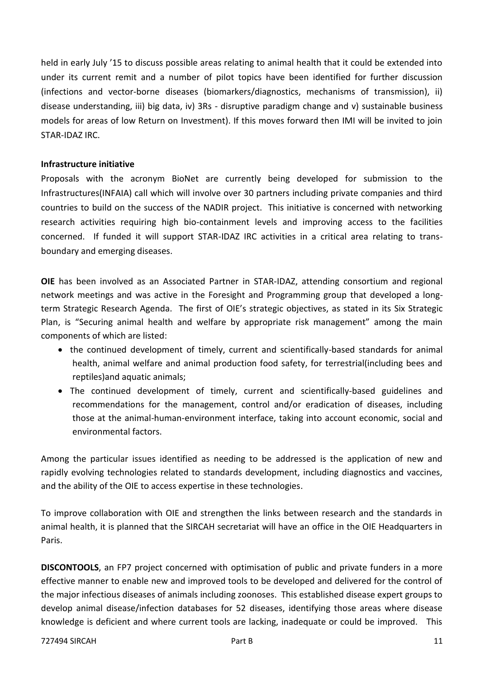held in early July '15 to discuss possible areas relating to animal health that it could be extended into under its current remit and a number of pilot topics have been identified for further discussion (infections and vector-borne diseases (biomarkers/diagnostics, mechanisms of transmission), ii) disease understanding, iii) big data, iv) 3Rs - disruptive paradigm change and v) sustainable business models for areas of low Return on Investment). If this moves forward then IMI will be invited to join STAR-IDAZ IRC.

#### **Infrastructure initiative**

Proposals with the acronym BioNet are currently being developed for submission to the Infrastructures(INFAIA) call which will involve over 30 partners including private companies and third countries to build on the success of the NADIR project. This initiative is concerned with networking research activities requiring high bio-containment levels and improving access to the facilities concerned. If funded it will support STAR-IDAZ IRC activities in a critical area relating to transboundary and emerging diseases.

**OIE** has been involved as an Associated Partner in STAR-IDAZ, attending consortium and regional network meetings and was active in the Foresight and Programming group that developed a longterm Strategic Research Agenda. The first of OIE's strategic objectives, as stated in its Six Strategic Plan, is "Securing animal health and welfare by appropriate risk management" among the main components of which are listed:

- the continued development of timely, current and scientifically-based standards for animal health, animal welfare and animal production food safety, for terrestrial(including bees and reptiles)and aquatic animals;
- The continued development of timely, current and scientifically-based guidelines and recommendations for the management, control and/or eradication of diseases, including those at the animal-human-environment interface, taking into account economic, social and environmental factors.

Among the particular issues identified as needing to be addressed is the application of new and rapidly evolving technologies related to standards development, including diagnostics and vaccines, and the ability of the OIE to access expertise in these technologies.

To improve collaboration with OIE and strengthen the links between research and the standards in animal health, it is planned that the SIRCAH secretariat will have an office in the OIE Headquarters in Paris.

**DISCONTOOLS**, an FP7 project concerned with optimisation of public and private funders in a more effective manner to enable new and improved tools to be developed and delivered for the control of the major infectious diseases of animals including zoonoses. This established disease expert groups to develop animal disease/infection databases for 52 diseases, identifying those areas where disease knowledge is deficient and where current tools are lacking, inadequate or could be improved. This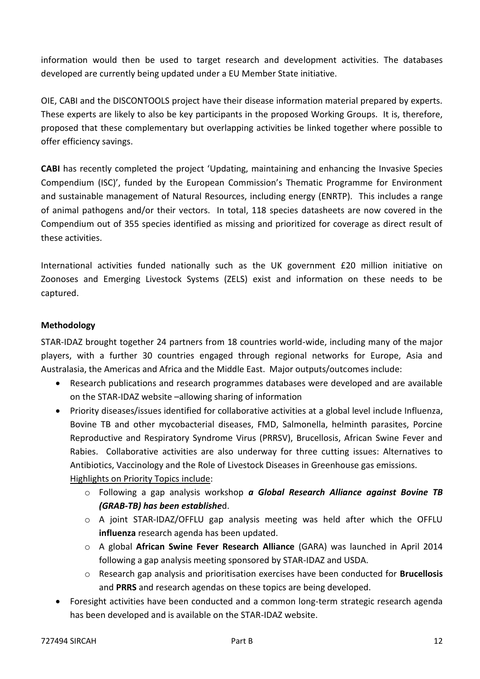information would then be used to target research and development activities. The databases developed are currently being updated under a EU Member State initiative.

OIE, CABI and the DISCONTOOLS project have their disease information material prepared by experts. These experts are likely to also be key participants in the proposed Working Groups. It is, therefore, proposed that these complementary but overlapping activities be linked together where possible to offer efficiency savings.

**CABI** has recently completed the project 'Updating, maintaining and enhancing the Invasive Species Compendium (ISC)', funded by the European Commission's Thematic Programme for Environment and sustainable management of Natural Resources, including energy (ENRTP). This includes a range of animal pathogens and/or their vectors. In total, 118 species datasheets are now covered in the Compendium out of 355 species identified as missing and prioritized for coverage as direct result of these activities.

International activities funded nationally such as the UK government £20 million initiative on Zoonoses and Emerging Livestock Systems (ZELS) exist and information on these needs to be captured.

#### <span id="page-11-0"></span>**Methodology**

STAR-IDAZ brought together 24 partners from 18 countries world-wide, including many of the major players, with a further 30 countries engaged through regional networks for Europe, Asia and Australasia, the Americas and Africa and the Middle East. Major outputs/outcomes include:

- Research publications and research programmes databases were developed and are available on the STAR-IDAZ website –allowing sharing of information
- Priority diseases/issues identified for collaborative activities at a global level include Influenza, Bovine TB and other mycobacterial diseases, FMD, Salmonella, helminth parasites, Porcine Reproductive and Respiratory Syndrome Virus (PRRSV), Brucellosis, African Swine Fever and Rabies. Collaborative activities are also underway for three cutting issues: Alternatives to Antibiotics, Vaccinology and the Role of Livestock Diseases in Greenhouse gas emissions. Highlights on Priority Topics include:
	- o Following a gap analysis workshop *a Global Research Alliance against Bovine TB (GRAB-TB) has been establishe*d.
	- $\circ$  A joint STAR-IDAZ/OFFLU gap analysis meeting was held after which the OFFLU **influenza** research agenda has been updated.
	- o A global **African Swine Fever Research Alliance** (GARA) was launched in April 2014 following a gap analysis meeting sponsored by STAR-IDAZ and USDA.
	- o Research gap analysis and prioritisation exercises have been conducted for **Brucellosis** and **PRRS** and research agendas on these topics are being developed.
- Foresight activities have been conducted and a common long-term strategic research agenda has been developed and is available on the STAR-IDAZ website.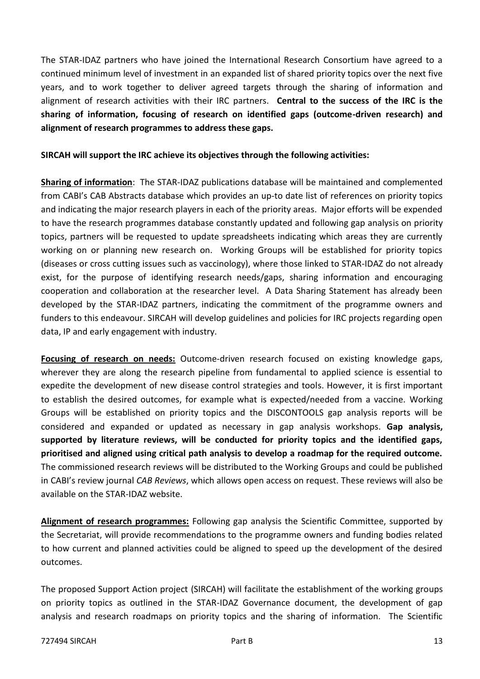The STAR-IDAZ partners who have joined the International Research Consortium have agreed to a continued minimum level of investment in an expanded list of shared priority topics over the next five years, and to work together to deliver agreed targets through the sharing of information and alignment of research activities with their IRC partners. **Central to the success of the IRC is the sharing of information, focusing of research on identified gaps (outcome-driven research) and alignment of research programmes to address these gaps.**

#### **SIRCAH will support the IRC achieve its objectives through the following activities:**

**Sharing of information**: The STAR-IDAZ publications database will be maintained and complemented from CABI's CAB Abstracts database which provides an up-to date list of references on priority topics and indicating the major research players in each of the priority areas. Major efforts will be expended to have the research programmes database constantly updated and following gap analysis on priority topics, partners will be requested to update spreadsheets indicating which areas they are currently working on or planning new research on. Working Groups will be established for priority topics (diseases or cross cutting issues such as vaccinology), where those linked to STAR-IDAZ do not already exist, for the purpose of identifying research needs/gaps, sharing information and encouraging cooperation and collaboration at the researcher level. A Data Sharing Statement has already been developed by the STAR-IDAZ partners, indicating the commitment of the programme owners and funders to this endeavour. SIRCAH will develop guidelines and policies for IRC projects regarding open data, IP and early engagement with industry.

**Focusing of research on needs:** Outcome-driven research focused on existing knowledge gaps, wherever they are along the research pipeline from fundamental to applied science is essential to expedite the development of new disease control strategies and tools. However, it is first important to establish the desired outcomes, for example what is expected/needed from a vaccine. Working Groups will be established on priority topics and the DISCONTOOLS gap analysis reports will be considered and expanded or updated as necessary in gap analysis workshops. **Gap analysis, supported by literature reviews, will be conducted for priority topics and the identified gaps, prioritised and aligned using critical path analysis to develop a roadmap for the required outcome.** The commissioned research reviews will be distributed to the Working Groups and could be published in CABI's review journal *CAB Reviews*, which allows open access on request. These reviews will also be available on the STAR-IDAZ website.

**Alignment of research programmes:** Following gap analysis the Scientific Committee, supported by the Secretariat, will provide recommendations to the programme owners and funding bodies related to how current and planned activities could be aligned to speed up the development of the desired outcomes.

The proposed Support Action project (SIRCAH) will facilitate the establishment of the working groups on priority topics as outlined in the STAR-IDAZ Governance document, the development of gap analysis and research roadmaps on priority topics and the sharing of information. The Scientific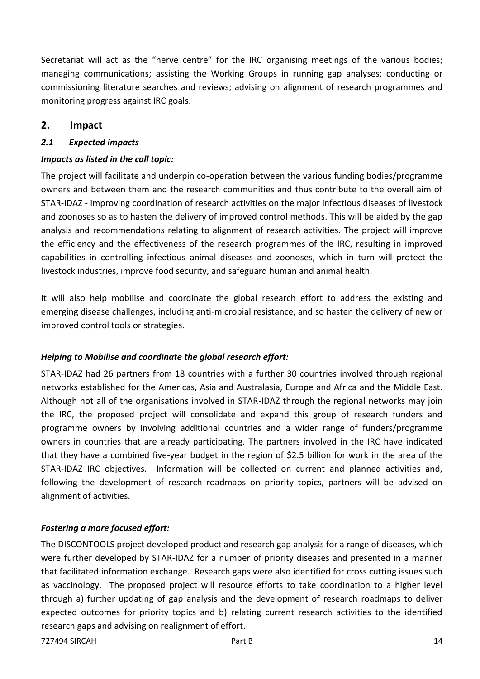Secretariat will act as the "nerve centre" for the IRC organising meetings of the various bodies; managing communications; assisting the Working Groups in running gap analyses; conducting or commissioning literature searches and reviews; advising on alignment of research programmes and monitoring progress against IRC goals.

### <span id="page-13-0"></span>**2. Impact**

#### <span id="page-13-1"></span>*2.1 Expected impacts*

#### *Impacts as listed in the call topic:*

The project will facilitate and underpin co-operation between the various funding bodies/programme owners and between them and the research communities and thus contribute to the overall aim of STAR-IDAZ - improving coordination of research activities on the major infectious diseases of livestock and zoonoses so as to hasten the delivery of improved control methods. This will be aided by the gap analysis and recommendations relating to alignment of research activities. The project will improve the efficiency and the effectiveness of the research programmes of the IRC, resulting in improved capabilities in controlling infectious animal diseases and zoonoses, which in turn will protect the livestock industries, improve food security, and safeguard human and animal health.

It will also help mobilise and coordinate the global research effort to address the existing and emerging disease challenges, including anti-microbial resistance, and so hasten the delivery of new or improved control tools or strategies.

#### *Helping to Mobilise and coordinate the global research effort:*

STAR-IDAZ had 26 partners from 18 countries with a further 30 countries involved through regional networks established for the Americas, Asia and Australasia, Europe and Africa and the Middle East. Although not all of the organisations involved in STAR-IDAZ through the regional networks may join the IRC, the proposed project will consolidate and expand this group of research funders and programme owners by involving additional countries and a wider range of funders/programme owners in countries that are already participating. The partners involved in the IRC have indicated that they have a combined five-year budget in the region of \$2.5 billion for work in the area of the STAR-IDAZ IRC objectives. Information will be collected on current and planned activities and, following the development of research roadmaps on priority topics, partners will be advised on alignment of activities.

#### *Fostering a more focused effort:*

The DISCONTOOLS project developed product and research gap analysis for a range of diseases, which were further developed by STAR-IDAZ for a number of priority diseases and presented in a manner that facilitated information exchange. Research gaps were also identified for cross cutting issues such as vaccinology. The proposed project will resource efforts to take coordination to a higher level through a) further updating of gap analysis and the development of research roadmaps to deliver expected outcomes for priority topics and b) relating current research activities to the identified research gaps and advising on realignment of effort.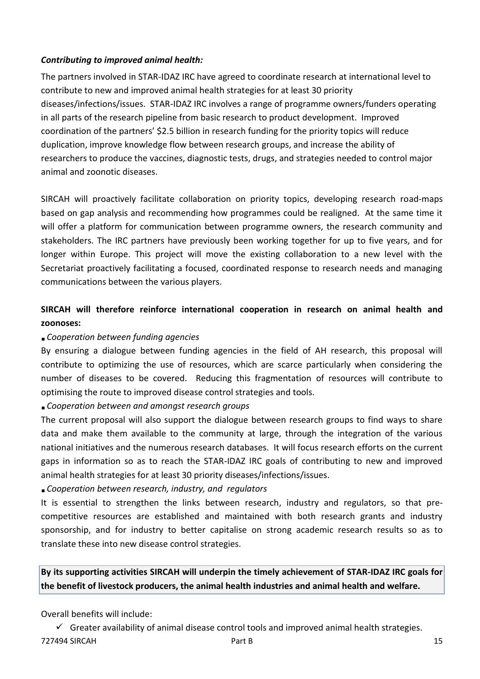#### *Contributing to improved animal health:*

The partners involved in STAR-IDAZ IRC have agreed to coordinate research at international level to contribute to new and improved animal health strategies for at least 30 priority diseases/infections/issues. STAR-IDAZ IRC involves a range of programme owners/funders operating in all parts of the research pipeline from basic research to product development. Improved coordination of the partners' \$2.5 billion in research funding for the priority topics will reduce duplication, improve knowledge flow between research groups, and increase the ability of researchers to produce the vaccines, diagnostic tests, drugs, and strategies needed to control major animal and zoonotic diseases.

SIRCAH will proactively facilitate collaboration on priority topics, developing research road-maps based on gap analysis and recommending how programmes could be realigned. At the same time it will offer a platform for communication between programme owners, the research community and stakeholders. The IRC partners have previously been working together for up to five years, and for longer within Europe. This project will move the existing collaboration to a new level with the Secretariat proactively facilitating a focused, coordinated response to research needs and managing communications between the various players.

## **SIRCAH will therefore reinforce international cooperation in research on animal health and zoonoses:**

## *Cooperation between funding agencies*

By ensuring a dialogue between funding agencies in the field of AH research, this proposal will contribute to optimizing the use of resources, which are scarce particularly when considering the number of diseases to be covered. Reducing this fragmentation of resources will contribute to optimising the route to improved disease control strategies and tools.

*Cooperation between and amongst research groups*

The current proposal will also support the dialogue between research groups to find ways to share data and make them available to the community at large, through the integration of the various national initiatives and the numerous research databases. It will focus research efforts on the current gaps in information so as to reach the STAR-IDAZ IRC goals of contributing to new and improved animal health strategies for at least 30 priority diseases/infections/issues.

## *Cooperation between research, industry, and regulators*

It is essential to strengthen the links between research, industry and regulators, so that precompetitive resources are established and maintained with both research grants and industry sponsorship, and for industry to better capitalise on strong academic research results so as to translate these into new disease control strategies.

**By its supporting activities SIRCAH will underpin the timely achievement of STAR-IDAZ IRC goals for the benefit of livestock producers, the animal health industries and animal health and welfare.**

Overall benefits will include:

The Part B 15 and SIRCAH 15  $\checkmark$  Greater availability of animal disease control tools and improved animal health strategies.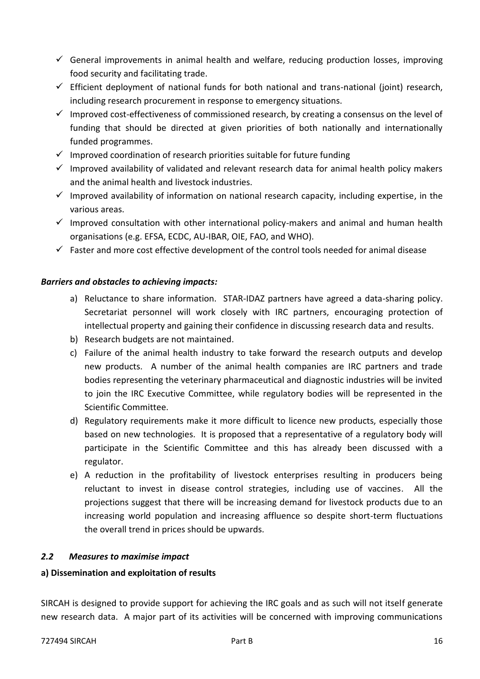- $\checkmark$  General improvements in animal health and welfare, reducing production losses, improving food security and facilitating trade.
- $\checkmark$  Efficient deployment of national funds for both national and trans-national (joint) research, including research procurement in response to emergency situations.
- $\checkmark$  Improved cost-effectiveness of commissioned research, by creating a consensus on the level of funding that should be directed at given priorities of both nationally and internationally funded programmes.
- $\checkmark$  Improved coordination of research priorities suitable for future funding
- $\checkmark$  Improved availability of validated and relevant research data for animal health policy makers and the animal health and livestock industries.
- $\checkmark$  Improved availability of information on national research capacity, including expertise, in the various areas.
- $\checkmark$  Improved consultation with other international policy-makers and animal and human health organisations (e.g. EFSA, ECDC, AU-IBAR, OIE, FAO, and WHO).
- $\checkmark$  Faster and more cost effective development of the control tools needed for animal disease

#### *Barriers and obstacles to achieving impacts:*

- a) Reluctance to share information. STAR-IDAZ partners have agreed a data-sharing policy. Secretariat personnel will work closely with IRC partners, encouraging protection of intellectual property and gaining their confidence in discussing research data and results.
- b) Research budgets are not maintained.
- c) Failure of the animal health industry to take forward the research outputs and develop new products. A number of the animal health companies are IRC partners and trade bodies representing the veterinary pharmaceutical and diagnostic industries will be invited to join the IRC Executive Committee, while regulatory bodies will be represented in the Scientific Committee.
- d) Regulatory requirements make it more difficult to licence new products, especially those based on new technologies. It is proposed that a representative of a regulatory body will participate in the Scientific Committee and this has already been discussed with a regulator.
- e) A reduction in the profitability of livestock enterprises resulting in producers being reluctant to invest in disease control strategies, including use of vaccines. All the projections suggest that there will be increasing demand for livestock products due to an increasing world population and increasing affluence so despite short-term fluctuations the overall trend in prices should be upwards.

#### <span id="page-15-0"></span>*2.2 Measures to maximise impact*

#### <span id="page-15-1"></span>**a) Dissemination and exploitation of results**

SIRCAH is designed to provide support for achieving the IRC goals and as such will not itself generate new research data. A major part of its activities will be concerned with improving communications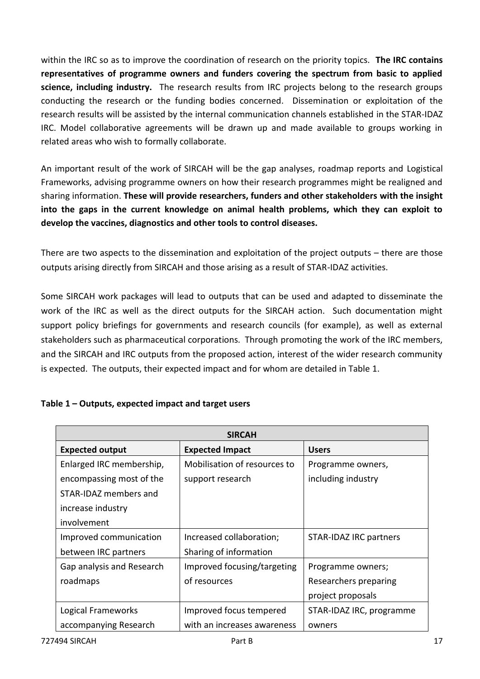within the IRC so as to improve the coordination of research on the priority topics. **The IRC contains representatives of programme owners and funders covering the spectrum from basic to applied science, including industry.** The research results from IRC projects belong to the research groups conducting the research or the funding bodies concerned. Dissemination or exploitation of the research results will be assisted by the internal communication channels established in the STAR-IDAZ IRC. Model collaborative agreements will be drawn up and made available to groups working in related areas who wish to formally collaborate.

An important result of the work of SIRCAH will be the gap analyses, roadmap reports and Logistical Frameworks, advising programme owners on how their research programmes might be realigned and sharing information. **These will provide researchers, funders and other stakeholders with the insight into the gaps in the current knowledge on animal health problems, which they can exploit to develop the vaccines, diagnostics and other tools to control diseases.**

There are two aspects to the dissemination and exploitation of the project outputs – there are those outputs arising directly from SIRCAH and those arising as a result of STAR-IDAZ activities.

Some SIRCAH work packages will lead to outputs that can be used and adapted to disseminate the work of the IRC as well as the direct outputs for the SIRCAH action. Such documentation might support policy briefings for governments and research councils (for example), as well as external stakeholders such as pharmaceutical corporations. Through promoting the work of the IRC members, and the SIRCAH and IRC outputs from the proposed action, interest of the wider research community is expected. The outputs, their expected impact and for whom are detailed in Table 1.

| Table 1 - Outputs, expected impact and target users |  |  |  |
|-----------------------------------------------------|--|--|--|
|-----------------------------------------------------|--|--|--|

|                           | <b>SIRCAH</b>                |                               |
|---------------------------|------------------------------|-------------------------------|
| <b>Expected output</b>    | <b>Expected Impact</b>       | <b>Users</b>                  |
| Enlarged IRC membership,  | Mobilisation of resources to | Programme owners,             |
| encompassing most of the  | support research             | including industry            |
| STAR-IDAZ members and     |                              |                               |
| increase industry         |                              |                               |
| involvement               |                              |                               |
| Improved communication    | Increased collaboration;     | <b>STAR-IDAZ IRC partners</b> |
| between IRC partners      | Sharing of information       |                               |
| Gap analysis and Research | Improved focusing/targeting  | Programme owners;             |
| roadmaps                  | of resources                 | Researchers preparing         |
|                           |                              | project proposals             |
| Logical Frameworks        | Improved focus tempered      | STAR-IDAZ IRC, programme      |
| accompanying Research     | with an increases awareness  | owners                        |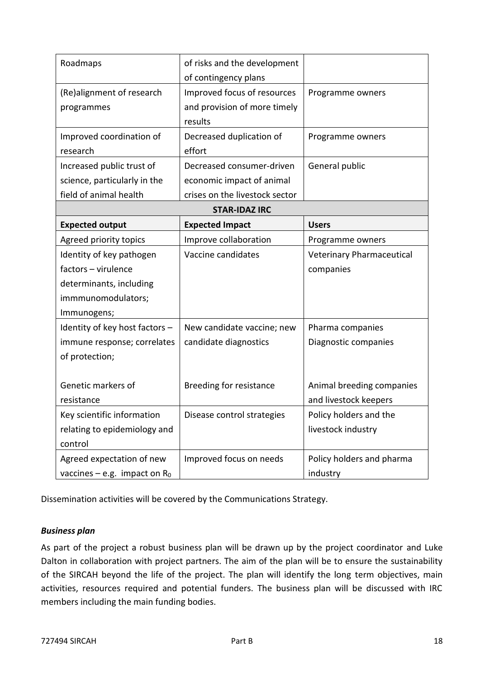| Roadmaps                        | of risks and the development   |                                  |
|---------------------------------|--------------------------------|----------------------------------|
|                                 | of contingency plans           |                                  |
| (Re)alignment of research       | Improved focus of resources    | Programme owners                 |
| programmes                      | and provision of more timely   |                                  |
|                                 | results                        |                                  |
| Improved coordination of        | Decreased duplication of       | Programme owners                 |
| research                        | effort                         |                                  |
| Increased public trust of       | Decreased consumer-driven      | General public                   |
| science, particularly in the    | economic impact of animal      |                                  |
| field of animal health          | crises on the livestock sector |                                  |
|                                 | <b>STAR-IDAZ IRC</b>           |                                  |
| <b>Expected output</b>          | <b>Expected Impact</b>         | <b>Users</b>                     |
| Agreed priority topics          | Improve collaboration          | Programme owners                 |
| Identity of key pathogen        | Vaccine candidates             | <b>Veterinary Pharmaceutical</b> |
| factors - virulence             |                                | companies                        |
| determinants, including         |                                |                                  |
| immmunomodulators;              |                                |                                  |
| Immunogens;                     |                                |                                  |
| Identity of key host factors -  | New candidate vaccine; new     | Pharma companies                 |
| immune response; correlates     | candidate diagnostics          | Diagnostic companies             |
| of protection;                  |                                |                                  |
|                                 |                                |                                  |
| Genetic markers of              | <b>Breeding for resistance</b> | Animal breeding companies        |
| resistance                      |                                | and livestock keepers            |
| Key scientific information      | Disease control strategies     | Policy holders and the           |
| relating to epidemiology and    |                                | livestock industry               |
| control                         |                                |                                  |
| Agreed expectation of new       | Improved focus on needs        | Policy holders and pharma        |
| vaccines – e.g. impact on $R_0$ |                                | industry                         |

Dissemination activities will be covered by the Communications Strategy.

#### *Business plan*

As part of the project a robust business plan will be drawn up by the project coordinator and Luke Dalton in collaboration with project partners. The aim of the plan will be to ensure the sustainability of the SIRCAH beyond the life of the project. The plan will identify the long term objectives, main activities, resources required and potential funders. The business plan will be discussed with IRC members including the main funding bodies.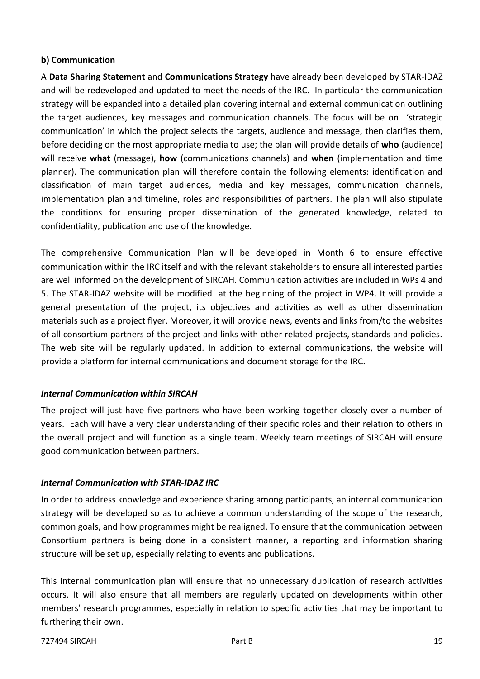#### <span id="page-18-0"></span>**b) Communication**

A **Data Sharing Statement** and **Communications Strategy** have already been developed by STAR-IDAZ and will be redeveloped and updated to meet the needs of the IRC. In particular the communication strategy will be expanded into a detailed plan covering internal and external communication outlining the target audiences, key messages and communication channels. The focus will be on 'strategic communication' in which the project selects the targets, audience and message, then clarifies them, before deciding on the most appropriate media to use; the plan will provide details of **who** (audience) will receive **what** (message), **how** (communications channels) and **when** (implementation and time planner). The communication plan will therefore contain the following elements: identification and classification of main target audiences, media and key messages, communication channels, implementation plan and timeline, roles and responsibilities of partners. The plan will also stipulate the conditions for ensuring proper dissemination of the generated knowledge, related to confidentiality, publication and use of the knowledge.

The comprehensive Communication Plan will be developed in Month 6 to ensure effective communication within the IRC itself and with the relevant stakeholders to ensure all interested parties are well informed on the development of SIRCAH. Communication activities are included in WPs 4 and 5. The STAR-IDAZ website will be modified at the beginning of the project in WP4. It will provide a general presentation of the project, its objectives and activities as well as other dissemination materials such as a project flyer. Moreover, it will provide news, events and links from/to the websites of all consortium partners of the project and links with other related projects, standards and policies. The web site will be regularly updated. In addition to external communications, the website will provide a platform for internal communications and document storage for the IRC.

#### *Internal Communication within SIRCAH*

The project will just have five partners who have been working together closely over a number of years. Each will have a very clear understanding of their specific roles and their relation to others in the overall project and will function as a single team. Weekly team meetings of SIRCAH will ensure good communication between partners.

#### *Internal Communication with STAR-IDAZ IRC*

In order to address knowledge and experience sharing among participants, an internal communication strategy will be developed so as to achieve a common understanding of the scope of the research, common goals, and how programmes might be realigned. To ensure that the communication between Consortium partners is being done in a consistent manner, a reporting and information sharing structure will be set up, especially relating to events and publications.

This internal communication plan will ensure that no unnecessary duplication of research activities occurs. It will also ensure that all members are regularly updated on developments within other members' research programmes, especially in relation to specific activities that may be important to furthering their own.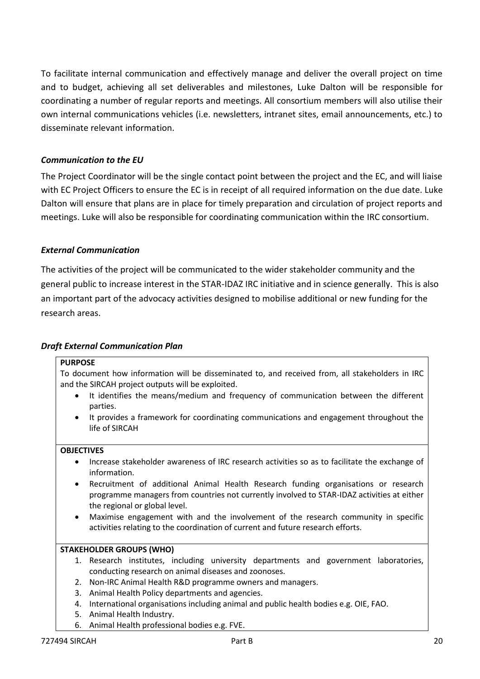To facilitate internal communication and effectively manage and deliver the overall project on time and to budget, achieving all set deliverables and milestones, Luke Dalton will be responsible for coordinating a number of regular reports and meetings. All consortium members will also utilise their own internal communications vehicles (i.e. newsletters, intranet sites, email announcements, etc.) to disseminate relevant information.

#### *Communication to the EU*

The Project Coordinator will be the single contact point between the project and the EC, and will liaise with EC Project Officers to ensure the EC is in receipt of all required information on the due date. Luke Dalton will ensure that plans are in place for timely preparation and circulation of project reports and meetings. Luke will also be responsible for coordinating communication within the IRC consortium.

#### *External Communication*

The activities of the project will be communicated to the wider stakeholder community and the general public to increase interest in the STAR-IDAZ IRC initiative and in science generally. This is also an important part of the advocacy activities designed to mobilise additional or new funding for the research areas.

#### *Draft External Communication Plan*

#### **PURPOSE**

To document how information will be disseminated to, and received from, all stakeholders in IRC and the SIRCAH project outputs will be exploited.

- It identifies the means/medium and frequency of communication between the different parties.
- It provides a framework for coordinating communications and engagement throughout the life of SIRCAH

#### **OBJECTIVES**

- Increase stakeholder awareness of IRC research activities so as to facilitate the exchange of information.
- Recruitment of additional Animal Health Research funding organisations or research programme managers from countries not currently involved to STAR-IDAZ activities at either the regional or global level.
- Maximise engagement with and the involvement of the research community in specific activities relating to the coordination of current and future research efforts.

#### **STAKEHOLDER GROUPS (WHO)**

- 1. Research institutes, including university departments and government laboratories, conducting research on animal diseases and zoonoses.
- 2. Non-IRC Animal Health R&D programme owners and managers.
- 3. Animal Health Policy departments and agencies.
- 4. International organisations including animal and public health bodies e.g. OIE, FAO.
- 5. Animal Health Industry.
- 6. Animal Health professional bodies e.g. FVE.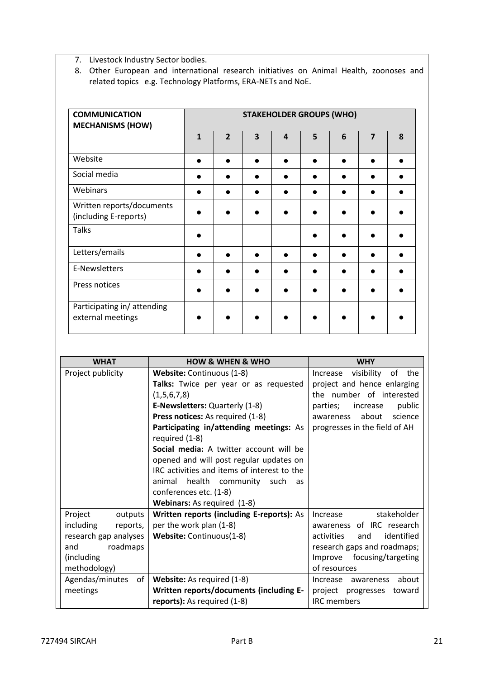7. Livestock Industry Sector bodies.

8. Other European and international research initiatives on Animal Health, zoonoses and related topics e.g. Technology Platforms, ERA-NETs and NoE.

| <b>COMMUNICATION</b><br><b>MECHANISMS (HOW)</b>    |              |                |                         |                | <b>STAKEHOLDER GROUPS (WHO)</b> |   |                |   |
|----------------------------------------------------|--------------|----------------|-------------------------|----------------|---------------------------------|---|----------------|---|
|                                                    | $\mathbf{1}$ | $\overline{2}$ | $\overline{\mathbf{3}}$ | $\overline{a}$ | 5                               | 6 | $\overline{7}$ | 8 |
| Website                                            |              |                |                         | $\bullet$      |                                 |   |                |   |
| Social media                                       |              |                |                         | $\bullet$      |                                 |   |                |   |
| Webinars                                           |              |                |                         | $\bullet$      |                                 |   |                |   |
| Written reports/documents<br>(including E-reports) |              |                |                         |                |                                 |   |                |   |
| <b>Talks</b>                                       |              |                |                         |                |                                 |   |                |   |
| Letters/emails                                     |              |                |                         | c              |                                 |   |                |   |
| E-Newsletters                                      |              | ●              | $\bullet$               | $\bullet$      | $\bullet$                       |   |                |   |
| Press notices                                      |              |                |                         | $\bullet$      |                                 |   |                |   |
| Participating in/attending<br>external meetings    |              |                |                         |                |                                 |   |                |   |

| <b>WHAT</b>           | <b>HOW &amp; WHEN &amp; WHO</b>                           | <b>WHY</b>                          |
|-----------------------|-----------------------------------------------------------|-------------------------------------|
| Project publicity     | Website: Continuous (1-8)                                 | visibility<br>of<br>the<br>Increase |
|                       | Talks: Twice per year or as requested                     | project and hence enlarging         |
|                       | (1,5,6,7,8)                                               | the number of interested            |
|                       | <b>E-Newsletters: Quarterly (1-8)</b>                     | public<br>increase<br>parties;      |
|                       | Press notices: As required (1-8)                          | about<br>science<br>awareness       |
|                       | Participating in/attending meetings: As<br>required (1-8) | progresses in the field of AH       |
|                       | Social media: A twitter account will be                   |                                     |
|                       | opened and will post regular updates on                   |                                     |
|                       | IRC activities and items of interest to the               |                                     |
|                       | animal health community such<br>as                        |                                     |
|                       | conferences etc. (1-8)                                    |                                     |
|                       | Webinars: As required (1-8)                               |                                     |
| Project<br>outputs    | Written reports (including E-reports): As                 | stakeholder<br>Increase             |
| including<br>reports, | per the work plan (1-8)                                   | awareness of IRC research           |
| research gap analyses | Website: Continuous(1-8)                                  | identified<br>activities<br>and     |
| roadmaps<br>and       |                                                           | research gaps and roadmaps;         |
| (including)           |                                                           | Improve focusing/targeting          |
| methodology)          |                                                           | of resources                        |
| Agendas/minutes<br>of | <b>Website:</b> As required (1-8)                         | about<br>Increase<br>awareness      |
| meetings              | Written reports/documents (including E-                   | project progresses toward           |
|                       | reports): As required (1-8)                               | <b>IRC</b> members                  |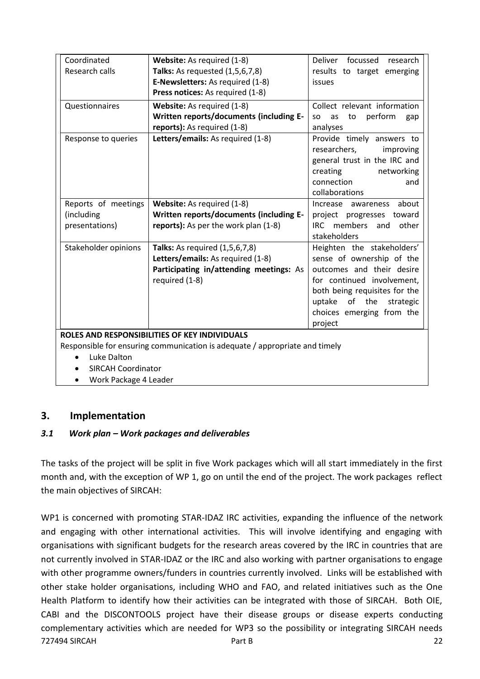| Coordinated                                         | Website: As required (1-8)                                                                                    | Deliver focussed<br>research                                                                                                                            |
|-----------------------------------------------------|---------------------------------------------------------------------------------------------------------------|---------------------------------------------------------------------------------------------------------------------------------------------------------|
| Research calls                                      | <b>Talks:</b> As requested (1,5,6,7,8)                                                                        | results to target emerging                                                                                                                              |
|                                                     | E-Newsletters: As required (1-8)                                                                              | issues                                                                                                                                                  |
|                                                     | Press notices: As required (1-8)                                                                              |                                                                                                                                                         |
| Questionnaires                                      | Website: As required (1-8)                                                                                    | Collect relevant information                                                                                                                            |
|                                                     | Written reports/documents (including E-                                                                       | perform<br>to<br>as<br><b>SO</b><br>gap                                                                                                                 |
|                                                     | reports): As required (1-8)                                                                                   | analyses                                                                                                                                                |
| Response to queries                                 | Letters/emails: As required (1-8)                                                                             | Provide timely answers to<br>researchers,<br>improving<br>general trust in the IRC and<br>creating<br>networking<br>connection<br>and<br>collaborations |
| Reports of meetings<br>(including<br>presentations) | Website: As required (1-8)<br>Written reports/documents (including E-<br>reports): As per the work plan (1-8) | about<br>Increase<br>awareness<br>project progresses toward<br>IRC members and<br>other<br>stakeholders                                                 |
| Stakeholder opinions                                | <b>Talks:</b> As required (1,5,6,7,8)                                                                         | Heighten the stakeholders'                                                                                                                              |
|                                                     | Letters/emails: As required (1-8)                                                                             | sense of ownership of the                                                                                                                               |
|                                                     | Participating in/attending meetings: As                                                                       | outcomes and their desire                                                                                                                               |
|                                                     | required (1-8)                                                                                                | for continued involvement,                                                                                                                              |
|                                                     |                                                                                                               | both being requisites for the                                                                                                                           |
|                                                     |                                                                                                               | uptake of the<br>strategic                                                                                                                              |
|                                                     |                                                                                                               | choices emerging from the                                                                                                                               |
|                                                     |                                                                                                               | project                                                                                                                                                 |
|                                                     | ROLES AND RESPONSIBILITIES OF KEY INDIVIDUALS                                                                 |                                                                                                                                                         |
|                                                     | Responsible for ensuring communication is adequate / appropriate and timely                                   |                                                                                                                                                         |
| Luke Dalton                                         |                                                                                                               |                                                                                                                                                         |
| <b>SIRCAH Coordinator</b>                           |                                                                                                               |                                                                                                                                                         |

Work Package 4 Leader

## <span id="page-21-0"></span>**3. Implementation**

## <span id="page-21-1"></span>*3.1 Work plan – Work packages and deliverables*

The tasks of the project will be split in five Work packages which will all start immediately in the first month and, with the exception of WP 1, go on until the end of the project. The work packages reflect the main objectives of SIRCAH:

727494 SIRCAH Part B 22 WP1 is concerned with promoting STAR-IDAZ IRC activities, expanding the influence of the network and engaging with other international activities. This will involve identifying and engaging with organisations with significant budgets for the research areas covered by the IRC in countries that are not currently involved in STAR-IDAZ or the IRC and also working with partner organisations to engage with other programme owners/funders in countries currently involved. Links will be established with other stake holder organisations, including WHO and FAO, and related initiatives such as the One Health Platform to identify how their activities can be integrated with those of SIRCAH. Both OIE, CABI and the DISCONTOOLS project have their disease groups or disease experts conducting complementary activities which are needed for WP3 so the possibility or integrating SIRCAH needs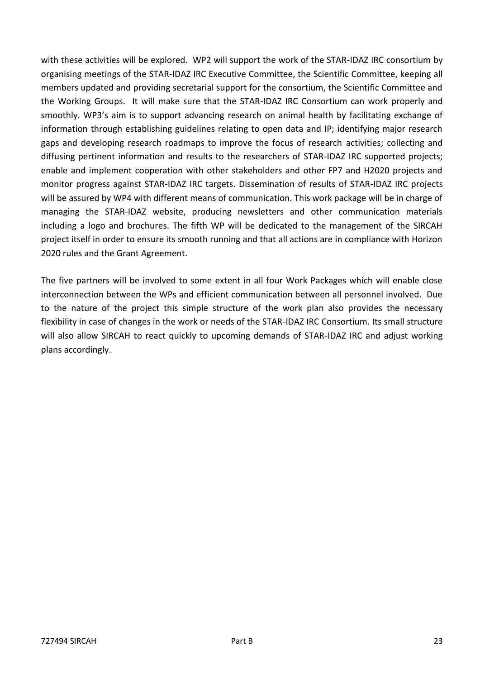with these activities will be explored. WP2 will support the work of the STAR-IDAZ IRC consortium by organising meetings of the STAR-IDAZ IRC Executive Committee, the Scientific Committee, keeping all members updated and providing secretarial support for the consortium, the Scientific Committee and the Working Groups. It will make sure that the STAR-IDAZ IRC Consortium can work properly and smoothly. WP3's aim is to support advancing research on animal health by facilitating exchange of information through establishing guidelines relating to open data and IP; identifying major research gaps and developing research roadmaps to improve the focus of research activities; collecting and diffusing pertinent information and results to the researchers of STAR-IDAZ IRC supported projects; enable and implement cooperation with other stakeholders and other FP7 and H2020 projects and monitor progress against STAR-IDAZ IRC targets. Dissemination of results of STAR-IDAZ IRC projects will be assured by WP4 with different means of communication. This work package will be in charge of managing the STAR-IDAZ website, producing newsletters and other communication materials including a logo and brochures. The fifth WP will be dedicated to the management of the SIRCAH project itself in order to ensure its smooth running and that all actions are in compliance with Horizon 2020 rules and the Grant Agreement.

The five partners will be involved to some extent in all four Work Packages which will enable close interconnection between the WPs and efficient communication between all personnel involved. Due to the nature of the project this simple structure of the work plan also provides the necessary flexibility in case of changes in the work or needs of the STAR-IDAZ IRC Consortium. Its small structure will also allow SIRCAH to react quickly to upcoming demands of STAR-IDAZ IRC and adjust working plans accordingly.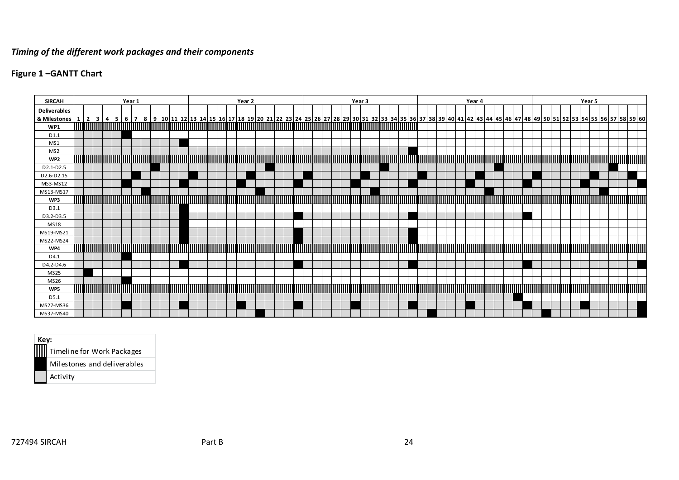## *Timing of the different work packages and their components*

## **Figure 1 –GANTT Chart**

| <b>SIRCAH</b>                                                                                                                                                                                                                                   |                                                                                                                        |  |  | Year 1 |  |  |  |  |  |                                                                                                                      | Year 2 |  |  |  |  |  |  |  |  | Year 3 |  |  |  |                                                                                                                      |  |  |  | Year 4 |  |  |  |  |                                                                                                                      |  |  |  | Year 5 |  |  |                  |  |
|-------------------------------------------------------------------------------------------------------------------------------------------------------------------------------------------------------------------------------------------------|------------------------------------------------------------------------------------------------------------------------|--|--|--------|--|--|--|--|--|----------------------------------------------------------------------------------------------------------------------|--------|--|--|--|--|--|--|--|--|--------|--|--|--|----------------------------------------------------------------------------------------------------------------------|--|--|--|--------|--|--|--|--|----------------------------------------------------------------------------------------------------------------------|--|--|--|--------|--|--|------------------|--|
| <b>Deliverables</b>                                                                                                                                                                                                                             |                                                                                                                        |  |  |        |  |  |  |  |  |                                                                                                                      |        |  |  |  |  |  |  |  |  |        |  |  |  |                                                                                                                      |  |  |  |        |  |  |  |  |                                                                                                                      |  |  |  |        |  |  |                  |  |
| <u>&amp; Milestones   1   2   3   4   5   6   7   8   9   10   11   12   13   14   15   16   17   8   9   10   11   12   33   4   5   66   27   28   29   30   31   32   33   34   35   36   37   38   39   40   41   42   43   44  </u><br>WP1 | <u> 1989 - Andrea Stadt Gregorian (heriotzak artean hartu zuen zituen ziren 1989) eta eta biztanle eta erroman e</u>   |  |  |        |  |  |  |  |  |                                                                                                                      |        |  |  |  |  |  |  |  |  |        |  |  |  |                                                                                                                      |  |  |  |        |  |  |  |  |                                                                                                                      |  |  |  |        |  |  |                  |  |
| D1.1                                                                                                                                                                                                                                            |                                                                                                                        |  |  |        |  |  |  |  |  |                                                                                                                      |        |  |  |  |  |  |  |  |  |        |  |  |  |                                                                                                                      |  |  |  |        |  |  |  |  |                                                                                                                      |  |  |  |        |  |  |                  |  |
| MS1                                                                                                                                                                                                                                             |                                                                                                                        |  |  |        |  |  |  |  |  |                                                                                                                      |        |  |  |  |  |  |  |  |  |        |  |  |  |                                                                                                                      |  |  |  |        |  |  |  |  |                                                                                                                      |  |  |  |        |  |  |                  |  |
| MS <sub>2</sub>                                                                                                                                                                                                                                 |                                                                                                                        |  |  |        |  |  |  |  |  |                                                                                                                      |        |  |  |  |  |  |  |  |  |        |  |  |  |                                                                                                                      |  |  |  |        |  |  |  |  |                                                                                                                      |  |  |  |        |  |  |                  |  |
| WP <sub>2</sub>                                                                                                                                                                                                                                 | <b>MINIMUM</b>                                                                                                         |  |  |        |  |  |  |  |  | <u> 1989 - Andrea Stadt Frankrik foar it fjilde fan de ferste fan de ferste fan de ferste fan de ferste fan de f</u> |        |  |  |  |  |  |  |  |  |        |  |  |  | <u> 1989 - Andrea Stadt Maria Maria Maria Maria Maria Maria Maria Maria Maria Maria Maria Maria Maria Maria Mari</u> |  |  |  |        |  |  |  |  |                                                                                                                      |  |  |  |        |  |  |                  |  |
| D2.1-D2.5                                                                                                                                                                                                                                       |                                                                                                                        |  |  |        |  |  |  |  |  |                                                                                                                      |        |  |  |  |  |  |  |  |  |        |  |  |  |                                                                                                                      |  |  |  |        |  |  |  |  |                                                                                                                      |  |  |  |        |  |  |                  |  |
| D2.6-D2.15                                                                                                                                                                                                                                      |                                                                                                                        |  |  |        |  |  |  |  |  |                                                                                                                      |        |  |  |  |  |  |  |  |  |        |  |  |  |                                                                                                                      |  |  |  |        |  |  |  |  |                                                                                                                      |  |  |  |        |  |  |                  |  |
| MS3-MS12                                                                                                                                                                                                                                        |                                                                                                                        |  |  |        |  |  |  |  |  |                                                                                                                      |        |  |  |  |  |  |  |  |  |        |  |  |  |                                                                                                                      |  |  |  |        |  |  |  |  |                                                                                                                      |  |  |  |        |  |  |                  |  |
| MS13-MS17                                                                                                                                                                                                                                       |                                                                                                                        |  |  |        |  |  |  |  |  |                                                                                                                      |        |  |  |  |  |  |  |  |  |        |  |  |  |                                                                                                                      |  |  |  |        |  |  |  |  |                                                                                                                      |  |  |  |        |  |  |                  |  |
| WP3<br>D3.1                                                                                                                                                                                                                                     | <u> IIIIIIIIIIIIIII</u>                                                                                                |  |  |        |  |  |  |  |  | <u> 1999 - Johann Maria Maria Maria Maria Maria Maria Maria Maria Maria Maria Maria Maria Maria Maria Maria Mari</u> |        |  |  |  |  |  |  |  |  |        |  |  |  |                                                                                                                      |  |  |  |        |  |  |  |  | <u> 1 maanda 1900 - Amerikaan kalendari kalendari on maartalandi on maartalandi on kalendari on kalendari on ter</u> |  |  |  |        |  |  |                  |  |
| D3.2-D3.5                                                                                                                                                                                                                                       |                                                                                                                        |  |  |        |  |  |  |  |  |                                                                                                                      |        |  |  |  |  |  |  |  |  |        |  |  |  |                                                                                                                      |  |  |  |        |  |  |  |  |                                                                                                                      |  |  |  |        |  |  |                  |  |
| MS18                                                                                                                                                                                                                                            |                                                                                                                        |  |  |        |  |  |  |  |  |                                                                                                                      |        |  |  |  |  |  |  |  |  |        |  |  |  |                                                                                                                      |  |  |  |        |  |  |  |  |                                                                                                                      |  |  |  |        |  |  |                  |  |
| MS19-MS21                                                                                                                                                                                                                                       |                                                                                                                        |  |  |        |  |  |  |  |  |                                                                                                                      |        |  |  |  |  |  |  |  |  |        |  |  |  |                                                                                                                      |  |  |  |        |  |  |  |  |                                                                                                                      |  |  |  |        |  |  |                  |  |
| MS22-MS24                                                                                                                                                                                                                                       |                                                                                                                        |  |  |        |  |  |  |  |  |                                                                                                                      |        |  |  |  |  |  |  |  |  |        |  |  |  |                                                                                                                      |  |  |  |        |  |  |  |  |                                                                                                                      |  |  |  |        |  |  |                  |  |
| WP4                                                                                                                                                                                                                                             |                                                                                                                        |  |  |        |  |  |  |  |  | <u>i ma'lumot ma'lumot ma'lumot ma'lumot ma'lumot ma'lumot ma'lumot</u>                                              |        |  |  |  |  |  |  |  |  |        |  |  |  |                                                                                                                      |  |  |  |        |  |  |  |  |                                                                                                                      |  |  |  |        |  |  |                  |  |
| D4.1                                                                                                                                                                                                                                            |                                                                                                                        |  |  |        |  |  |  |  |  |                                                                                                                      |        |  |  |  |  |  |  |  |  |        |  |  |  |                                                                                                                      |  |  |  |        |  |  |  |  |                                                                                                                      |  |  |  |        |  |  |                  |  |
| D4.2-D4.6                                                                                                                                                                                                                                       |                                                                                                                        |  |  |        |  |  |  |  |  |                                                                                                                      |        |  |  |  |  |  |  |  |  |        |  |  |  |                                                                                                                      |  |  |  |        |  |  |  |  |                                                                                                                      |  |  |  |        |  |  |                  |  |
| <b>MS25</b>                                                                                                                                                                                                                                     |                                                                                                                        |  |  |        |  |  |  |  |  |                                                                                                                      |        |  |  |  |  |  |  |  |  |        |  |  |  |                                                                                                                      |  |  |  |        |  |  |  |  |                                                                                                                      |  |  |  |        |  |  |                  |  |
| MS26                                                                                                                                                                                                                                            |                                                                                                                        |  |  |        |  |  |  |  |  |                                                                                                                      |        |  |  |  |  |  |  |  |  |        |  |  |  |                                                                                                                      |  |  |  |        |  |  |  |  |                                                                                                                      |  |  |  |        |  |  |                  |  |
| WP5                                                                                                                                                                                                                                             | <u> 1986 - An Dùbhlachd ann an Dùbhlachd ann an Dùbhlachd ann an Dùbhlachd ann an Dùbhlachd ann an Dùbhlachd ann a</u> |  |  |        |  |  |  |  |  |                                                                                                                      |        |  |  |  |  |  |  |  |  |        |  |  |  |                                                                                                                      |  |  |  |        |  |  |  |  |                                                                                                                      |  |  |  |        |  |  | <b>MATHEMATH</b> |  |
| D5.1                                                                                                                                                                                                                                            |                                                                                                                        |  |  |        |  |  |  |  |  |                                                                                                                      |        |  |  |  |  |  |  |  |  |        |  |  |  |                                                                                                                      |  |  |  |        |  |  |  |  |                                                                                                                      |  |  |  |        |  |  |                  |  |
| MS27-MS36<br>MS37-MS40                                                                                                                                                                                                                          |                                                                                                                        |  |  |        |  |  |  |  |  |                                                                                                                      |        |  |  |  |  |  |  |  |  |        |  |  |  |                                                                                                                      |  |  |  |        |  |  |  |  |                                                                                                                      |  |  |  |        |  |  |                  |  |
|                                                                                                                                                                                                                                                 |                                                                                                                        |  |  |        |  |  |  |  |  |                                                                                                                      |        |  |  |  |  |  |  |  |  |        |  |  |  |                                                                                                                      |  |  |  |        |  |  |  |  |                                                                                                                      |  |  |  |        |  |  |                  |  |

| Key: |                             |
|------|-----------------------------|
|      | Timeline for Work Packages  |
|      | Milestones and deliverables |
|      | Activity                    |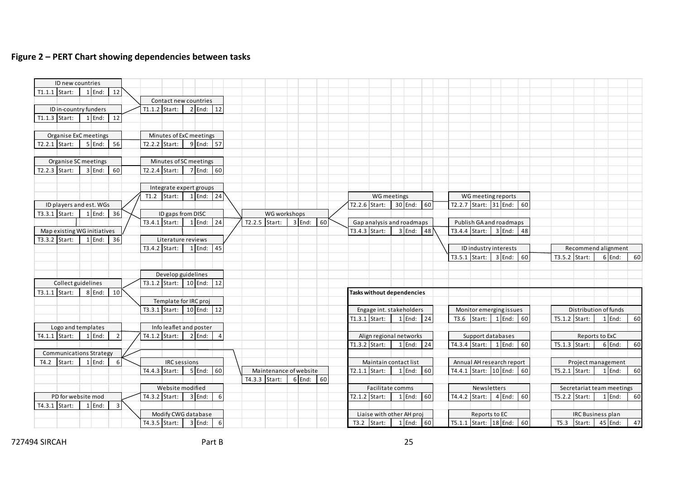#### **Figure 2 – PERT Chart showing dependencies between tasks**

| ID new countries                       |             |                         |                                        |                          |   |                 |                                           |          |    |                 |                                                                                |          |    |                                                       |  |                 |                           |          |
|----------------------------------------|-------------|-------------------------|----------------------------------------|--------------------------|---|-----------------|-------------------------------------------|----------|----|-----------------|--------------------------------------------------------------------------------|----------|----|-------------------------------------------------------|--|-----------------|---------------------------|----------|
| $T1.1.1$ Start:                        | $1$ End:    | 12                      |                                        |                          |   |                 |                                           |          |    |                 |                                                                                |          |    |                                                       |  |                 |                           |          |
|                                        |             |                         |                                        | Contact new countries    |   |                 |                                           |          |    |                 |                                                                                |          |    |                                                       |  |                 |                           |          |
| ID in-country funders<br>T1.1.3 Start: | $1$ End:    |                         | $T1.1.2$ Start:                        | $2$ End: 12              |   |                 |                                           |          |    |                 |                                                                                |          |    |                                                       |  |                 |                           |          |
|                                        |             | 12                      |                                        |                          |   |                 |                                           |          |    |                 |                                                                                |          |    |                                                       |  |                 |                           |          |
| Organise ExC meetings                  |             |                         |                                        | Minutes of ExC meetings  |   |                 |                                           |          |    |                 |                                                                                |          |    |                                                       |  |                 |                           |          |
| $T2.2.1$ Start:                        | $5$ End: 56 |                         | $T2.2.2$ Start:                        | 9 End: 57                |   |                 |                                           |          |    |                 |                                                                                |          |    |                                                       |  |                 |                           |          |
|                                        |             |                         |                                        |                          |   |                 |                                           |          |    |                 |                                                                                |          |    |                                                       |  |                 |                           |          |
| Organise SC meetings                   |             |                         |                                        | Minutes of SC meetings   |   |                 |                                           |          |    |                 |                                                                                |          |    |                                                       |  |                 |                           |          |
| $T2.2.3$ Start:                        | 3 End:      | 60                      |                                        | T2.2.4 Start: 7 End: 60  |   |                 |                                           |          |    |                 |                                                                                |          |    |                                                       |  |                 |                           |          |
|                                        |             |                         |                                        |                          |   |                 |                                           |          |    |                 |                                                                                |          |    |                                                       |  |                 |                           |          |
|                                        |             |                         |                                        | Integrate expert groups  |   |                 |                                           |          |    |                 |                                                                                |          |    |                                                       |  |                 |                           |          |
|                                        |             |                         |                                        | T1.2 Start: $1$ End: 24  |   |                 |                                           |          |    |                 | WG meetings                                                                    |          |    | WG meeting reports                                    |  |                 |                           |          |
| ID players and est. WGs                |             |                         |                                        |                          |   |                 |                                           |          |    |                 | T2.2.6 Start: 30 End: 60                                                       |          |    | T2.2.7 Start: 31 End: 60                              |  |                 |                           |          |
| T3.3.1 Start:                          | $1$ End:    | 36                      |                                        | ID gaps from DISC        |   |                 | WG workshops                              |          |    |                 |                                                                                |          |    |                                                       |  |                 |                           |          |
|                                        |             |                         |                                        | T3.4.1 Start: 1 End: 24  |   | $T2.2.5$ Start: |                                           | $3$ End: | 60 |                 | Gap analysis and roadmaps                                                      |          |    | Publish GA and roadmaps                               |  |                 |                           |          |
| Map existing WG initiatives            |             |                         |                                        |                          |   |                 |                                           |          |    | $T3.4.3$ Start: |                                                                                | $3$ End: | 48 | T3.4.4 Start:   $3$ End:   48                         |  |                 |                           |          |
| $T3.3.2$ Start:                        | 1 End: 36   |                         |                                        | Literature reviews       |   |                 |                                           |          |    |                 |                                                                                |          |    |                                                       |  |                 |                           |          |
|                                        |             |                         | $T3.4.2$ Start:                        | $1$ End: 45              |   |                 |                                           |          |    |                 |                                                                                |          |    | ID industry interests                                 |  |                 | Recommend alignment       |          |
|                                        |             |                         |                                        |                          |   |                 |                                           |          |    |                 |                                                                                |          |    | T3.5.1 Start: 3 End: 60                               |  | $T3.5.2$ Start: |                           | 6 End:   |
|                                        |             |                         |                                        |                          |   |                 |                                           |          |    |                 |                                                                                |          |    |                                                       |  |                 |                           |          |
|                                        |             |                         |                                        | Develop guidelines       |   |                 |                                           |          |    |                 |                                                                                |          |    |                                                       |  |                 |                           |          |
| Collect guidelines                     |             |                         |                                        | T3.1.2 Start: 10 End: 12 |   |                 |                                           |          |    |                 |                                                                                |          |    |                                                       |  |                 |                           |          |
| $T3.1.1$ Start:                        | $8$ End:    | 10 <sup>°</sup>         |                                        |                          |   |                 |                                           |          |    |                 | Tasks without dependencies                                                     |          |    |                                                       |  |                 |                           |          |
|                                        |             |                         |                                        | Template for IRC proj    |   |                 |                                           |          |    |                 |                                                                                |          |    |                                                       |  |                 |                           |          |
|                                        |             |                         |                                        | T3.3.1 Start: 10 End: 12 |   |                 |                                           |          |    |                 | Engage int. stakeholders                                                       |          |    | Monitor emerging issues                               |  |                 | Distribution of funds     |          |
|                                        |             |                         |                                        |                          |   |                 |                                           |          |    |                 | T1.3.1 Start: $\begin{array}{ c c c c c } \hline 1 \hline \end{array}$ End: 24 |          |    | T3.6 Start: $1$ End: 60                               |  | $T5.1.2$ Start: |                           | $1$ End: |
| Logo and templates                     |             |                         |                                        | Info leaflet and poster  |   |                 |                                           |          |    |                 |                                                                                |          |    |                                                       |  |                 |                           |          |
| T4.1.1 Start:                          | $1$ End:    | $\overline{2}$          | $TA.1.2$ Start:                        | $2$ End:                 |   |                 |                                           |          |    |                 | Align regional networks                                                        |          |    | Support databases                                     |  |                 | Reports to ExC            |          |
|                                        |             |                         |                                        |                          |   |                 |                                           |          |    | $T1.3.2$ Start: |                                                                                | $1$ End: | 24 | T4.3.4 Start: $1$ End: 60                             |  | T5.1.3 Start:   |                           | 6 End:   |
| <b>Communications Strategy</b>         | $1$ End:    |                         |                                        |                          |   |                 |                                           |          |    |                 |                                                                                |          |    |                                                       |  |                 |                           |          |
| $T4.2$ Start:                          |             | 6                       | <b>IRC</b> sessions<br>$TA.4.3$ Start: | $5$ End: 60              |   |                 |                                           |          |    |                 | Maintain contact list<br>$T2.1.1$ Start:                                       | $1$ End: | 60 | Annual AH research report<br>T4.4.1 Start: 10 End: 60 |  | $T5.2.1$ Start: | Project management        | $1$ End: |
|                                        |             |                         |                                        |                          |   |                 | Maintenance of website<br>$T4.3.3$ Start: | $6$ End: | 60 |                 |                                                                                |          |    |                                                       |  |                 |                           |          |
|                                        |             |                         |                                        | Website modified         |   |                 |                                           |          |    |                 | Facilitate comms                                                               |          |    | Newsletters                                           |  |                 | Secretariat team meetings |          |
| PD for website mod                     |             |                         | $T4.3.2$ Start:                        | 3 End:                   | 6 |                 |                                           |          |    | T2.1.2 Start:   |                                                                                | $1$ End: | 60 | T4.4.2 Start: $4 \text{End:} 60$                      |  | T5.2.2 Start:   |                           | $1$ End: |
|                                        | $1$ End:    | $\overline{\mathbf{3}}$ |                                        |                          |   |                 |                                           |          |    |                 |                                                                                |          |    |                                                       |  |                 |                           |          |
|                                        |             |                         |                                        |                          |   |                 |                                           |          |    |                 |                                                                                |          |    |                                                       |  |                 |                           |          |
| $T4.3.1$ Start:                        |             |                         |                                        | Modify CWG database      |   |                 |                                           |          |    |                 | Liaise with other AH proj                                                      |          |    | Reports to EC                                         |  |                 | <b>IRC Business plan</b>  |          |

727494 SIRCAH Part B 25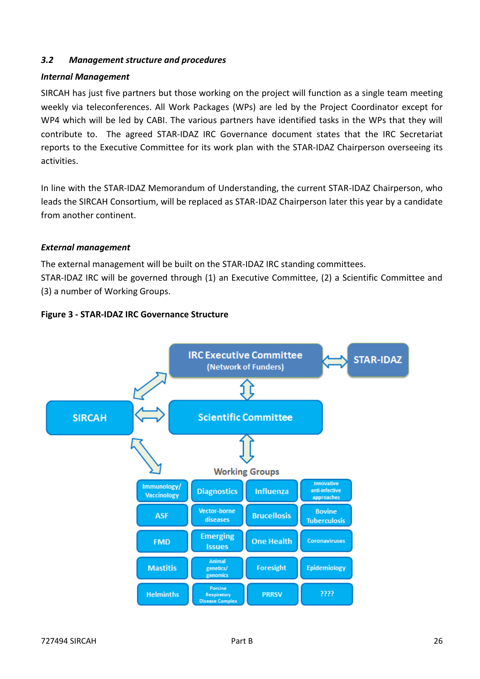#### <span id="page-25-0"></span>*3.2 Management structure and procedures*

#### *Internal Management*

SIRCAH has just five partners but those working on the project will function as a single team meeting weekly via teleconferences. All Work Packages (WPs) are led by the Project Coordinator except for WP4 which will be led by CABI. The various partners have identified tasks in the WPs that they will contribute to. The agreed STAR-IDAZ IRC Governance document states that the IRC Secretariat reports to the Executive Committee for its work plan with the STAR-IDAZ Chairperson overseeing its activities.

In line with the STAR-IDAZ Memorandum of Understanding, the current STAR-IDAZ Chairperson, who leads the SIRCAH Consortium, will be replaced as STAR-IDAZ Chairperson later this year by a candidate from another continent.

#### *External management*

The external management will be built on the STAR-IDAZ IRC standing committees.

STAR-IDAZ IRC will be governed through (1) an Executive Committee, (2) a Scientific Committee and (3) a number of Working Groups.



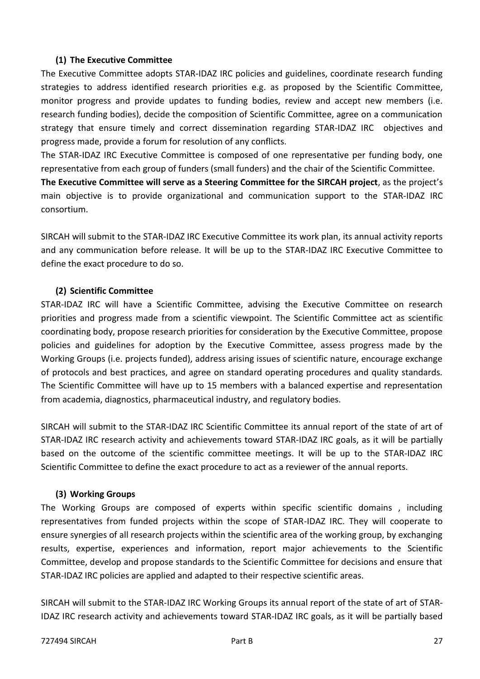### **(1) The Executive Committee**

The Executive Committee adopts STAR-IDAZ IRC policies and guidelines, coordinate research funding strategies to address identified research priorities e.g. as proposed by the Scientific Committee, monitor progress and provide updates to funding bodies, review and accept new members (i.e. research funding bodies), decide the composition of Scientific Committee, agree on a communication strategy that ensure timely and correct dissemination regarding STAR-IDAZ IRC objectives and progress made, provide a forum for resolution of any conflicts.

The STAR-IDAZ IRC Executive Committee is composed of one representative per funding body, one representative from each group of funders (small funders) and the chair of the Scientific Committee.

**The Executive Committee will serve as a Steering Committee for the SIRCAH project**, as the project's main objective is to provide organizational and communication support to the STAR-IDAZ IRC consortium.

SIRCAH will submit to the STAR-IDAZ IRC Executive Committee its work plan, its annual activity reports and any communication before release. It will be up to the STAR-IDAZ IRC Executive Committee to define the exact procedure to do so.

## **(2) Scientific Committee**

STAR-IDAZ IRC will have a Scientific Committee, advising the Executive Committee on research priorities and progress made from a scientific viewpoint. The Scientific Committee act as scientific coordinating body, propose research priorities for consideration by the Executive Committee, propose policies and guidelines for adoption by the Executive Committee, assess progress made by the Working Groups (i.e. projects funded), address arising issues of scientific nature, encourage exchange of protocols and best practices, and agree on standard operating procedures and quality standards. The Scientific Committee will have up to 15 members with a balanced expertise and representation from academia, diagnostics, pharmaceutical industry, and regulatory bodies.

SIRCAH will submit to the STAR-IDAZ IRC Scientific Committee its annual report of the state of art of STAR-IDAZ IRC research activity and achievements toward STAR-IDAZ IRC goals, as it will be partially based on the outcome of the scientific committee meetings. It will be up to the STAR-IDAZ IRC Scientific Committee to define the exact procedure to act as a reviewer of the annual reports.

## **(3) Working Groups**

The Working Groups are composed of experts within specific scientific domains , including representatives from funded projects within the scope of STAR-IDAZ IRC. They will cooperate to ensure synergies of all research projects within the scientific area of the working group, by exchanging results, expertise, experiences and information, report major achievements to the Scientific Committee, develop and propose standards to the Scientific Committee for decisions and ensure that STAR-IDAZ IRC policies are applied and adapted to their respective scientific areas.

SIRCAH will submit to the STAR-IDAZ IRC Working Groups its annual report of the state of art of STAR-IDAZ IRC research activity and achievements toward STAR-IDAZ IRC goals, as it will be partially based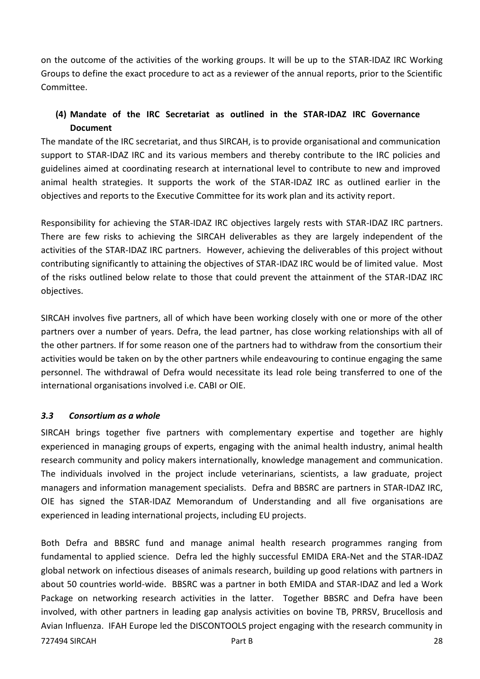on the outcome of the activities of the working groups. It will be up to the STAR-IDAZ IRC Working Groups to define the exact procedure to act as a reviewer of the annual reports, prior to the Scientific Committee.

## **(4) Mandate of the IRC Secretariat as outlined in the STAR-IDAZ IRC Governance Document**

The mandate of the IRC secretariat, and thus SIRCAH, is to provide organisational and communication support to STAR-IDAZ IRC and its various members and thereby contribute to the IRC policies and guidelines aimed at coordinating research at international level to contribute to new and improved animal health strategies. It supports the work of the STAR-IDAZ IRC as outlined earlier in the objectives and reports to the Executive Committee for its work plan and its activity report.

Responsibility for achieving the STAR-IDAZ IRC objectives largely rests with STAR-IDAZ IRC partners. There are few risks to achieving the SIRCAH deliverables as they are largely independent of the activities of the STAR-IDAZ IRC partners. However, achieving the deliverables of this project without contributing significantly to attaining the objectives of STAR-IDAZ IRC would be of limited value. Most of the risks outlined below relate to those that could prevent the attainment of the STAR-IDAZ IRC objectives.

SIRCAH involves five partners, all of which have been working closely with one or more of the other partners over a number of years. Defra, the lead partner, has close working relationships with all of the other partners. If for some reason one of the partners had to withdraw from the consortium their activities would be taken on by the other partners while endeavouring to continue engaging the same personnel. The withdrawal of Defra would necessitate its lead role being transferred to one of the international organisations involved i.e. CABI or OIE.

#### <span id="page-27-0"></span>*3.3 Consortium as a whole*

SIRCAH brings together five partners with complementary expertise and together are highly experienced in managing groups of experts, engaging with the animal health industry, animal health research community and policy makers internationally, knowledge management and communication. The individuals involved in the project include veterinarians, scientists, a law graduate, project managers and information management specialists. Defra and BBSRC are partners in STAR-IDAZ IRC, OIE has signed the STAR-IDAZ Memorandum of Understanding and all five organisations are experienced in leading international projects, including EU projects.

727494 SIRCAH Part B 28 Both Defra and BBSRC fund and manage animal health research programmes ranging from fundamental to applied science. Defra led the highly successful EMIDA ERA-Net and the STAR-IDAZ global network on infectious diseases of animals research, building up good relations with partners in about 50 countries world-wide. BBSRC was a partner in both EMIDA and STAR-IDAZ and led a Work Package on networking research activities in the latter. Together BBSRC and Defra have been involved, with other partners in leading gap analysis activities on bovine TB, PRRSV, Brucellosis and Avian Influenza. IFAH Europe led the DISCONTOOLS project engaging with the research community in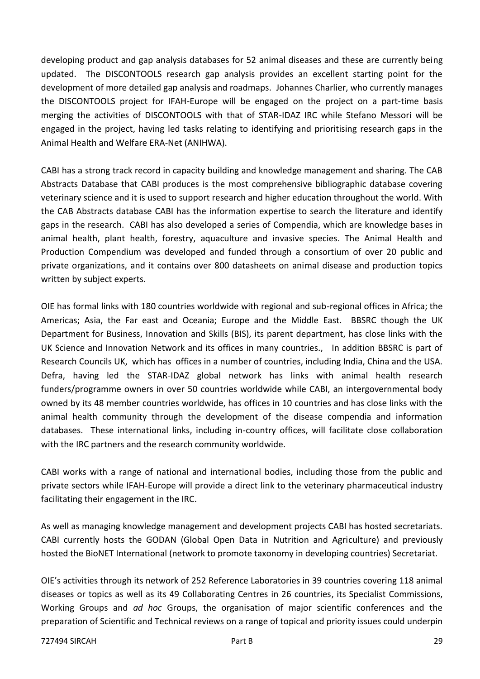developing product and gap analysis databases for 52 animal diseases and these are currently being updated. The DISCONTOOLS research gap analysis provides an excellent starting point for the development of more detailed gap analysis and roadmaps. Johannes Charlier, who currently manages the DISCONTOOLS project for IFAH-Europe will be engaged on the project on a part-time basis merging the activities of DISCONTOOLS with that of STAR-IDAZ IRC while Stefano Messori will be engaged in the project, having led tasks relating to identifying and prioritising research gaps in the Animal Health and Welfare ERA-Net (ANIHWA).

CABI has a strong track record in capacity building and knowledge management and sharing. The CAB Abstracts Database that CABI produces is the most comprehensive bibliographic database covering veterinary science and it is used to support research and higher education throughout the world. With the CAB Abstracts database CABI has the information expertise to search the literature and identify gaps in the research. CABI has also developed a series of Compendia, which are knowledge bases in animal health, plant health, forestry, aquaculture and invasive species. The Animal Health and Production Compendium was developed and funded through a consortium of over 20 public and private organizations, and it contains over 800 datasheets on animal disease and production topics written by subject experts.

OIE has formal links with 180 countries worldwide with regional and sub-regional offices in Africa; the Americas; Asia, the Far east and Oceania; Europe and the Middle East. BBSRC though the UK Department for Business, Innovation and Skills (BIS), its parent department, has close links with the UK Science and Innovation Network and its offices in many countries., In addition BBSRC is part of Research Councils UK, which has offices in a number of countries, including India, China and the USA. Defra, having led the STAR-IDAZ global network has links with animal health research funders/programme owners in over 50 countries worldwide while CABI, an intergovernmental body owned by its 48 member countries worldwide, has offices in 10 countries and has close links with the animal health community through the development of the disease compendia and information databases. These international links, including in-country offices, will facilitate close collaboration with the IRC partners and the research community worldwide.

CABI works with a range of national and international bodies, including those from the public and private sectors while IFAH-Europe will provide a direct link to the veterinary pharmaceutical industry facilitating their engagement in the IRC.

As well as managing knowledge management and development projects CABI has hosted secretariats. CABI currently hosts the GODAN (Global Open Data in Nutrition and Agriculture) and previously hosted the BioNET International (network to promote taxonomy in developing countries) Secretariat.

OIE's activities through its network of 252 Reference Laboratories in 39 countries covering 118 animal diseases or topics as well as its 49 Collaborating Centres in 26 countries, its Specialist Commissions, Working Groups and *ad hoc* Groups, the organisation of major scientific conferences and the preparation of Scientific and Technical reviews on a range of topical and priority issues could underpin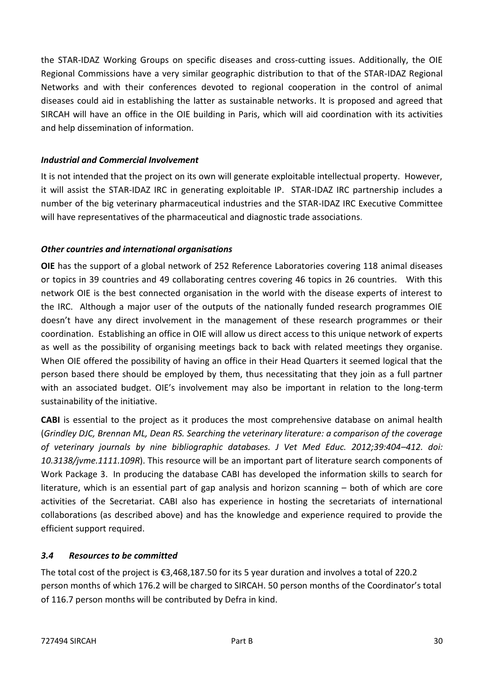the STAR-IDAZ Working Groups on specific diseases and cross-cutting issues. Additionally, the OIE Regional Commissions have a very similar geographic distribution to that of the STAR-IDAZ Regional Networks and with their conferences devoted to regional cooperation in the control of animal diseases could aid in establishing the latter as sustainable networks. It is proposed and agreed that SIRCAH will have an office in the OIE building in Paris, which will aid coordination with its activities and help dissemination of information.

### *Industrial and Commercial Involvement*

It is not intended that the project on its own will generate exploitable intellectual property. However, it will assist the STAR-IDAZ IRC in generating exploitable IP. STAR-IDAZ IRC partnership includes a number of the big veterinary pharmaceutical industries and the STAR-IDAZ IRC Executive Committee will have representatives of the pharmaceutical and diagnostic trade associations.

## *Other countries and international organisations*

**OIE** has the support of a global network of 252 Reference Laboratories covering 118 animal diseases or topics in 39 countries and 49 collaborating centres covering 46 topics in 26 countries. With this network OIE is the best connected organisation in the world with the disease experts of interest to the IRC. Although a major user of the outputs of the nationally funded research programmes OIE doesn't have any direct involvement in the management of these research programmes or their coordination. Establishing an office in OIE will allow us direct access to this unique network of experts as well as the possibility of organising meetings back to back with related meetings they organise. When OIE offered the possibility of having an office in their Head Quarters it seemed logical that the person based there should be employed by them, thus necessitating that they join as a full partner with an associated budget. OIE's involvement may also be important in relation to the long-term sustainability of the initiative.

**CABI** is essential to the project as it produces the most comprehensive database on animal health (*Grindley DJC, Brennan ML, Dean RS. Searching the veterinary literature: a comparison of the coverage of veterinary journals by nine bibliographic databases. J Vet Med Educ. 2012;39:404–412. doi: 10.3138/jvme.1111.109R*). This resource will be an important part of literature search components of Work Package 3. In producing the database CABI has developed the information skills to search for literature, which is an essential part of gap analysis and horizon scanning – both of which are core activities of the Secretariat. CABI also has experience in hosting the secretariats of international collaborations (as described above) and has the knowledge and experience required to provide the efficient support required.

#### <span id="page-29-0"></span>*3.4 Resources to be committed*

The total cost of the project is €3,468,187.50 for its 5 year duration and involves a total of 220.2 person months of which 176.2 will be charged to SIRCAH. 50 person months of the Coordinator's total of 116.7 person months will be contributed by Defra in kind.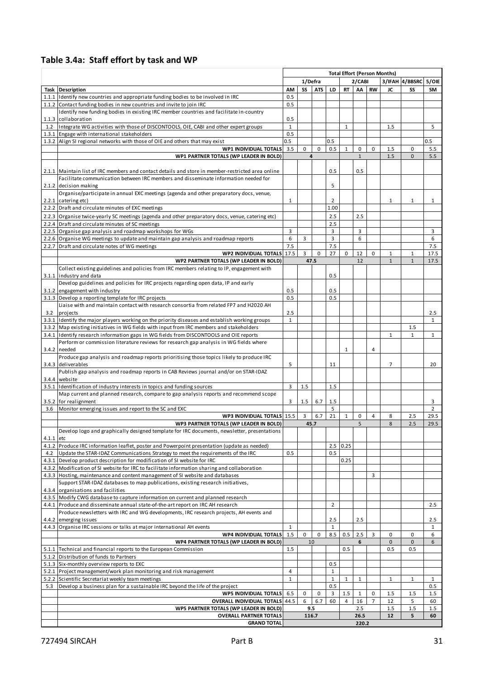## **Table 3.4a: Staff effort by task and WP**

| <b>Total Effort (Person Months)</b><br>3/IFAH 4/BBSRC<br>1/Defra<br>2/CABI<br>5/OIE<br>SS<br><b>ATS</b><br>LD<br>RT<br>AA<br><b>RW</b><br><b>Task Description</b><br>AM<br>JC<br>SS<br><b>SM</b><br>0.5<br>1.1.1 I Identify new countries and appropriate funding bodies to be involved in IRC<br>1.1.2 Contact funding bodies in new countries and invite to join IRC<br>0.5<br>Identify new funding bodies in existing IRC member countries and facilitate in-country<br>0.5<br>1.1.3 collaboration<br>$\mathbf{1}$<br>5<br>1.2 Integrate WG activities with those of DISCONTOOLS, OIE, CABI and other expert groups<br>$\mathbf{1}$<br>1.5<br>0.5<br>1.3.1 Engage with international stakeholders<br>1.3.2 Align SI regional networks with those of OIE and others that may exist<br>0.5<br>0.5<br>0.5<br>3.5<br>0<br>$\mathbf 0$<br>0.5<br>$\mathbf 0$<br><b>WP1 INDIVIDUAL TOTALS</b><br>$\mathbf{1}$<br>0<br>1.5<br>0<br>5.5<br>WP1 PARTNER TOTALS (WP LEADER IN BOLD)<br>4<br>$\mathbf{1}$<br>1.5<br>0<br>5.5<br>0.5<br>0.5<br>2.1.1 Maintain list of IRC members and contact details and store in member-restricted area online<br>Facilitate communication between IRC members and disseminate information needed for<br>5<br>2.1.2 decision making<br>Organise/participate in annual EXC meetings (agenda and other preparatory docs, venue,<br>$\overline{2}$<br>2.2.1 catering etc)<br>$\mathbf{1}$<br>$\mathbf{1}$<br>1<br>$\mathbf{1}$<br>2.2.2 Draft and circulate minutes of EXC meetings<br>1.00<br>2.5<br>2.5<br>2.2.3 Organise twice-yearly SC meetings (agenda and other preparatory docs, venue, catering etc)<br>2.2.4 Draft and circulate minutes of SC meetings<br>2.5<br>2.2.5 Organise gap analysis and roadmap workshops for WGs<br>3<br>3<br>3<br>3<br>6<br>2.2.6 Organise WG meetings to update and maintain gap analysis and roadmap reports<br>6<br>3<br>3<br>6<br>7.5<br>7.5<br>7.5<br>2.2.7 Draft and circulate notes of WG meetings<br>27<br><b>WP2 INDIVIDUAL TOTALS</b><br>17.5<br>3<br>$\mathbf 0$<br>$\mathbf 0$<br>12<br>$\mathbf{1}$<br>$\mathbf{1}$<br>17.5<br>0<br>$\mathbf{1}$<br>$\mathbf{1}$<br>17.5<br>47.5<br>WP2 PARTNER TOTALS (WP LEADER IN BOLD)<br>12<br>Collect existing guidelines and policies from IRC members relating to IP, engagement with<br>0.5<br>3.1.1 industry and data<br>Develop guidelines and policies for IRC projects regarding open data, IP and early<br>0.5<br>0.5<br>3.1.2 engagement with industry<br>0.5<br>0.5<br>3.1.3 Develop a reporting template for IRC projects<br>Liaise with and maintain contact with research consortia from related FP7 and H2020 AH<br>2.5<br>3.2<br>projects<br>2.5<br>$\mathbf{1}$<br>$\mathbf{1}$<br>3.3.1 I I dentify the major players working on the priority diseases and establish working groups<br>3.3.2 Map existing initiatives in WG fields with input from IRC members and stakeholders<br>1.5<br>3.4.1 Identify research information gaps in WG fields from DISCONTOOLS and OIE reports<br>$\mathbf{1}$<br>$\mathbf{1}$<br>$\mathbf{1}$<br>Perform or commission literature reviews for research gap analysis in WG fields where<br>3.4.2 needed<br>4<br>1<br>Produce gap analysis and roadmap reports prioritising those topics likely to produce IRC<br>5<br>$\overline{7}$<br>3.4.3 deliverables<br>20<br>11<br>Publish gap analysis and roadmap reports in CAB Reviews journal and/or on STAR-IDAZ<br>3.4.4 website<br>3<br>1.5<br>1.5<br>3.5.1 Identification of industry interests in topics and funding sources<br>Map current and planned research, compare to gap analysis reports and recommend scope<br>3<br>3.5.2 for realignment<br>1.5<br>6.7<br>1.5<br>3<br>5<br>$\overline{2}$<br>3.6 Monitor emerging issues and report to the SC and EXC<br>WP3 INDIVIDUAL TOTALS 15.5<br>3<br>6.7<br>21<br>29.5<br>$\mathbf{1}$<br>0<br>4<br>8<br>2.5<br>WP3 PARTNER TOTALS (WP LEADER IN BOLD)<br>5<br>8<br>2.5<br>29.5<br>45.7<br>Develop logo and graphically designed template for IRC documents, newsletter, presentations<br>$4.1.1$ etc<br>4.1.2 Produce IRC information leaflet, poster and Powerpoint presentation (update as needed)<br>2.5 0.25<br>Update the STAR-IDAZ Communications Strategy to meet the requirements of the IRC<br>0.5<br>4.2<br>0.5<br>4.3.1 Develop product description for modification of SI website for IRC<br>0.25<br>4.3.2 Modification of SI website for IRC to facilitate information sharing and collaboration<br>4.3.3 Hosting, maintenance and content management of SI website and databases<br>3<br>Support STAR-IDAZ databases to map publications, existing research initiatives,<br>4.3.4 organisations and facilities<br>4.3.5 Modify CWG database to capture information on current and planned research<br>$\overline{2}$<br>2.5<br>4.4.1 Produce and disseminate annual state-of-the-art report on IRC AH research<br>Produce newsletters with IRC and WG developments, IRC research projects, AH events and<br>4.4.2 emerging issues<br>2.5<br>2.5<br>2.5<br>4.4.3 Organise IRC sessions or talks at major international AH events<br>$\mathbf{1}$<br>$\mathbf{1}$<br>$\mathbf{1}$<br>1.5<br>$\mathbf 0$<br>8.5<br>2.5<br><b>WP4 INDIVIDUAL TOTALS</b><br>0<br>0.5<br>3<br>0<br>0<br>6<br>WP4 PARTNER TOTALS (WP LEADER IN BOLD)<br>$\mathbf 0$<br>$\mathbf{0}$<br>6<br>10<br>6<br>5.1.1 Technical and financial reports to the European Commission<br>1.5<br>0.5<br>0.5<br>0.5<br>5.1.2 Distribution of funds to Partners<br>5.1.3 Six-monthly overview reports to EXC<br>0.5<br>5.2.1 Project management/work plan monitoring and risk management<br>$\overline{4}$<br>1<br>5.2.2 Scientific Secretariat weekly team meetings<br>$\mathbf{1}$<br>$\mathbf{1}$<br>$\mathbf{1}$<br>1<br>1<br>1<br>$\mathbf{1}$<br>Develop a business plan for a sustainable IRC beyond the life of the project<br>0.5<br>0.5<br>5.3<br><b>WP5 INDIVIDUAL TOTALS</b><br>1.5<br>6.5<br>0<br>0<br>3<br>$\mathbf{1}$<br>0<br>1.5<br>1.5<br>1.5<br><b>OVERALL INDIVIDUAL TOTALS</b><br>6<br>16<br>$\overline{7}$<br>5<br>44.5<br>6.7<br>60<br>12<br>60<br>4<br>WP5 PARTNER TOTALS (WP LEADER IN BOLD)<br>2.5<br>1.5<br>1.5<br>1.5<br>9.5<br><b>OVERALL PARTNER TOTALS</b><br>116.7<br>26.5<br>12<br>5<br>60<br><b>GRAND TOTAL</b><br>220.2 | Table 3.4a: Staff effort by task and WP |  |  |  |  |  |
|--------------------------------------------------------------------------------------------------------------------------------------------------------------------------------------------------------------------------------------------------------------------------------------------------------------------------------------------------------------------------------------------------------------------------------------------------------------------------------------------------------------------------------------------------------------------------------------------------------------------------------------------------------------------------------------------------------------------------------------------------------------------------------------------------------------------------------------------------------------------------------------------------------------------------------------------------------------------------------------------------------------------------------------------------------------------------------------------------------------------------------------------------------------------------------------------------------------------------------------------------------------------------------------------------------------------------------------------------------------------------------------------------------------------------------------------------------------------------------------------------------------------------------------------------------------------------------------------------------------------------------------------------------------------------------------------------------------------------------------------------------------------------------------------------------------------------------------------------------------------------------------------------------------------------------------------------------------------------------------------------------------------------------------------------------------------------------------------------------------------------------------------------------------------------------------------------------------------------------------------------------------------------------------------------------------------------------------------------------------------------------------------------------------------------------------------------------------------------------------------------------------------------------------------------------------------------------------------------------------------------------------------------------------------------------------------------------------------------------------------------------------------------------------------------------------------------------------------------------------------------------------------------------------------------------------------------------------------------------------------------------------------------------------------------------------------------------------------------------------------------------------------------------------------------------------------------------------------------------------------------------------------------------------------------------------------------------------------------------------------------------------------------------------------------------------------------------------------------------------------------------------------------------------------------------------------------------------------------------------------------------------------------------------------------------------------------------------------------------------------------------------------------------------------------------------------------------------------------------------------------------------------------------------------------------------------------------------------------------------------------------------------------------------------------------------------------------------------------------------------------------------------------------------------------------------------------------------------------------------------------------------------------------------------------------------------------------------------------------------------------------------------------------------------------------------------------------------------------------------------------------------------------------------------------------------------------------------------------------------------------------------------------------------------------------------------------------------------------------------------------------------------------------------------------------------------------------------------------------------------------------------------------------------------------------------------------------------------------------------------------------------------------------------------------------------------------------------------------------------------------------------------------------------------------------------------------------------------------------------------------------------------------------------------------------------------------------------------------------------------------------------------------------------------------------------------------------------------------------------------------------------------------------------------------------------------------------------------------------------------------------------------------------------------------------------------------------------------------------------------------------------------------------------------------------------------------------------------------------------------------------------------------------------------------------------------------------------------------------------------------------------------------------------------------------------------------------------------------------------------------------------------------------------------------------------------------------------------------------------------------------------------------------------------------------|-----------------------------------------|--|--|--|--|--|
|                                                                                                                                                                                                                                                                                                                                                                                                                                                                                                                                                                                                                                                                                                                                                                                                                                                                                                                                                                                                                                                                                                                                                                                                                                                                                                                                                                                                                                                                                                                                                                                                                                                                                                                                                                                                                                                                                                                                                                                                                                                                                                                                                                                                                                                                                                                                                                                                                                                                                                                                                                                                                                                                                                                                                                                                                                                                                                                                                                                                                                                                                                                                                                                                                                                                                                                                                                                                                                                                                                                                                                                                                                                                                                                                                                                                                                                                                                                                                                                                                                                                                                                                                                                                                                                                                                                                                                                                                                                                                                                                                                                                                                                                                                                                                                                                                                                                                                                                                                                                                                                                                                                                                                                                                                                                                                                                                                                                                                                                                                                                                                                                                                                                                                                                                                                                                                                                                                                                                                                                                                                                                                                                                                                                                                                                                                        |                                         |  |  |  |  |  |
|                                                                                                                                                                                                                                                                                                                                                                                                                                                                                                                                                                                                                                                                                                                                                                                                                                                                                                                                                                                                                                                                                                                                                                                                                                                                                                                                                                                                                                                                                                                                                                                                                                                                                                                                                                                                                                                                                                                                                                                                                                                                                                                                                                                                                                                                                                                                                                                                                                                                                                                                                                                                                                                                                                                                                                                                                                                                                                                                                                                                                                                                                                                                                                                                                                                                                                                                                                                                                                                                                                                                                                                                                                                                                                                                                                                                                                                                                                                                                                                                                                                                                                                                                                                                                                                                                                                                                                                                                                                                                                                                                                                                                                                                                                                                                                                                                                                                                                                                                                                                                                                                                                                                                                                                                                                                                                                                                                                                                                                                                                                                                                                                                                                                                                                                                                                                                                                                                                                                                                                                                                                                                                                                                                                                                                                                                                        |                                         |  |  |  |  |  |
|                                                                                                                                                                                                                                                                                                                                                                                                                                                                                                                                                                                                                                                                                                                                                                                                                                                                                                                                                                                                                                                                                                                                                                                                                                                                                                                                                                                                                                                                                                                                                                                                                                                                                                                                                                                                                                                                                                                                                                                                                                                                                                                                                                                                                                                                                                                                                                                                                                                                                                                                                                                                                                                                                                                                                                                                                                                                                                                                                                                                                                                                                                                                                                                                                                                                                                                                                                                                                                                                                                                                                                                                                                                                                                                                                                                                                                                                                                                                                                                                                                                                                                                                                                                                                                                                                                                                                                                                                                                                                                                                                                                                                                                                                                                                                                                                                                                                                                                                                                                                                                                                                                                                                                                                                                                                                                                                                                                                                                                                                                                                                                                                                                                                                                                                                                                                                                                                                                                                                                                                                                                                                                                                                                                                                                                                                                        |                                         |  |  |  |  |  |
|                                                                                                                                                                                                                                                                                                                                                                                                                                                                                                                                                                                                                                                                                                                                                                                                                                                                                                                                                                                                                                                                                                                                                                                                                                                                                                                                                                                                                                                                                                                                                                                                                                                                                                                                                                                                                                                                                                                                                                                                                                                                                                                                                                                                                                                                                                                                                                                                                                                                                                                                                                                                                                                                                                                                                                                                                                                                                                                                                                                                                                                                                                                                                                                                                                                                                                                                                                                                                                                                                                                                                                                                                                                                                                                                                                                                                                                                                                                                                                                                                                                                                                                                                                                                                                                                                                                                                                                                                                                                                                                                                                                                                                                                                                                                                                                                                                                                                                                                                                                                                                                                                                                                                                                                                                                                                                                                                                                                                                                                                                                                                                                                                                                                                                                                                                                                                                                                                                                                                                                                                                                                                                                                                                                                                                                                                                        |                                         |  |  |  |  |  |
|                                                                                                                                                                                                                                                                                                                                                                                                                                                                                                                                                                                                                                                                                                                                                                                                                                                                                                                                                                                                                                                                                                                                                                                                                                                                                                                                                                                                                                                                                                                                                                                                                                                                                                                                                                                                                                                                                                                                                                                                                                                                                                                                                                                                                                                                                                                                                                                                                                                                                                                                                                                                                                                                                                                                                                                                                                                                                                                                                                                                                                                                                                                                                                                                                                                                                                                                                                                                                                                                                                                                                                                                                                                                                                                                                                                                                                                                                                                                                                                                                                                                                                                                                                                                                                                                                                                                                                                                                                                                                                                                                                                                                                                                                                                                                                                                                                                                                                                                                                                                                                                                                                                                                                                                                                                                                                                                                                                                                                                                                                                                                                                                                                                                                                                                                                                                                                                                                                                                                                                                                                                                                                                                                                                                                                                                                                        |                                         |  |  |  |  |  |
|                                                                                                                                                                                                                                                                                                                                                                                                                                                                                                                                                                                                                                                                                                                                                                                                                                                                                                                                                                                                                                                                                                                                                                                                                                                                                                                                                                                                                                                                                                                                                                                                                                                                                                                                                                                                                                                                                                                                                                                                                                                                                                                                                                                                                                                                                                                                                                                                                                                                                                                                                                                                                                                                                                                                                                                                                                                                                                                                                                                                                                                                                                                                                                                                                                                                                                                                                                                                                                                                                                                                                                                                                                                                                                                                                                                                                                                                                                                                                                                                                                                                                                                                                                                                                                                                                                                                                                                                                                                                                                                                                                                                                                                                                                                                                                                                                                                                                                                                                                                                                                                                                                                                                                                                                                                                                                                                                                                                                                                                                                                                                                                                                                                                                                                                                                                                                                                                                                                                                                                                                                                                                                                                                                                                                                                                                                        |                                         |  |  |  |  |  |
|                                                                                                                                                                                                                                                                                                                                                                                                                                                                                                                                                                                                                                                                                                                                                                                                                                                                                                                                                                                                                                                                                                                                                                                                                                                                                                                                                                                                                                                                                                                                                                                                                                                                                                                                                                                                                                                                                                                                                                                                                                                                                                                                                                                                                                                                                                                                                                                                                                                                                                                                                                                                                                                                                                                                                                                                                                                                                                                                                                                                                                                                                                                                                                                                                                                                                                                                                                                                                                                                                                                                                                                                                                                                                                                                                                                                                                                                                                                                                                                                                                                                                                                                                                                                                                                                                                                                                                                                                                                                                                                                                                                                                                                                                                                                                                                                                                                                                                                                                                                                                                                                                                                                                                                                                                                                                                                                                                                                                                                                                                                                                                                                                                                                                                                                                                                                                                                                                                                                                                                                                                                                                                                                                                                                                                                                                                        |                                         |  |  |  |  |  |
|                                                                                                                                                                                                                                                                                                                                                                                                                                                                                                                                                                                                                                                                                                                                                                                                                                                                                                                                                                                                                                                                                                                                                                                                                                                                                                                                                                                                                                                                                                                                                                                                                                                                                                                                                                                                                                                                                                                                                                                                                                                                                                                                                                                                                                                                                                                                                                                                                                                                                                                                                                                                                                                                                                                                                                                                                                                                                                                                                                                                                                                                                                                                                                                                                                                                                                                                                                                                                                                                                                                                                                                                                                                                                                                                                                                                                                                                                                                                                                                                                                                                                                                                                                                                                                                                                                                                                                                                                                                                                                                                                                                                                                                                                                                                                                                                                                                                                                                                                                                                                                                                                                                                                                                                                                                                                                                                                                                                                                                                                                                                                                                                                                                                                                                                                                                                                                                                                                                                                                                                                                                                                                                                                                                                                                                                                                        |                                         |  |  |  |  |  |
|                                                                                                                                                                                                                                                                                                                                                                                                                                                                                                                                                                                                                                                                                                                                                                                                                                                                                                                                                                                                                                                                                                                                                                                                                                                                                                                                                                                                                                                                                                                                                                                                                                                                                                                                                                                                                                                                                                                                                                                                                                                                                                                                                                                                                                                                                                                                                                                                                                                                                                                                                                                                                                                                                                                                                                                                                                                                                                                                                                                                                                                                                                                                                                                                                                                                                                                                                                                                                                                                                                                                                                                                                                                                                                                                                                                                                                                                                                                                                                                                                                                                                                                                                                                                                                                                                                                                                                                                                                                                                                                                                                                                                                                                                                                                                                                                                                                                                                                                                                                                                                                                                                                                                                                                                                                                                                                                                                                                                                                                                                                                                                                                                                                                                                                                                                                                                                                                                                                                                                                                                                                                                                                                                                                                                                                                                                        |                                         |  |  |  |  |  |
|                                                                                                                                                                                                                                                                                                                                                                                                                                                                                                                                                                                                                                                                                                                                                                                                                                                                                                                                                                                                                                                                                                                                                                                                                                                                                                                                                                                                                                                                                                                                                                                                                                                                                                                                                                                                                                                                                                                                                                                                                                                                                                                                                                                                                                                                                                                                                                                                                                                                                                                                                                                                                                                                                                                                                                                                                                                                                                                                                                                                                                                                                                                                                                                                                                                                                                                                                                                                                                                                                                                                                                                                                                                                                                                                                                                                                                                                                                                                                                                                                                                                                                                                                                                                                                                                                                                                                                                                                                                                                                                                                                                                                                                                                                                                                                                                                                                                                                                                                                                                                                                                                                                                                                                                                                                                                                                                                                                                                                                                                                                                                                                                                                                                                                                                                                                                                                                                                                                                                                                                                                                                                                                                                                                                                                                                                                        |                                         |  |  |  |  |  |
|                                                                                                                                                                                                                                                                                                                                                                                                                                                                                                                                                                                                                                                                                                                                                                                                                                                                                                                                                                                                                                                                                                                                                                                                                                                                                                                                                                                                                                                                                                                                                                                                                                                                                                                                                                                                                                                                                                                                                                                                                                                                                                                                                                                                                                                                                                                                                                                                                                                                                                                                                                                                                                                                                                                                                                                                                                                                                                                                                                                                                                                                                                                                                                                                                                                                                                                                                                                                                                                                                                                                                                                                                                                                                                                                                                                                                                                                                                                                                                                                                                                                                                                                                                                                                                                                                                                                                                                                                                                                                                                                                                                                                                                                                                                                                                                                                                                                                                                                                                                                                                                                                                                                                                                                                                                                                                                                                                                                                                                                                                                                                                                                                                                                                                                                                                                                                                                                                                                                                                                                                                                                                                                                                                                                                                                                                                        |                                         |  |  |  |  |  |
|                                                                                                                                                                                                                                                                                                                                                                                                                                                                                                                                                                                                                                                                                                                                                                                                                                                                                                                                                                                                                                                                                                                                                                                                                                                                                                                                                                                                                                                                                                                                                                                                                                                                                                                                                                                                                                                                                                                                                                                                                                                                                                                                                                                                                                                                                                                                                                                                                                                                                                                                                                                                                                                                                                                                                                                                                                                                                                                                                                                                                                                                                                                                                                                                                                                                                                                                                                                                                                                                                                                                                                                                                                                                                                                                                                                                                                                                                                                                                                                                                                                                                                                                                                                                                                                                                                                                                                                                                                                                                                                                                                                                                                                                                                                                                                                                                                                                                                                                                                                                                                                                                                                                                                                                                                                                                                                                                                                                                                                                                                                                                                                                                                                                                                                                                                                                                                                                                                                                                                                                                                                                                                                                                                                                                                                                                                        |                                         |  |  |  |  |  |
|                                                                                                                                                                                                                                                                                                                                                                                                                                                                                                                                                                                                                                                                                                                                                                                                                                                                                                                                                                                                                                                                                                                                                                                                                                                                                                                                                                                                                                                                                                                                                                                                                                                                                                                                                                                                                                                                                                                                                                                                                                                                                                                                                                                                                                                                                                                                                                                                                                                                                                                                                                                                                                                                                                                                                                                                                                                                                                                                                                                                                                                                                                                                                                                                                                                                                                                                                                                                                                                                                                                                                                                                                                                                                                                                                                                                                                                                                                                                                                                                                                                                                                                                                                                                                                                                                                                                                                                                                                                                                                                                                                                                                                                                                                                                                                                                                                                                                                                                                                                                                                                                                                                                                                                                                                                                                                                                                                                                                                                                                                                                                                                                                                                                                                                                                                                                                                                                                                                                                                                                                                                                                                                                                                                                                                                                                                        |                                         |  |  |  |  |  |
|                                                                                                                                                                                                                                                                                                                                                                                                                                                                                                                                                                                                                                                                                                                                                                                                                                                                                                                                                                                                                                                                                                                                                                                                                                                                                                                                                                                                                                                                                                                                                                                                                                                                                                                                                                                                                                                                                                                                                                                                                                                                                                                                                                                                                                                                                                                                                                                                                                                                                                                                                                                                                                                                                                                                                                                                                                                                                                                                                                                                                                                                                                                                                                                                                                                                                                                                                                                                                                                                                                                                                                                                                                                                                                                                                                                                                                                                                                                                                                                                                                                                                                                                                                                                                                                                                                                                                                                                                                                                                                                                                                                                                                                                                                                                                                                                                                                                                                                                                                                                                                                                                                                                                                                                                                                                                                                                                                                                                                                                                                                                                                                                                                                                                                                                                                                                                                                                                                                                                                                                                                                                                                                                                                                                                                                                                                        |                                         |  |  |  |  |  |
|                                                                                                                                                                                                                                                                                                                                                                                                                                                                                                                                                                                                                                                                                                                                                                                                                                                                                                                                                                                                                                                                                                                                                                                                                                                                                                                                                                                                                                                                                                                                                                                                                                                                                                                                                                                                                                                                                                                                                                                                                                                                                                                                                                                                                                                                                                                                                                                                                                                                                                                                                                                                                                                                                                                                                                                                                                                                                                                                                                                                                                                                                                                                                                                                                                                                                                                                                                                                                                                                                                                                                                                                                                                                                                                                                                                                                                                                                                                                                                                                                                                                                                                                                                                                                                                                                                                                                                                                                                                                                                                                                                                                                                                                                                                                                                                                                                                                                                                                                                                                                                                                                                                                                                                                                                                                                                                                                                                                                                                                                                                                                                                                                                                                                                                                                                                                                                                                                                                                                                                                                                                                                                                                                                                                                                                                                                        |                                         |  |  |  |  |  |
|                                                                                                                                                                                                                                                                                                                                                                                                                                                                                                                                                                                                                                                                                                                                                                                                                                                                                                                                                                                                                                                                                                                                                                                                                                                                                                                                                                                                                                                                                                                                                                                                                                                                                                                                                                                                                                                                                                                                                                                                                                                                                                                                                                                                                                                                                                                                                                                                                                                                                                                                                                                                                                                                                                                                                                                                                                                                                                                                                                                                                                                                                                                                                                                                                                                                                                                                                                                                                                                                                                                                                                                                                                                                                                                                                                                                                                                                                                                                                                                                                                                                                                                                                                                                                                                                                                                                                                                                                                                                                                                                                                                                                                                                                                                                                                                                                                                                                                                                                                                                                                                                                                                                                                                                                                                                                                                                                                                                                                                                                                                                                                                                                                                                                                                                                                                                                                                                                                                                                                                                                                                                                                                                                                                                                                                                                                        |                                         |  |  |  |  |  |
|                                                                                                                                                                                                                                                                                                                                                                                                                                                                                                                                                                                                                                                                                                                                                                                                                                                                                                                                                                                                                                                                                                                                                                                                                                                                                                                                                                                                                                                                                                                                                                                                                                                                                                                                                                                                                                                                                                                                                                                                                                                                                                                                                                                                                                                                                                                                                                                                                                                                                                                                                                                                                                                                                                                                                                                                                                                                                                                                                                                                                                                                                                                                                                                                                                                                                                                                                                                                                                                                                                                                                                                                                                                                                                                                                                                                                                                                                                                                                                                                                                                                                                                                                                                                                                                                                                                                                                                                                                                                                                                                                                                                                                                                                                                                                                                                                                                                                                                                                                                                                                                                                                                                                                                                                                                                                                                                                                                                                                                                                                                                                                                                                                                                                                                                                                                                                                                                                                                                                                                                                                                                                                                                                                                                                                                                                                        |                                         |  |  |  |  |  |
|                                                                                                                                                                                                                                                                                                                                                                                                                                                                                                                                                                                                                                                                                                                                                                                                                                                                                                                                                                                                                                                                                                                                                                                                                                                                                                                                                                                                                                                                                                                                                                                                                                                                                                                                                                                                                                                                                                                                                                                                                                                                                                                                                                                                                                                                                                                                                                                                                                                                                                                                                                                                                                                                                                                                                                                                                                                                                                                                                                                                                                                                                                                                                                                                                                                                                                                                                                                                                                                                                                                                                                                                                                                                                                                                                                                                                                                                                                                                                                                                                                                                                                                                                                                                                                                                                                                                                                                                                                                                                                                                                                                                                                                                                                                                                                                                                                                                                                                                                                                                                                                                                                                                                                                                                                                                                                                                                                                                                                                                                                                                                                                                                                                                                                                                                                                                                                                                                                                                                                                                                                                                                                                                                                                                                                                                                                        |                                         |  |  |  |  |  |
|                                                                                                                                                                                                                                                                                                                                                                                                                                                                                                                                                                                                                                                                                                                                                                                                                                                                                                                                                                                                                                                                                                                                                                                                                                                                                                                                                                                                                                                                                                                                                                                                                                                                                                                                                                                                                                                                                                                                                                                                                                                                                                                                                                                                                                                                                                                                                                                                                                                                                                                                                                                                                                                                                                                                                                                                                                                                                                                                                                                                                                                                                                                                                                                                                                                                                                                                                                                                                                                                                                                                                                                                                                                                                                                                                                                                                                                                                                                                                                                                                                                                                                                                                                                                                                                                                                                                                                                                                                                                                                                                                                                                                                                                                                                                                                                                                                                                                                                                                                                                                                                                                                                                                                                                                                                                                                                                                                                                                                                                                                                                                                                                                                                                                                                                                                                                                                                                                                                                                                                                                                                                                                                                                                                                                                                                                                        |                                         |  |  |  |  |  |
|                                                                                                                                                                                                                                                                                                                                                                                                                                                                                                                                                                                                                                                                                                                                                                                                                                                                                                                                                                                                                                                                                                                                                                                                                                                                                                                                                                                                                                                                                                                                                                                                                                                                                                                                                                                                                                                                                                                                                                                                                                                                                                                                                                                                                                                                                                                                                                                                                                                                                                                                                                                                                                                                                                                                                                                                                                                                                                                                                                                                                                                                                                                                                                                                                                                                                                                                                                                                                                                                                                                                                                                                                                                                                                                                                                                                                                                                                                                                                                                                                                                                                                                                                                                                                                                                                                                                                                                                                                                                                                                                                                                                                                                                                                                                                                                                                                                                                                                                                                                                                                                                                                                                                                                                                                                                                                                                                                                                                                                                                                                                                                                                                                                                                                                                                                                                                                                                                                                                                                                                                                                                                                                                                                                                                                                                                                        |                                         |  |  |  |  |  |
|                                                                                                                                                                                                                                                                                                                                                                                                                                                                                                                                                                                                                                                                                                                                                                                                                                                                                                                                                                                                                                                                                                                                                                                                                                                                                                                                                                                                                                                                                                                                                                                                                                                                                                                                                                                                                                                                                                                                                                                                                                                                                                                                                                                                                                                                                                                                                                                                                                                                                                                                                                                                                                                                                                                                                                                                                                                                                                                                                                                                                                                                                                                                                                                                                                                                                                                                                                                                                                                                                                                                                                                                                                                                                                                                                                                                                                                                                                                                                                                                                                                                                                                                                                                                                                                                                                                                                                                                                                                                                                                                                                                                                                                                                                                                                                                                                                                                                                                                                                                                                                                                                                                                                                                                                                                                                                                                                                                                                                                                                                                                                                                                                                                                                                                                                                                                                                                                                                                                                                                                                                                                                                                                                                                                                                                                                                        |                                         |  |  |  |  |  |
|                                                                                                                                                                                                                                                                                                                                                                                                                                                                                                                                                                                                                                                                                                                                                                                                                                                                                                                                                                                                                                                                                                                                                                                                                                                                                                                                                                                                                                                                                                                                                                                                                                                                                                                                                                                                                                                                                                                                                                                                                                                                                                                                                                                                                                                                                                                                                                                                                                                                                                                                                                                                                                                                                                                                                                                                                                                                                                                                                                                                                                                                                                                                                                                                                                                                                                                                                                                                                                                                                                                                                                                                                                                                                                                                                                                                                                                                                                                                                                                                                                                                                                                                                                                                                                                                                                                                                                                                                                                                                                                                                                                                                                                                                                                                                                                                                                                                                                                                                                                                                                                                                                                                                                                                                                                                                                                                                                                                                                                                                                                                                                                                                                                                                                                                                                                                                                                                                                                                                                                                                                                                                                                                                                                                                                                                                                        |                                         |  |  |  |  |  |
|                                                                                                                                                                                                                                                                                                                                                                                                                                                                                                                                                                                                                                                                                                                                                                                                                                                                                                                                                                                                                                                                                                                                                                                                                                                                                                                                                                                                                                                                                                                                                                                                                                                                                                                                                                                                                                                                                                                                                                                                                                                                                                                                                                                                                                                                                                                                                                                                                                                                                                                                                                                                                                                                                                                                                                                                                                                                                                                                                                                                                                                                                                                                                                                                                                                                                                                                                                                                                                                                                                                                                                                                                                                                                                                                                                                                                                                                                                                                                                                                                                                                                                                                                                                                                                                                                                                                                                                                                                                                                                                                                                                                                                                                                                                                                                                                                                                                                                                                                                                                                                                                                                                                                                                                                                                                                                                                                                                                                                                                                                                                                                                                                                                                                                                                                                                                                                                                                                                                                                                                                                                                                                                                                                                                                                                                                                        |                                         |  |  |  |  |  |
|                                                                                                                                                                                                                                                                                                                                                                                                                                                                                                                                                                                                                                                                                                                                                                                                                                                                                                                                                                                                                                                                                                                                                                                                                                                                                                                                                                                                                                                                                                                                                                                                                                                                                                                                                                                                                                                                                                                                                                                                                                                                                                                                                                                                                                                                                                                                                                                                                                                                                                                                                                                                                                                                                                                                                                                                                                                                                                                                                                                                                                                                                                                                                                                                                                                                                                                                                                                                                                                                                                                                                                                                                                                                                                                                                                                                                                                                                                                                                                                                                                                                                                                                                                                                                                                                                                                                                                                                                                                                                                                                                                                                                                                                                                                                                                                                                                                                                                                                                                                                                                                                                                                                                                                                                                                                                                                                                                                                                                                                                                                                                                                                                                                                                                                                                                                                                                                                                                                                                                                                                                                                                                                                                                                                                                                                                                        |                                         |  |  |  |  |  |
|                                                                                                                                                                                                                                                                                                                                                                                                                                                                                                                                                                                                                                                                                                                                                                                                                                                                                                                                                                                                                                                                                                                                                                                                                                                                                                                                                                                                                                                                                                                                                                                                                                                                                                                                                                                                                                                                                                                                                                                                                                                                                                                                                                                                                                                                                                                                                                                                                                                                                                                                                                                                                                                                                                                                                                                                                                                                                                                                                                                                                                                                                                                                                                                                                                                                                                                                                                                                                                                                                                                                                                                                                                                                                                                                                                                                                                                                                                                                                                                                                                                                                                                                                                                                                                                                                                                                                                                                                                                                                                                                                                                                                                                                                                                                                                                                                                                                                                                                                                                                                                                                                                                                                                                                                                                                                                                                                                                                                                                                                                                                                                                                                                                                                                                                                                                                                                                                                                                                                                                                                                                                                                                                                                                                                                                                                                        |                                         |  |  |  |  |  |
|                                                                                                                                                                                                                                                                                                                                                                                                                                                                                                                                                                                                                                                                                                                                                                                                                                                                                                                                                                                                                                                                                                                                                                                                                                                                                                                                                                                                                                                                                                                                                                                                                                                                                                                                                                                                                                                                                                                                                                                                                                                                                                                                                                                                                                                                                                                                                                                                                                                                                                                                                                                                                                                                                                                                                                                                                                                                                                                                                                                                                                                                                                                                                                                                                                                                                                                                                                                                                                                                                                                                                                                                                                                                                                                                                                                                                                                                                                                                                                                                                                                                                                                                                                                                                                                                                                                                                                                                                                                                                                                                                                                                                                                                                                                                                                                                                                                                                                                                                                                                                                                                                                                                                                                                                                                                                                                                                                                                                                                                                                                                                                                                                                                                                                                                                                                                                                                                                                                                                                                                                                                                                                                                                                                                                                                                                                        |                                         |  |  |  |  |  |
|                                                                                                                                                                                                                                                                                                                                                                                                                                                                                                                                                                                                                                                                                                                                                                                                                                                                                                                                                                                                                                                                                                                                                                                                                                                                                                                                                                                                                                                                                                                                                                                                                                                                                                                                                                                                                                                                                                                                                                                                                                                                                                                                                                                                                                                                                                                                                                                                                                                                                                                                                                                                                                                                                                                                                                                                                                                                                                                                                                                                                                                                                                                                                                                                                                                                                                                                                                                                                                                                                                                                                                                                                                                                                                                                                                                                                                                                                                                                                                                                                                                                                                                                                                                                                                                                                                                                                                                                                                                                                                                                                                                                                                                                                                                                                                                                                                                                                                                                                                                                                                                                                                                                                                                                                                                                                                                                                                                                                                                                                                                                                                                                                                                                                                                                                                                                                                                                                                                                                                                                                                                                                                                                                                                                                                                                                                        |                                         |  |  |  |  |  |
|                                                                                                                                                                                                                                                                                                                                                                                                                                                                                                                                                                                                                                                                                                                                                                                                                                                                                                                                                                                                                                                                                                                                                                                                                                                                                                                                                                                                                                                                                                                                                                                                                                                                                                                                                                                                                                                                                                                                                                                                                                                                                                                                                                                                                                                                                                                                                                                                                                                                                                                                                                                                                                                                                                                                                                                                                                                                                                                                                                                                                                                                                                                                                                                                                                                                                                                                                                                                                                                                                                                                                                                                                                                                                                                                                                                                                                                                                                                                                                                                                                                                                                                                                                                                                                                                                                                                                                                                                                                                                                                                                                                                                                                                                                                                                                                                                                                                                                                                                                                                                                                                                                                                                                                                                                                                                                                                                                                                                                                                                                                                                                                                                                                                                                                                                                                                                                                                                                                                                                                                                                                                                                                                                                                                                                                                                                        |                                         |  |  |  |  |  |
|                                                                                                                                                                                                                                                                                                                                                                                                                                                                                                                                                                                                                                                                                                                                                                                                                                                                                                                                                                                                                                                                                                                                                                                                                                                                                                                                                                                                                                                                                                                                                                                                                                                                                                                                                                                                                                                                                                                                                                                                                                                                                                                                                                                                                                                                                                                                                                                                                                                                                                                                                                                                                                                                                                                                                                                                                                                                                                                                                                                                                                                                                                                                                                                                                                                                                                                                                                                                                                                                                                                                                                                                                                                                                                                                                                                                                                                                                                                                                                                                                                                                                                                                                                                                                                                                                                                                                                                                                                                                                                                                                                                                                                                                                                                                                                                                                                                                                                                                                                                                                                                                                                                                                                                                                                                                                                                                                                                                                                                                                                                                                                                                                                                                                                                                                                                                                                                                                                                                                                                                                                                                                                                                                                                                                                                                                                        |                                         |  |  |  |  |  |
|                                                                                                                                                                                                                                                                                                                                                                                                                                                                                                                                                                                                                                                                                                                                                                                                                                                                                                                                                                                                                                                                                                                                                                                                                                                                                                                                                                                                                                                                                                                                                                                                                                                                                                                                                                                                                                                                                                                                                                                                                                                                                                                                                                                                                                                                                                                                                                                                                                                                                                                                                                                                                                                                                                                                                                                                                                                                                                                                                                                                                                                                                                                                                                                                                                                                                                                                                                                                                                                                                                                                                                                                                                                                                                                                                                                                                                                                                                                                                                                                                                                                                                                                                                                                                                                                                                                                                                                                                                                                                                                                                                                                                                                                                                                                                                                                                                                                                                                                                                                                                                                                                                                                                                                                                                                                                                                                                                                                                                                                                                                                                                                                                                                                                                                                                                                                                                                                                                                                                                                                                                                                                                                                                                                                                                                                                                        |                                         |  |  |  |  |  |
|                                                                                                                                                                                                                                                                                                                                                                                                                                                                                                                                                                                                                                                                                                                                                                                                                                                                                                                                                                                                                                                                                                                                                                                                                                                                                                                                                                                                                                                                                                                                                                                                                                                                                                                                                                                                                                                                                                                                                                                                                                                                                                                                                                                                                                                                                                                                                                                                                                                                                                                                                                                                                                                                                                                                                                                                                                                                                                                                                                                                                                                                                                                                                                                                                                                                                                                                                                                                                                                                                                                                                                                                                                                                                                                                                                                                                                                                                                                                                                                                                                                                                                                                                                                                                                                                                                                                                                                                                                                                                                                                                                                                                                                                                                                                                                                                                                                                                                                                                                                                                                                                                                                                                                                                                                                                                                                                                                                                                                                                                                                                                                                                                                                                                                                                                                                                                                                                                                                                                                                                                                                                                                                                                                                                                                                                                                        |                                         |  |  |  |  |  |
|                                                                                                                                                                                                                                                                                                                                                                                                                                                                                                                                                                                                                                                                                                                                                                                                                                                                                                                                                                                                                                                                                                                                                                                                                                                                                                                                                                                                                                                                                                                                                                                                                                                                                                                                                                                                                                                                                                                                                                                                                                                                                                                                                                                                                                                                                                                                                                                                                                                                                                                                                                                                                                                                                                                                                                                                                                                                                                                                                                                                                                                                                                                                                                                                                                                                                                                                                                                                                                                                                                                                                                                                                                                                                                                                                                                                                                                                                                                                                                                                                                                                                                                                                                                                                                                                                                                                                                                                                                                                                                                                                                                                                                                                                                                                                                                                                                                                                                                                                                                                                                                                                                                                                                                                                                                                                                                                                                                                                                                                                                                                                                                                                                                                                                                                                                                                                                                                                                                                                                                                                                                                                                                                                                                                                                                                                                        |                                         |  |  |  |  |  |
|                                                                                                                                                                                                                                                                                                                                                                                                                                                                                                                                                                                                                                                                                                                                                                                                                                                                                                                                                                                                                                                                                                                                                                                                                                                                                                                                                                                                                                                                                                                                                                                                                                                                                                                                                                                                                                                                                                                                                                                                                                                                                                                                                                                                                                                                                                                                                                                                                                                                                                                                                                                                                                                                                                                                                                                                                                                                                                                                                                                                                                                                                                                                                                                                                                                                                                                                                                                                                                                                                                                                                                                                                                                                                                                                                                                                                                                                                                                                                                                                                                                                                                                                                                                                                                                                                                                                                                                                                                                                                                                                                                                                                                                                                                                                                                                                                                                                                                                                                                                                                                                                                                                                                                                                                                                                                                                                                                                                                                                                                                                                                                                                                                                                                                                                                                                                                                                                                                                                                                                                                                                                                                                                                                                                                                                                                                        |                                         |  |  |  |  |  |
|                                                                                                                                                                                                                                                                                                                                                                                                                                                                                                                                                                                                                                                                                                                                                                                                                                                                                                                                                                                                                                                                                                                                                                                                                                                                                                                                                                                                                                                                                                                                                                                                                                                                                                                                                                                                                                                                                                                                                                                                                                                                                                                                                                                                                                                                                                                                                                                                                                                                                                                                                                                                                                                                                                                                                                                                                                                                                                                                                                                                                                                                                                                                                                                                                                                                                                                                                                                                                                                                                                                                                                                                                                                                                                                                                                                                                                                                                                                                                                                                                                                                                                                                                                                                                                                                                                                                                                                                                                                                                                                                                                                                                                                                                                                                                                                                                                                                                                                                                                                                                                                                                                                                                                                                                                                                                                                                                                                                                                                                                                                                                                                                                                                                                                                                                                                                                                                                                                                                                                                                                                                                                                                                                                                                                                                                                                        |                                         |  |  |  |  |  |
|                                                                                                                                                                                                                                                                                                                                                                                                                                                                                                                                                                                                                                                                                                                                                                                                                                                                                                                                                                                                                                                                                                                                                                                                                                                                                                                                                                                                                                                                                                                                                                                                                                                                                                                                                                                                                                                                                                                                                                                                                                                                                                                                                                                                                                                                                                                                                                                                                                                                                                                                                                                                                                                                                                                                                                                                                                                                                                                                                                                                                                                                                                                                                                                                                                                                                                                                                                                                                                                                                                                                                                                                                                                                                                                                                                                                                                                                                                                                                                                                                                                                                                                                                                                                                                                                                                                                                                                                                                                                                                                                                                                                                                                                                                                                                                                                                                                                                                                                                                                                                                                                                                                                                                                                                                                                                                                                                                                                                                                                                                                                                                                                                                                                                                                                                                                                                                                                                                                                                                                                                                                                                                                                                                                                                                                                                                        |                                         |  |  |  |  |  |
|                                                                                                                                                                                                                                                                                                                                                                                                                                                                                                                                                                                                                                                                                                                                                                                                                                                                                                                                                                                                                                                                                                                                                                                                                                                                                                                                                                                                                                                                                                                                                                                                                                                                                                                                                                                                                                                                                                                                                                                                                                                                                                                                                                                                                                                                                                                                                                                                                                                                                                                                                                                                                                                                                                                                                                                                                                                                                                                                                                                                                                                                                                                                                                                                                                                                                                                                                                                                                                                                                                                                                                                                                                                                                                                                                                                                                                                                                                                                                                                                                                                                                                                                                                                                                                                                                                                                                                                                                                                                                                                                                                                                                                                                                                                                                                                                                                                                                                                                                                                                                                                                                                                                                                                                                                                                                                                                                                                                                                                                                                                                                                                                                                                                                                                                                                                                                                                                                                                                                                                                                                                                                                                                                                                                                                                                                                        |                                         |  |  |  |  |  |
|                                                                                                                                                                                                                                                                                                                                                                                                                                                                                                                                                                                                                                                                                                                                                                                                                                                                                                                                                                                                                                                                                                                                                                                                                                                                                                                                                                                                                                                                                                                                                                                                                                                                                                                                                                                                                                                                                                                                                                                                                                                                                                                                                                                                                                                                                                                                                                                                                                                                                                                                                                                                                                                                                                                                                                                                                                                                                                                                                                                                                                                                                                                                                                                                                                                                                                                                                                                                                                                                                                                                                                                                                                                                                                                                                                                                                                                                                                                                                                                                                                                                                                                                                                                                                                                                                                                                                                                                                                                                                                                                                                                                                                                                                                                                                                                                                                                                                                                                                                                                                                                                                                                                                                                                                                                                                                                                                                                                                                                                                                                                                                                                                                                                                                                                                                                                                                                                                                                                                                                                                                                                                                                                                                                                                                                                                                        |                                         |  |  |  |  |  |
|                                                                                                                                                                                                                                                                                                                                                                                                                                                                                                                                                                                                                                                                                                                                                                                                                                                                                                                                                                                                                                                                                                                                                                                                                                                                                                                                                                                                                                                                                                                                                                                                                                                                                                                                                                                                                                                                                                                                                                                                                                                                                                                                                                                                                                                                                                                                                                                                                                                                                                                                                                                                                                                                                                                                                                                                                                                                                                                                                                                                                                                                                                                                                                                                                                                                                                                                                                                                                                                                                                                                                                                                                                                                                                                                                                                                                                                                                                                                                                                                                                                                                                                                                                                                                                                                                                                                                                                                                                                                                                                                                                                                                                                                                                                                                                                                                                                                                                                                                                                                                                                                                                                                                                                                                                                                                                                                                                                                                                                                                                                                                                                                                                                                                                                                                                                                                                                                                                                                                                                                                                                                                                                                                                                                                                                                                                        |                                         |  |  |  |  |  |
|                                                                                                                                                                                                                                                                                                                                                                                                                                                                                                                                                                                                                                                                                                                                                                                                                                                                                                                                                                                                                                                                                                                                                                                                                                                                                                                                                                                                                                                                                                                                                                                                                                                                                                                                                                                                                                                                                                                                                                                                                                                                                                                                                                                                                                                                                                                                                                                                                                                                                                                                                                                                                                                                                                                                                                                                                                                                                                                                                                                                                                                                                                                                                                                                                                                                                                                                                                                                                                                                                                                                                                                                                                                                                                                                                                                                                                                                                                                                                                                                                                                                                                                                                                                                                                                                                                                                                                                                                                                                                                                                                                                                                                                                                                                                                                                                                                                                                                                                                                                                                                                                                                                                                                                                                                                                                                                                                                                                                                                                                                                                                                                                                                                                                                                                                                                                                                                                                                                                                                                                                                                                                                                                                                                                                                                                                                        |                                         |  |  |  |  |  |
|                                                                                                                                                                                                                                                                                                                                                                                                                                                                                                                                                                                                                                                                                                                                                                                                                                                                                                                                                                                                                                                                                                                                                                                                                                                                                                                                                                                                                                                                                                                                                                                                                                                                                                                                                                                                                                                                                                                                                                                                                                                                                                                                                                                                                                                                                                                                                                                                                                                                                                                                                                                                                                                                                                                                                                                                                                                                                                                                                                                                                                                                                                                                                                                                                                                                                                                                                                                                                                                                                                                                                                                                                                                                                                                                                                                                                                                                                                                                                                                                                                                                                                                                                                                                                                                                                                                                                                                                                                                                                                                                                                                                                                                                                                                                                                                                                                                                                                                                                                                                                                                                                                                                                                                                                                                                                                                                                                                                                                                                                                                                                                                                                                                                                                                                                                                                                                                                                                                                                                                                                                                                                                                                                                                                                                                                                                        |                                         |  |  |  |  |  |
|                                                                                                                                                                                                                                                                                                                                                                                                                                                                                                                                                                                                                                                                                                                                                                                                                                                                                                                                                                                                                                                                                                                                                                                                                                                                                                                                                                                                                                                                                                                                                                                                                                                                                                                                                                                                                                                                                                                                                                                                                                                                                                                                                                                                                                                                                                                                                                                                                                                                                                                                                                                                                                                                                                                                                                                                                                                                                                                                                                                                                                                                                                                                                                                                                                                                                                                                                                                                                                                                                                                                                                                                                                                                                                                                                                                                                                                                                                                                                                                                                                                                                                                                                                                                                                                                                                                                                                                                                                                                                                                                                                                                                                                                                                                                                                                                                                                                                                                                                                                                                                                                                                                                                                                                                                                                                                                                                                                                                                                                                                                                                                                                                                                                                                                                                                                                                                                                                                                                                                                                                                                                                                                                                                                                                                                                                                        |                                         |  |  |  |  |  |
|                                                                                                                                                                                                                                                                                                                                                                                                                                                                                                                                                                                                                                                                                                                                                                                                                                                                                                                                                                                                                                                                                                                                                                                                                                                                                                                                                                                                                                                                                                                                                                                                                                                                                                                                                                                                                                                                                                                                                                                                                                                                                                                                                                                                                                                                                                                                                                                                                                                                                                                                                                                                                                                                                                                                                                                                                                                                                                                                                                                                                                                                                                                                                                                                                                                                                                                                                                                                                                                                                                                                                                                                                                                                                                                                                                                                                                                                                                                                                                                                                                                                                                                                                                                                                                                                                                                                                                                                                                                                                                                                                                                                                                                                                                                                                                                                                                                                                                                                                                                                                                                                                                                                                                                                                                                                                                                                                                                                                                                                                                                                                                                                                                                                                                                                                                                                                                                                                                                                                                                                                                                                                                                                                                                                                                                                                                        |                                         |  |  |  |  |  |
|                                                                                                                                                                                                                                                                                                                                                                                                                                                                                                                                                                                                                                                                                                                                                                                                                                                                                                                                                                                                                                                                                                                                                                                                                                                                                                                                                                                                                                                                                                                                                                                                                                                                                                                                                                                                                                                                                                                                                                                                                                                                                                                                                                                                                                                                                                                                                                                                                                                                                                                                                                                                                                                                                                                                                                                                                                                                                                                                                                                                                                                                                                                                                                                                                                                                                                                                                                                                                                                                                                                                                                                                                                                                                                                                                                                                                                                                                                                                                                                                                                                                                                                                                                                                                                                                                                                                                                                                                                                                                                                                                                                                                                                                                                                                                                                                                                                                                                                                                                                                                                                                                                                                                                                                                                                                                                                                                                                                                                                                                                                                                                                                                                                                                                                                                                                                                                                                                                                                                                                                                                                                                                                                                                                                                                                                                                        |                                         |  |  |  |  |  |
|                                                                                                                                                                                                                                                                                                                                                                                                                                                                                                                                                                                                                                                                                                                                                                                                                                                                                                                                                                                                                                                                                                                                                                                                                                                                                                                                                                                                                                                                                                                                                                                                                                                                                                                                                                                                                                                                                                                                                                                                                                                                                                                                                                                                                                                                                                                                                                                                                                                                                                                                                                                                                                                                                                                                                                                                                                                                                                                                                                                                                                                                                                                                                                                                                                                                                                                                                                                                                                                                                                                                                                                                                                                                                                                                                                                                                                                                                                                                                                                                                                                                                                                                                                                                                                                                                                                                                                                                                                                                                                                                                                                                                                                                                                                                                                                                                                                                                                                                                                                                                                                                                                                                                                                                                                                                                                                                                                                                                                                                                                                                                                                                                                                                                                                                                                                                                                                                                                                                                                                                                                                                                                                                                                                                                                                                                                        |                                         |  |  |  |  |  |
|                                                                                                                                                                                                                                                                                                                                                                                                                                                                                                                                                                                                                                                                                                                                                                                                                                                                                                                                                                                                                                                                                                                                                                                                                                                                                                                                                                                                                                                                                                                                                                                                                                                                                                                                                                                                                                                                                                                                                                                                                                                                                                                                                                                                                                                                                                                                                                                                                                                                                                                                                                                                                                                                                                                                                                                                                                                                                                                                                                                                                                                                                                                                                                                                                                                                                                                                                                                                                                                                                                                                                                                                                                                                                                                                                                                                                                                                                                                                                                                                                                                                                                                                                                                                                                                                                                                                                                                                                                                                                                                                                                                                                                                                                                                                                                                                                                                                                                                                                                                                                                                                                                                                                                                                                                                                                                                                                                                                                                                                                                                                                                                                                                                                                                                                                                                                                                                                                                                                                                                                                                                                                                                                                                                                                                                                                                        |                                         |  |  |  |  |  |
|                                                                                                                                                                                                                                                                                                                                                                                                                                                                                                                                                                                                                                                                                                                                                                                                                                                                                                                                                                                                                                                                                                                                                                                                                                                                                                                                                                                                                                                                                                                                                                                                                                                                                                                                                                                                                                                                                                                                                                                                                                                                                                                                                                                                                                                                                                                                                                                                                                                                                                                                                                                                                                                                                                                                                                                                                                                                                                                                                                                                                                                                                                                                                                                                                                                                                                                                                                                                                                                                                                                                                                                                                                                                                                                                                                                                                                                                                                                                                                                                                                                                                                                                                                                                                                                                                                                                                                                                                                                                                                                                                                                                                                                                                                                                                                                                                                                                                                                                                                                                                                                                                                                                                                                                                                                                                                                                                                                                                                                                                                                                                                                                                                                                                                                                                                                                                                                                                                                                                                                                                                                                                                                                                                                                                                                                                                        |                                         |  |  |  |  |  |
|                                                                                                                                                                                                                                                                                                                                                                                                                                                                                                                                                                                                                                                                                                                                                                                                                                                                                                                                                                                                                                                                                                                                                                                                                                                                                                                                                                                                                                                                                                                                                                                                                                                                                                                                                                                                                                                                                                                                                                                                                                                                                                                                                                                                                                                                                                                                                                                                                                                                                                                                                                                                                                                                                                                                                                                                                                                                                                                                                                                                                                                                                                                                                                                                                                                                                                                                                                                                                                                                                                                                                                                                                                                                                                                                                                                                                                                                                                                                                                                                                                                                                                                                                                                                                                                                                                                                                                                                                                                                                                                                                                                                                                                                                                                                                                                                                                                                                                                                                                                                                                                                                                                                                                                                                                                                                                                                                                                                                                                                                                                                                                                                                                                                                                                                                                                                                                                                                                                                                                                                                                                                                                                                                                                                                                                                                                        |                                         |  |  |  |  |  |
|                                                                                                                                                                                                                                                                                                                                                                                                                                                                                                                                                                                                                                                                                                                                                                                                                                                                                                                                                                                                                                                                                                                                                                                                                                                                                                                                                                                                                                                                                                                                                                                                                                                                                                                                                                                                                                                                                                                                                                                                                                                                                                                                                                                                                                                                                                                                                                                                                                                                                                                                                                                                                                                                                                                                                                                                                                                                                                                                                                                                                                                                                                                                                                                                                                                                                                                                                                                                                                                                                                                                                                                                                                                                                                                                                                                                                                                                                                                                                                                                                                                                                                                                                                                                                                                                                                                                                                                                                                                                                                                                                                                                                                                                                                                                                                                                                                                                                                                                                                                                                                                                                                                                                                                                                                                                                                                                                                                                                                                                                                                                                                                                                                                                                                                                                                                                                                                                                                                                                                                                                                                                                                                                                                                                                                                                                                        |                                         |  |  |  |  |  |
|                                                                                                                                                                                                                                                                                                                                                                                                                                                                                                                                                                                                                                                                                                                                                                                                                                                                                                                                                                                                                                                                                                                                                                                                                                                                                                                                                                                                                                                                                                                                                                                                                                                                                                                                                                                                                                                                                                                                                                                                                                                                                                                                                                                                                                                                                                                                                                                                                                                                                                                                                                                                                                                                                                                                                                                                                                                                                                                                                                                                                                                                                                                                                                                                                                                                                                                                                                                                                                                                                                                                                                                                                                                                                                                                                                                                                                                                                                                                                                                                                                                                                                                                                                                                                                                                                                                                                                                                                                                                                                                                                                                                                                                                                                                                                                                                                                                                                                                                                                                                                                                                                                                                                                                                                                                                                                                                                                                                                                                                                                                                                                                                                                                                                                                                                                                                                                                                                                                                                                                                                                                                                                                                                                                                                                                                                                        |                                         |  |  |  |  |  |
|                                                                                                                                                                                                                                                                                                                                                                                                                                                                                                                                                                                                                                                                                                                                                                                                                                                                                                                                                                                                                                                                                                                                                                                                                                                                                                                                                                                                                                                                                                                                                                                                                                                                                                                                                                                                                                                                                                                                                                                                                                                                                                                                                                                                                                                                                                                                                                                                                                                                                                                                                                                                                                                                                                                                                                                                                                                                                                                                                                                                                                                                                                                                                                                                                                                                                                                                                                                                                                                                                                                                                                                                                                                                                                                                                                                                                                                                                                                                                                                                                                                                                                                                                                                                                                                                                                                                                                                                                                                                                                                                                                                                                                                                                                                                                                                                                                                                                                                                                                                                                                                                                                                                                                                                                                                                                                                                                                                                                                                                                                                                                                                                                                                                                                                                                                                                                                                                                                                                                                                                                                                                                                                                                                                                                                                                                                        |                                         |  |  |  |  |  |
|                                                                                                                                                                                                                                                                                                                                                                                                                                                                                                                                                                                                                                                                                                                                                                                                                                                                                                                                                                                                                                                                                                                                                                                                                                                                                                                                                                                                                                                                                                                                                                                                                                                                                                                                                                                                                                                                                                                                                                                                                                                                                                                                                                                                                                                                                                                                                                                                                                                                                                                                                                                                                                                                                                                                                                                                                                                                                                                                                                                                                                                                                                                                                                                                                                                                                                                                                                                                                                                                                                                                                                                                                                                                                                                                                                                                                                                                                                                                                                                                                                                                                                                                                                                                                                                                                                                                                                                                                                                                                                                                                                                                                                                                                                                                                                                                                                                                                                                                                                                                                                                                                                                                                                                                                                                                                                                                                                                                                                                                                                                                                                                                                                                                                                                                                                                                                                                                                                                                                                                                                                                                                                                                                                                                                                                                                                        |                                         |  |  |  |  |  |
|                                                                                                                                                                                                                                                                                                                                                                                                                                                                                                                                                                                                                                                                                                                                                                                                                                                                                                                                                                                                                                                                                                                                                                                                                                                                                                                                                                                                                                                                                                                                                                                                                                                                                                                                                                                                                                                                                                                                                                                                                                                                                                                                                                                                                                                                                                                                                                                                                                                                                                                                                                                                                                                                                                                                                                                                                                                                                                                                                                                                                                                                                                                                                                                                                                                                                                                                                                                                                                                                                                                                                                                                                                                                                                                                                                                                                                                                                                                                                                                                                                                                                                                                                                                                                                                                                                                                                                                                                                                                                                                                                                                                                                                                                                                                                                                                                                                                                                                                                                                                                                                                                                                                                                                                                                                                                                                                                                                                                                                                                                                                                                                                                                                                                                                                                                                                                                                                                                                                                                                                                                                                                                                                                                                                                                                                                                        |                                         |  |  |  |  |  |
|                                                                                                                                                                                                                                                                                                                                                                                                                                                                                                                                                                                                                                                                                                                                                                                                                                                                                                                                                                                                                                                                                                                                                                                                                                                                                                                                                                                                                                                                                                                                                                                                                                                                                                                                                                                                                                                                                                                                                                                                                                                                                                                                                                                                                                                                                                                                                                                                                                                                                                                                                                                                                                                                                                                                                                                                                                                                                                                                                                                                                                                                                                                                                                                                                                                                                                                                                                                                                                                                                                                                                                                                                                                                                                                                                                                                                                                                                                                                                                                                                                                                                                                                                                                                                                                                                                                                                                                                                                                                                                                                                                                                                                                                                                                                                                                                                                                                                                                                                                                                                                                                                                                                                                                                                                                                                                                                                                                                                                                                                                                                                                                                                                                                                                                                                                                                                                                                                                                                                                                                                                                                                                                                                                                                                                                                                                        |                                         |  |  |  |  |  |
|                                                                                                                                                                                                                                                                                                                                                                                                                                                                                                                                                                                                                                                                                                                                                                                                                                                                                                                                                                                                                                                                                                                                                                                                                                                                                                                                                                                                                                                                                                                                                                                                                                                                                                                                                                                                                                                                                                                                                                                                                                                                                                                                                                                                                                                                                                                                                                                                                                                                                                                                                                                                                                                                                                                                                                                                                                                                                                                                                                                                                                                                                                                                                                                                                                                                                                                                                                                                                                                                                                                                                                                                                                                                                                                                                                                                                                                                                                                                                                                                                                                                                                                                                                                                                                                                                                                                                                                                                                                                                                                                                                                                                                                                                                                                                                                                                                                                                                                                                                                                                                                                                                                                                                                                                                                                                                                                                                                                                                                                                                                                                                                                                                                                                                                                                                                                                                                                                                                                                                                                                                                                                                                                                                                                                                                                                                        |                                         |  |  |  |  |  |
|                                                                                                                                                                                                                                                                                                                                                                                                                                                                                                                                                                                                                                                                                                                                                                                                                                                                                                                                                                                                                                                                                                                                                                                                                                                                                                                                                                                                                                                                                                                                                                                                                                                                                                                                                                                                                                                                                                                                                                                                                                                                                                                                                                                                                                                                                                                                                                                                                                                                                                                                                                                                                                                                                                                                                                                                                                                                                                                                                                                                                                                                                                                                                                                                                                                                                                                                                                                                                                                                                                                                                                                                                                                                                                                                                                                                                                                                                                                                                                                                                                                                                                                                                                                                                                                                                                                                                                                                                                                                                                                                                                                                                                                                                                                                                                                                                                                                                                                                                                                                                                                                                                                                                                                                                                                                                                                                                                                                                                                                                                                                                                                                                                                                                                                                                                                                                                                                                                                                                                                                                                                                                                                                                                                                                                                                                                        |                                         |  |  |  |  |  |
|                                                                                                                                                                                                                                                                                                                                                                                                                                                                                                                                                                                                                                                                                                                                                                                                                                                                                                                                                                                                                                                                                                                                                                                                                                                                                                                                                                                                                                                                                                                                                                                                                                                                                                                                                                                                                                                                                                                                                                                                                                                                                                                                                                                                                                                                                                                                                                                                                                                                                                                                                                                                                                                                                                                                                                                                                                                                                                                                                                                                                                                                                                                                                                                                                                                                                                                                                                                                                                                                                                                                                                                                                                                                                                                                                                                                                                                                                                                                                                                                                                                                                                                                                                                                                                                                                                                                                                                                                                                                                                                                                                                                                                                                                                                                                                                                                                                                                                                                                                                                                                                                                                                                                                                                                                                                                                                                                                                                                                                                                                                                                                                                                                                                                                                                                                                                                                                                                                                                                                                                                                                                                                                                                                                                                                                                                                        |                                         |  |  |  |  |  |
|                                                                                                                                                                                                                                                                                                                                                                                                                                                                                                                                                                                                                                                                                                                                                                                                                                                                                                                                                                                                                                                                                                                                                                                                                                                                                                                                                                                                                                                                                                                                                                                                                                                                                                                                                                                                                                                                                                                                                                                                                                                                                                                                                                                                                                                                                                                                                                                                                                                                                                                                                                                                                                                                                                                                                                                                                                                                                                                                                                                                                                                                                                                                                                                                                                                                                                                                                                                                                                                                                                                                                                                                                                                                                                                                                                                                                                                                                                                                                                                                                                                                                                                                                                                                                                                                                                                                                                                                                                                                                                                                                                                                                                                                                                                                                                                                                                                                                                                                                                                                                                                                                                                                                                                                                                                                                                                                                                                                                                                                                                                                                                                                                                                                                                                                                                                                                                                                                                                                                                                                                                                                                                                                                                                                                                                                                                        |                                         |  |  |  |  |  |
|                                                                                                                                                                                                                                                                                                                                                                                                                                                                                                                                                                                                                                                                                                                                                                                                                                                                                                                                                                                                                                                                                                                                                                                                                                                                                                                                                                                                                                                                                                                                                                                                                                                                                                                                                                                                                                                                                                                                                                                                                                                                                                                                                                                                                                                                                                                                                                                                                                                                                                                                                                                                                                                                                                                                                                                                                                                                                                                                                                                                                                                                                                                                                                                                                                                                                                                                                                                                                                                                                                                                                                                                                                                                                                                                                                                                                                                                                                                                                                                                                                                                                                                                                                                                                                                                                                                                                                                                                                                                                                                                                                                                                                                                                                                                                                                                                                                                                                                                                                                                                                                                                                                                                                                                                                                                                                                                                                                                                                                                                                                                                                                                                                                                                                                                                                                                                                                                                                                                                                                                                                                                                                                                                                                                                                                                                                        |                                         |  |  |  |  |  |
|                                                                                                                                                                                                                                                                                                                                                                                                                                                                                                                                                                                                                                                                                                                                                                                                                                                                                                                                                                                                                                                                                                                                                                                                                                                                                                                                                                                                                                                                                                                                                                                                                                                                                                                                                                                                                                                                                                                                                                                                                                                                                                                                                                                                                                                                                                                                                                                                                                                                                                                                                                                                                                                                                                                                                                                                                                                                                                                                                                                                                                                                                                                                                                                                                                                                                                                                                                                                                                                                                                                                                                                                                                                                                                                                                                                                                                                                                                                                                                                                                                                                                                                                                                                                                                                                                                                                                                                                                                                                                                                                                                                                                                                                                                                                                                                                                                                                                                                                                                                                                                                                                                                                                                                                                                                                                                                                                                                                                                                                                                                                                                                                                                                                                                                                                                                                                                                                                                                                                                                                                                                                                                                                                                                                                                                                                                        |                                         |  |  |  |  |  |
|                                                                                                                                                                                                                                                                                                                                                                                                                                                                                                                                                                                                                                                                                                                                                                                                                                                                                                                                                                                                                                                                                                                                                                                                                                                                                                                                                                                                                                                                                                                                                                                                                                                                                                                                                                                                                                                                                                                                                                                                                                                                                                                                                                                                                                                                                                                                                                                                                                                                                                                                                                                                                                                                                                                                                                                                                                                                                                                                                                                                                                                                                                                                                                                                                                                                                                                                                                                                                                                                                                                                                                                                                                                                                                                                                                                                                                                                                                                                                                                                                                                                                                                                                                                                                                                                                                                                                                                                                                                                                                                                                                                                                                                                                                                                                                                                                                                                                                                                                                                                                                                                                                                                                                                                                                                                                                                                                                                                                                                                                                                                                                                                                                                                                                                                                                                                                                                                                                                                                                                                                                                                                                                                                                                                                                                                                                        |                                         |  |  |  |  |  |
|                                                                                                                                                                                                                                                                                                                                                                                                                                                                                                                                                                                                                                                                                                                                                                                                                                                                                                                                                                                                                                                                                                                                                                                                                                                                                                                                                                                                                                                                                                                                                                                                                                                                                                                                                                                                                                                                                                                                                                                                                                                                                                                                                                                                                                                                                                                                                                                                                                                                                                                                                                                                                                                                                                                                                                                                                                                                                                                                                                                                                                                                                                                                                                                                                                                                                                                                                                                                                                                                                                                                                                                                                                                                                                                                                                                                                                                                                                                                                                                                                                                                                                                                                                                                                                                                                                                                                                                                                                                                                                                                                                                                                                                                                                                                                                                                                                                                                                                                                                                                                                                                                                                                                                                                                                                                                                                                                                                                                                                                                                                                                                                                                                                                                                                                                                                                                                                                                                                                                                                                                                                                                                                                                                                                                                                                                                        |                                         |  |  |  |  |  |
|                                                                                                                                                                                                                                                                                                                                                                                                                                                                                                                                                                                                                                                                                                                                                                                                                                                                                                                                                                                                                                                                                                                                                                                                                                                                                                                                                                                                                                                                                                                                                                                                                                                                                                                                                                                                                                                                                                                                                                                                                                                                                                                                                                                                                                                                                                                                                                                                                                                                                                                                                                                                                                                                                                                                                                                                                                                                                                                                                                                                                                                                                                                                                                                                                                                                                                                                                                                                                                                                                                                                                                                                                                                                                                                                                                                                                                                                                                                                                                                                                                                                                                                                                                                                                                                                                                                                                                                                                                                                                                                                                                                                                                                                                                                                                                                                                                                                                                                                                                                                                                                                                                                                                                                                                                                                                                                                                                                                                                                                                                                                                                                                                                                                                                                                                                                                                                                                                                                                                                                                                                                                                                                                                                                                                                                                                                        |                                         |  |  |  |  |  |
|                                                                                                                                                                                                                                                                                                                                                                                                                                                                                                                                                                                                                                                                                                                                                                                                                                                                                                                                                                                                                                                                                                                                                                                                                                                                                                                                                                                                                                                                                                                                                                                                                                                                                                                                                                                                                                                                                                                                                                                                                                                                                                                                                                                                                                                                                                                                                                                                                                                                                                                                                                                                                                                                                                                                                                                                                                                                                                                                                                                                                                                                                                                                                                                                                                                                                                                                                                                                                                                                                                                                                                                                                                                                                                                                                                                                                                                                                                                                                                                                                                                                                                                                                                                                                                                                                                                                                                                                                                                                                                                                                                                                                                                                                                                                                                                                                                                                                                                                                                                                                                                                                                                                                                                                                                                                                                                                                                                                                                                                                                                                                                                                                                                                                                                                                                                                                                                                                                                                                                                                                                                                                                                                                                                                                                                                                                        |                                         |  |  |  |  |  |
|                                                                                                                                                                                                                                                                                                                                                                                                                                                                                                                                                                                                                                                                                                                                                                                                                                                                                                                                                                                                                                                                                                                                                                                                                                                                                                                                                                                                                                                                                                                                                                                                                                                                                                                                                                                                                                                                                                                                                                                                                                                                                                                                                                                                                                                                                                                                                                                                                                                                                                                                                                                                                                                                                                                                                                                                                                                                                                                                                                                                                                                                                                                                                                                                                                                                                                                                                                                                                                                                                                                                                                                                                                                                                                                                                                                                                                                                                                                                                                                                                                                                                                                                                                                                                                                                                                                                                                                                                                                                                                                                                                                                                                                                                                                                                                                                                                                                                                                                                                                                                                                                                                                                                                                                                                                                                                                                                                                                                                                                                                                                                                                                                                                                                                                                                                                                                                                                                                                                                                                                                                                                                                                                                                                                                                                                                                        |                                         |  |  |  |  |  |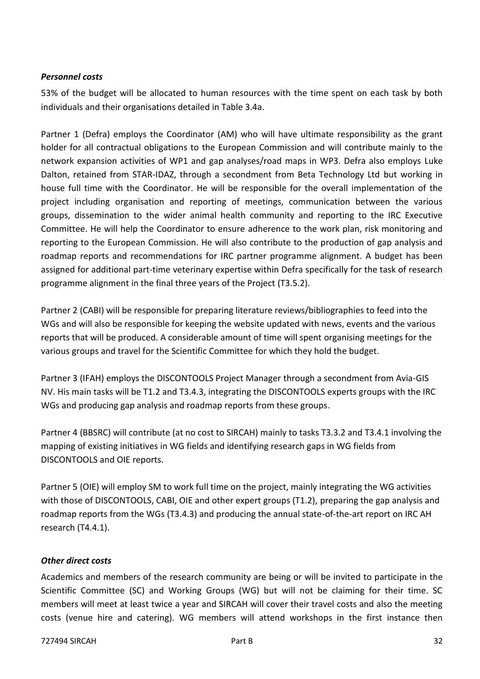#### *Personnel costs*

53% of the budget will be allocated to human resources with the time spent on each task by both individuals and their organisations detailed in Table 3.4a.

Partner 1 (Defra) employs the Coordinator (AM) who will have ultimate responsibility as the grant holder for all contractual obligations to the European Commission and will contribute mainly to the network expansion activities of WP1 and gap analyses/road maps in WP3. Defra also employs Luke Dalton, retained from STAR-IDAZ, through a secondment from Beta Technology Ltd but working in house full time with the Coordinator. He will be responsible for the overall implementation of the project including organisation and reporting of meetings, communication between the various groups, dissemination to the wider animal health community and reporting to the IRC Executive Committee. He will help the Coordinator to ensure adherence to the work plan, risk monitoring and reporting to the European Commission. He will also contribute to the production of gap analysis and roadmap reports and recommendations for IRC partner programme alignment. A budget has been assigned for additional part-time veterinary expertise within Defra specifically for the task of research programme alignment in the final three years of the Project (T3.5.2).

Partner 2 (CABI) will be responsible for preparing literature reviews/bibliographies to feed into the WGs and will also be responsible for keeping the website updated with news, events and the various reports that will be produced. A considerable amount of time will spent organising meetings for the various groups and travel for the Scientific Committee for which they hold the budget.

Partner 3 (IFAH) employs the DISCONTOOLS Project Manager through a secondment from Avia-GIS NV. His main tasks will be T1.2 and T3.4.3, integrating the DISCONTOOLS experts groups with the IRC WGs and producing gap analysis and roadmap reports from these groups.

Partner 4 (BBSRC) will contribute (at no cost to SIRCAH) mainly to tasks T3.3.2 and T3.4.1 involving the mapping of existing initiatives in WG fields and identifying research gaps in WG fields from DISCONTOOLS and OIE reports.

Partner 5 (OIE) will employ SM to work full time on the project, mainly integrating the WG activities with those of DISCONTOOLS, CABI, OIE and other expert groups (T1.2), preparing the gap analysis and roadmap reports from the WGs (T3.4.3) and producing the annual state-of-the-art report on IRC AH research (T4.4.1).

#### *Other direct costs*

Academics and members of the research community are being or will be invited to participate in the Scientific Committee (SC) and Working Groups (WG) but will not be claiming for their time. SC members will meet at least twice a year and SIRCAH will cover their travel costs and also the meeting costs (venue hire and catering). WG members will attend workshops in the first instance then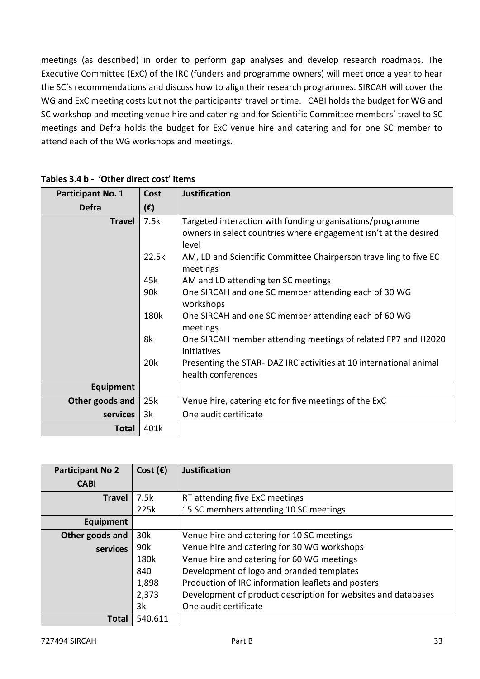meetings (as described) in order to perform gap analyses and develop research roadmaps. The Executive Committee (ExC) of the IRC (funders and programme owners) will meet once a year to hear the SC's recommendations and discuss how to align their research programmes. SIRCAH will cover the WG and ExC meeting costs but not the participants' travel or time. CABI holds the budget for WG and SC workshop and meeting venue hire and catering and for Scientific Committee members' travel to SC meetings and Defra holds the budget for ExC venue hire and catering and for one SC member to attend each of the WG workshops and meetings.

| Participant No. 1 | <b>Cost</b>  | <b>Justification</b>                                                         |
|-------------------|--------------|------------------------------------------------------------------------------|
| <b>Defra</b>      | $(\epsilon)$ |                                                                              |
| <b>Travel</b>     | 7.5k         | Targeted interaction with funding organisations/programme                    |
|                   |              | owners in select countries where engagement isn't at the desired<br>level    |
|                   | 22.5k        | AM, LD and Scientific Committee Chairperson travelling to five EC            |
|                   |              | meetings                                                                     |
|                   | 45k          | AM and LD attending ten SC meetings                                          |
|                   | 90k          | One SIRCAH and one SC member attending each of 30 WG<br>workshops            |
|                   | 180k         | One SIRCAH and one SC member attending each of 60 WG<br>meetings             |
|                   | 8k           | One SIRCAH member attending meetings of related FP7 and H2020<br>initiatives |
|                   | 20k          | Presenting the STAR-IDAZ IRC activities at 10 international animal           |
|                   |              | health conferences                                                           |
| Equipment         |              |                                                                              |
| Other goods and   | 25k          | Venue hire, catering etc for five meetings of the ExC                        |
| services          | 3k           | One audit certificate                                                        |
| <b>Total</b>      | 401k         |                                                                              |

**Tables 3.4 b - 'Other direct cost' items**

| <b>Participant No 2</b> | Cost $(\epsilon)$ | <b>Justification</b>                                          |
|-------------------------|-------------------|---------------------------------------------------------------|
| <b>CABI</b>             |                   |                                                               |
| <b>Travel</b>           | 7.5k              | RT attending five ExC meetings                                |
|                         | 225k              | 15 SC members attending 10 SC meetings                        |
| Equipment               |                   |                                                               |
| Other goods and         | 30k               | Venue hire and catering for 10 SC meetings                    |
| services                | 90k               | Venue hire and catering for 30 WG workshops                   |
|                         | 180k              | Venue hire and catering for 60 WG meetings                    |
|                         | 840               | Development of logo and branded templates                     |
|                         | 1,898             | Production of IRC information leaflets and posters            |
|                         | 2,373             | Development of product description for websites and databases |
|                         | 3k                | One audit certificate                                         |
| Total                   | 540,611           |                                                               |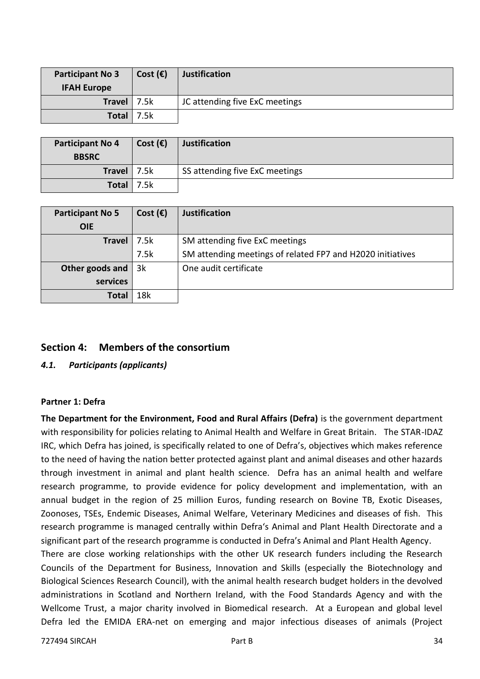| <b>Participant No 3</b> | Cost $(\epsilon)$ | <b>Justification</b>           |
|-------------------------|-------------------|--------------------------------|
| <b>IFAH Europe</b>      |                   |                                |
| <b>Travel</b>           | 7.5k              | JC attending five ExC meetings |
| <b>Total</b>            | 7.5k              |                                |

| <b>Participant No 4</b><br><b>BBSRC</b> | Cost $(\epsilon)$ | <b>Justification</b>           |
|-----------------------------------------|-------------------|--------------------------------|
| Travel $ 7.5k$                          |                   | SS attending five ExC meetings |
| Total $ 7.5k$                           |                   |                                |

| <b>Participant No 5</b> | Cost $(\epsilon)$ | <b>Justification</b>                                       |
|-------------------------|-------------------|------------------------------------------------------------|
| <b>OIE</b>              |                   |                                                            |
| Travel                  | 7.5k              | SM attending five ExC meetings                             |
|                         | 7.5k              | SM attending meetings of related FP7 and H2020 initiatives |
| Other goods and         | 3k                | One audit certificate                                      |
| services                |                   |                                                            |
| Total                   | 18k               |                                                            |

#### <span id="page-33-0"></span>**Section 4: Members of the consortium**

#### <span id="page-33-1"></span>*4.1. Participants (applicants)*

#### <span id="page-33-2"></span>**Partner 1: Defra**

**The Department for the Environment, Food and Rural Affairs (Defra)** is the government department with responsibility for policies relating to Animal Health and Welfare in Great Britain. The STAR-IDAZ IRC, which Defra has joined, is specifically related to one of Defra's, objectives which makes reference to the need of having the nation better protected against plant and animal diseases and other hazards through investment in animal and plant health science. Defra has an animal health and welfare research programme, to provide evidence for policy development and implementation, with an annual budget in the region of 25 million Euros, funding research on Bovine TB, Exotic Diseases, Zoonoses, TSEs, Endemic Diseases, Animal Welfare, Veterinary Medicines and diseases of fish. This research programme is managed centrally within Defra's Animal and Plant Health Directorate and a significant part of the research programme is conducted in Defra's Animal and Plant Health Agency.

There are close working relationships with the other UK research funders including the Research Councils of the Department for Business, Innovation and Skills (especially the Biotechnology and Biological Sciences Research Council), with the animal health research budget holders in the devolved administrations in Scotland and Northern Ireland, with the Food Standards Agency and with the Wellcome Trust, a major charity involved in Biomedical research. At a European and global level Defra led the EMIDA ERA-net on emerging and major infectious diseases of animals (Project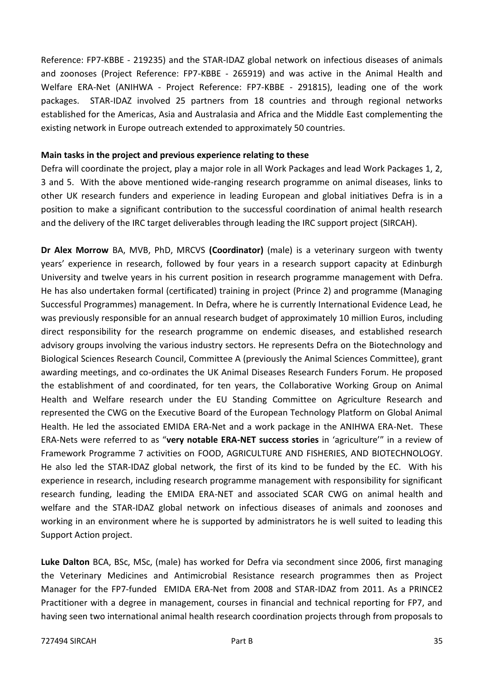Reference: FP7-KBBE - 219235) and the STAR-IDAZ global network on infectious diseases of animals and zoonoses (Project Reference: FP7-KBBE - 265919) and was active in the Animal Health and Welfare ERA-Net (ANIHWA - Project Reference: FP7-KBBE - 291815), leading one of the work packages. STAR-IDAZ involved 25 partners from 18 countries and through regional networks established for the Americas, Asia and Australasia and Africa and the Middle East complementing the existing network in Europe outreach extended to approximately 50 countries.

#### **Main tasks in the project and previous experience relating to these**

Defra will coordinate the project, play a major role in all Work Packages and lead Work Packages 1, 2, 3 and 5. With the above mentioned wide-ranging research programme on animal diseases, links to other UK research funders and experience in leading European and global initiatives Defra is in a position to make a significant contribution to the successful coordination of animal health research and the delivery of the IRC target deliverables through leading the IRC support project (SIRCAH).

**Dr Alex Morrow** BA, MVB, PhD, MRCVS **(Coordinator)** (male) is a veterinary surgeon with twenty years' experience in research, followed by four years in a research support capacity at Edinburgh University and twelve years in his current position in research programme management with Defra. He has also undertaken formal (certificated) training in project (Prince 2) and programme (Managing Successful Programmes) management. In Defra, where he is currently International Evidence Lead, he was previously responsible for an annual research budget of approximately 10 million Euros, including direct responsibility for the research programme on endemic diseases, and established research advisory groups involving the various industry sectors. He represents Defra on the Biotechnology and Biological Sciences Research Council, Committee A (previously the Animal Sciences Committee), grant awarding meetings, and co-ordinates the UK Animal Diseases Research Funders Forum. He proposed the establishment of and coordinated, for ten years, the Collaborative Working Group on Animal Health and Welfare research under the EU Standing Committee on Agriculture Research and represented the CWG on the Executive Board of the European Technology Platform on Global Animal Health. He led the associated EMIDA ERA-Net and a work package in the ANIHWA ERA-Net. These ERA-Nets were referred to as "**very notable ERA-NET success stories** in 'agriculture'" in a review of Framework Programme 7 activities on FOOD, AGRICULTURE AND FISHERIES, AND BIOTECHNOLOGY. He also led the STAR-IDAZ global network, the first of its kind to be funded by the EC. With his experience in research, including research programme management with responsibility for significant research funding, leading the EMIDA ERA-NET and associated SCAR CWG on animal health and welfare and the STAR-IDAZ global network on infectious diseases of animals and zoonoses and working in an environment where he is supported by administrators he is well suited to leading this Support Action project.

**Luke Dalton** BCA, BSc, MSc, (male) has worked for Defra via secondment since 2006, first managing the Veterinary Medicines and Antimicrobial Resistance research programmes then as Project Manager for the FP7-funded EMIDA ERA-Net from 2008 and STAR-IDAZ from 2011. As a PRINCE2 Practitioner with a degree in management, courses in financial and technical reporting for FP7, and having seen two international animal health research coordination projects through from proposals to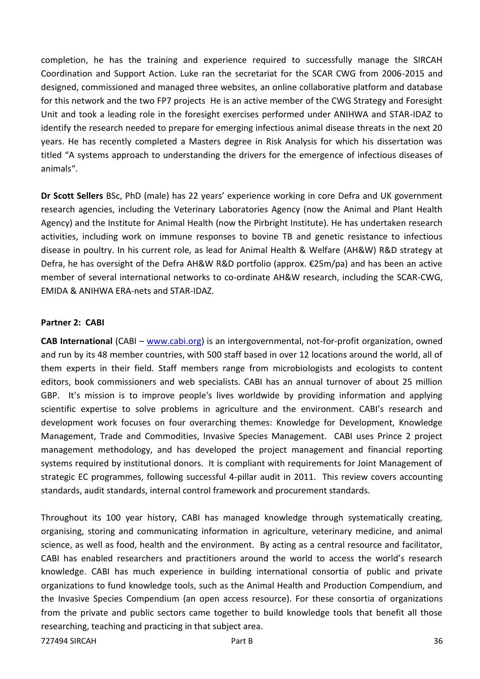completion, he has the training and experience required to successfully manage the SIRCAH Coordination and Support Action. Luke ran the secretariat for the SCAR CWG from 2006-2015 and designed, commissioned and managed three websites, an online collaborative platform and database for this network and the two FP7 projects He is an active member of the CWG Strategy and Foresight Unit and took a leading role in the foresight exercises performed under ANIHWA and STAR-IDAZ to identify the research needed to prepare for emerging infectious animal disease threats in the next 20 years. He has recently completed a Masters degree in Risk Analysis for which his dissertation was titled "A systems approach to understanding the drivers for the emergence of infectious diseases of animals".

**Dr Scott Sellers** BSc, PhD (male) has 22 years' experience working in core Defra and UK government research agencies, including the Veterinary Laboratories Agency (now the Animal and Plant Health Agency) and the Institute for Animal Health (now the Pirbright Institute). He has undertaken research activities, including work on immune responses to bovine TB and genetic resistance to infectious disease in poultry. In his current role, as lead for Animal Health & Welfare (AH&W) R&D strategy at Defra, he has oversight of the Defra AH&W R&D portfolio (approx. €25m/pa) and has been an active member of several international networks to co-ordinate AH&W research, including the SCAR-CWG, EMIDA & ANIHWA ERA-nets and STAR-IDAZ.

#### <span id="page-35-0"></span>**Partner 2: CABI**

**CAB International** (CABI – [www.cabi.org\)](http://www.cabi.org/) is an intergovernmental, not-for-profit organization, owned and run by its 48 member countries, with 500 staff based in over 12 locations around the world, all of them experts in their field. Staff members range from microbiologists and ecologists to content editors, book commissioners and web specialists. CABI has an annual turnover of about 25 million GBP. It's mission is to improve people's lives worldwide by providing information and applying scientific expertise to solve problems in agriculture and the environment. CABI's research and development work focuses on four overarching themes: Knowledge for Development, Knowledge Management, Trade and Commodities, Invasive Species Management. CABI uses Prince 2 project management methodology, and has developed the project management and financial reporting systems required by institutional donors. It is compliant with requirements for Joint Management of strategic EC programmes, following successful 4-pillar audit in 2011. This review covers accounting standards, audit standards, internal control framework and procurement standards.

Throughout its 100 year history, CABI has managed knowledge through systematically creating, organising, storing and communicating information in agriculture, veterinary medicine, and animal science, as well as food, health and the environment. By acting as a central resource and facilitator, CABI has enabled researchers and practitioners around the world to access the world's research knowledge. CABI has much experience in building international consortia of public and private organizations to fund knowledge tools, such as the Animal Health and Production Compendium, and the Invasive Species Compendium (an open access resource). For these consortia of organizations from the private and public sectors came together to build knowledge tools that benefit all those researching, teaching and practicing in that subject area.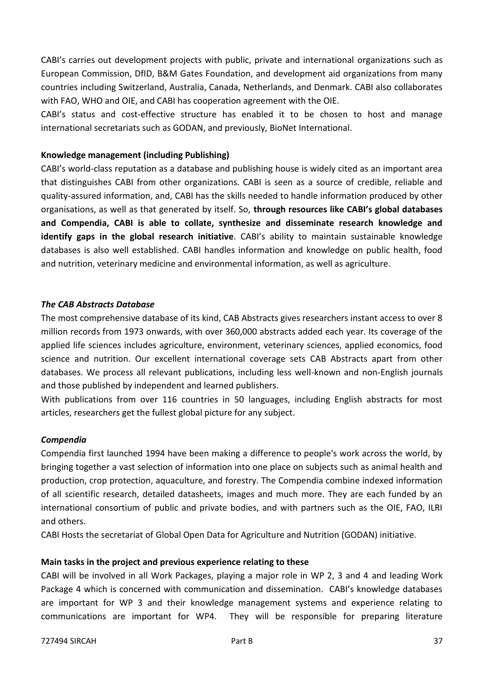CABI's carries out development projects with public, private and international organizations such as European Commission, DfID, B&M Gates Foundation, and development aid organizations from many countries including Switzerland, Australia, Canada, Netherlands, and Denmark. CABI also collaborates with FAO, WHO and OIE, and CABI has cooperation agreement with the OIE.

CABI's status and cost-effective structure has enabled it to be chosen to host and manage international secretariats such as GODAN, and previously, BioNet International.

#### **Knowledge management (including Publishing)**

CABI's world-class reputation as a database and publishing house is widely cited as an important area that distinguishes CABI from other organizations. CABI is seen as a source of credible, reliable and quality-assured information, and, CABI has the skills needed to handle information produced by other organisations, as well as that generated by itself. So, **through resources like CABI's global databases and Compendia, CABI is able to collate, synthesize and disseminate research knowledge and identify gaps in the global research initiative**. CABI's ability to maintain sustainable knowledge databases is also well established. CABI handles information and knowledge on public health, food and nutrition, veterinary medicine and environmental information, as well as agriculture.

#### *The CAB Abstracts Database*

The most comprehensive database of its kind, CAB Abstracts gives researchers instant access to over 8 million records from 1973 onwards, with over 360,000 abstracts added each year. Its coverage of the applied life sciences includes agriculture, environment, veterinary sciences, applied economics, food science and nutrition. Our excellent international coverage sets CAB Abstracts apart from other databases. We process all relevant publications, including less well-known and non-English journals and those published by independent and learned publishers.

With publications from over 116 countries in 50 languages, including English abstracts for most articles, researchers get the fullest global picture for any subject.

#### *Compendia*

Compendia first launched 1994 have been making a difference to people's work across the world, by bringing together a vast selection of information into one place on subjects such as animal health and production, crop protection, aquaculture, and forestry. The Compendia combine indexed information of all scientific research, detailed datasheets, images and much more. They are each funded by an international consortium of public and private bodies, and with partners such as the OIE, FAO, ILRI and others.

CABI Hosts the secretariat of Global Open Data for Agriculture and Nutrition (GODAN) initiative.

#### **Main tasks in the project and previous experience relating to these**

CABI will be involved in all Work Packages, playing a major role in WP 2, 3 and 4 and leading Work Package 4 which is concerned with communication and dissemination. CABI's knowledge databases are important for WP 3 and their knowledge management systems and experience relating to communications are important for WP4. They will be responsible for preparing literature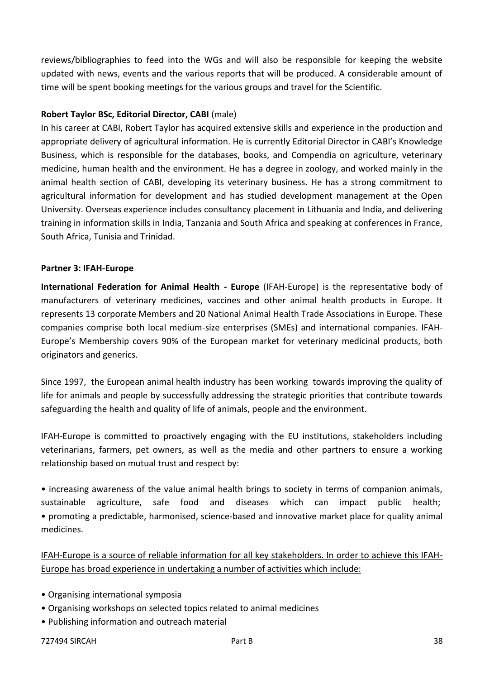reviews/bibliographies to feed into the WGs and will also be responsible for keeping the website updated with news, events and the various reports that will be produced. A considerable amount of time will be spent booking meetings for the various groups and travel for the Scientific.

#### **Robert Taylor BSc, Editorial Director, CABI** (male)

In his career at CABI, Robert Taylor has acquired extensive skills and experience in the production and appropriate delivery of agricultural information. He is currently Editorial Director in CABI's Knowledge Business, which is responsible for the databases, books, and Compendia on agriculture, veterinary medicine, human health and the environment. He has a degree in zoology, and worked mainly in the animal health section of CABI, developing its veterinary business. He has a strong commitment to agricultural information for development and has studied development management at the Open University. Overseas experience includes consultancy placement in Lithuania and India, and delivering training in information skills in India, Tanzania and South Africa and speaking at conferences in France, South Africa, Tunisia and Trinidad.

#### <span id="page-37-0"></span>**Partner 3: IFAH-Europe**

**International Federation for Animal Health - Europe** (IFAH-Europe) is the representative body of manufacturers of veterinary medicines, vaccines and other animal health products in Europe. It represents 13 corporate Members and 20 National Animal Health Trade Associations in Europe. These companies comprise both local medium-size enterprises (SMEs) and international companies. IFAH-Europe's Membership covers 90% of the European market for veterinary medicinal products, both originators and generics.

Since 1997, the European animal health industry has been working towards improving the quality of life for animals and people by successfully addressing the strategic priorities that contribute towards safeguarding the health and quality of life of animals, people and the environment.

IFAH-Europe is committed to proactively engaging with the EU institutions, stakeholders including veterinarians, farmers, pet owners, as well as the media and other partners to ensure a working relationship based on mutual trust and respect by:

• increasing awareness of the value animal health brings to society in terms of companion animals, sustainable agriculture, safe food and diseases which can impact public health; • promoting a predictable, harmonised, science-based and innovative market place for quality animal medicines.

IFAH-Europe is a source of reliable information for all key stakeholders. In order to achieve this IFAH-Europe has broad experience in undertaking a number of activities which include:

- Organising international symposia
- Organising workshops on selected topics related to animal medicines
- Publishing information and outreach material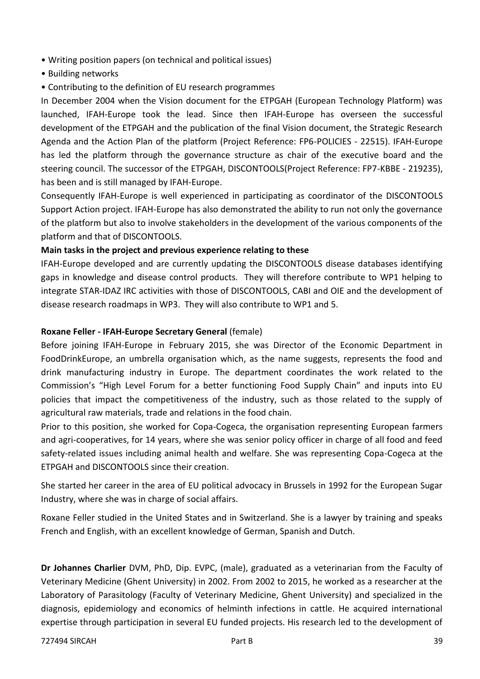- Writing position papers (on technical and political issues)
- Building networks
- Contributing to the definition of EU research programmes

In December 2004 when the Vision document for the ETPGAH (European Technology Platform) was launched, IFAH-Europe took the lead. Since then IFAH-Europe has overseen the successful development of the ETPGAH and the publication of the final Vision document, the Strategic Research Agenda and the Action Plan of the platform (Project Reference: FP6-POLICIES - 22515). IFAH-Europe has led the platform through the governance structure as chair of the executive board and the steering council. The successor of the ETPGAH, DISCONTOOLS(Project Reference: FP7-KBBE - 219235), has been and is still managed by IFAH-Europe.

Consequently IFAH-Europe is well experienced in participating as coordinator of the DISCONTOOLS Support Action project. IFAH-Europe has also demonstrated the ability to run not only the governance of the platform but also to involve stakeholders in the development of the various components of the platform and that of DISCONTOOLS.

## **Main tasks in the project and previous experience relating to these**

IFAH-Europe developed and are currently updating the DISCONTOOLS disease databases identifying gaps in knowledge and disease control products. They will therefore contribute to WP1 helping to integrate STAR-IDAZ IRC activities with those of DISCONTOOLS, CABI and OIE and the development of disease research roadmaps in WP3. They will also contribute to WP1 and 5.

## **Roxane Feller - IFAH-Europe Secretary General** (female)

Before joining IFAH-Europe in February 2015, she was Director of the Economic Department in FoodDrinkEurope, an umbrella organisation which, as the name suggests, represents the food and drink manufacturing industry in Europe. The department coordinates the work related to the Commission's "High Level Forum for a better functioning Food Supply Chain" and inputs into EU policies that impact the competitiveness of the industry, such as those related to the supply of agricultural raw materials, trade and relations in the food chain.

Prior to this position, she worked for Copa-Cogeca, the organisation representing European farmers and agri-cooperatives, for 14 years, where she was senior policy officer in charge of all food and feed safety-related issues including animal health and welfare. She was representing Copa-Cogeca at the ETPGAH and DISCONTOOLS since their creation.

She started her career in the area of EU political advocacy in Brussels in 1992 for the European Sugar Industry, where she was in charge of social affairs.

Roxane Feller studied in the United States and in Switzerland. She is a lawyer by training and speaks French and English, with an excellent knowledge of German, Spanish and Dutch.

**Dr Johannes Charlier** DVM, PhD, Dip. EVPC, (male), graduated as a veterinarian from the Faculty of Veterinary Medicine (Ghent University) in 2002. From 2002 to 2015, he worked as a researcher at the Laboratory of Parasitology (Faculty of Veterinary Medicine, Ghent University) and specialized in the diagnosis, epidemiology and economics of helminth infections in cattle. He acquired international expertise through participation in several EU funded projects. His research led to the development of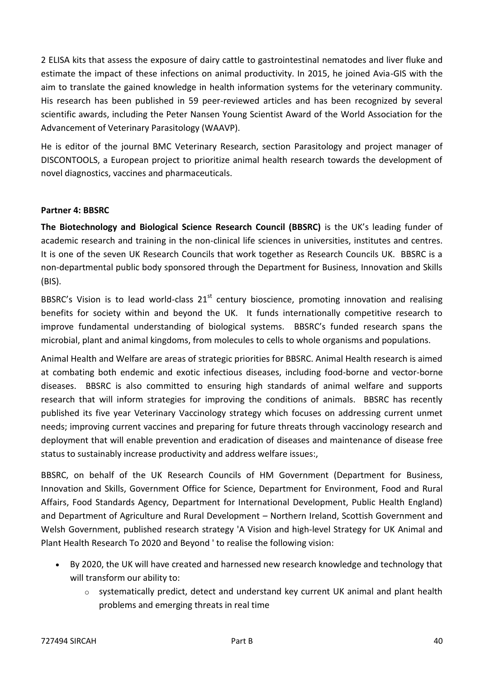2 ELISA kits that assess the exposure of dairy cattle to gastrointestinal nematodes and liver fluke and estimate the impact of these infections on animal productivity. In 2015, he joined Avia-GIS with the aim to translate the gained knowledge in health information systems for the veterinary community. His research has been published in 59 peer-reviewed articles and has been recognized by several scientific awards, including the Peter Nansen Young Scientist Award of the World Association for the Advancement of Veterinary Parasitology (WAAVP).

He is editor of the journal BMC Veterinary Research, section Parasitology and project manager of DISCONTOOLS, a European project to prioritize animal health research towards the development of novel diagnostics, vaccines and pharmaceuticals.

#### <span id="page-39-0"></span>**Partner 4: BBSRC**

**The Biotechnology and Biological Science Research Council (BBSRC)** is the UK's leading funder of academic research and training in the non-clinical life sciences in universities, institutes and centres. It is one of the seven UK Research Councils that work together as Research Councils UK. BBSRC is a non-departmental public body sponsored through the Department for Business, Innovation and Skills (BIS).

BBSRC's Vision is to lead world-class  $21^{st}$  century bioscience, promoting innovation and realising benefits for society within and beyond the UK. It funds internationally competitive research to improve fundamental understanding of biological systems. BBSRC's funded research spans the microbial, plant and animal kingdoms, from molecules to cells to whole organisms and populations.

Animal Health and Welfare are areas of strategic priorities for BBSRC. Animal Health research is aimed at combating both endemic and exotic infectious diseases, including food-borne and vector-borne diseases. BBSRC is also committed to ensuring high standards of animal welfare and supports research that will inform strategies for improving the conditions of animals. BBSRC has recently published its five year Veterinary Vaccinology strategy which focuses on addressing current unmet needs; improving current vaccines and preparing for future threats through vaccinology research and deployment that will enable prevention and eradication of diseases and maintenance of disease free status to sustainably increase productivity and address welfare issues:,

BBSRC, on behalf of the UK Research Councils of HM Government (Department for Business, Innovation and Skills, Government Office for Science, Department for Environment, Food and Rural Affairs, Food Standards Agency, Department for International Development, Public Health England) and Department of Agriculture and Rural Development – Northern Ireland, Scottish Government and Welsh Government, published research strategy 'A Vision and high-level Strategy for UK Animal and Plant Health Research To 2020 and Beyond ' to realise the following vision:

- By 2020, the UK will have created and harnessed new research knowledge and technology that will transform our ability to:
	- $\circ$  systematically predict, detect and understand key current UK animal and plant health problems and emerging threats in real time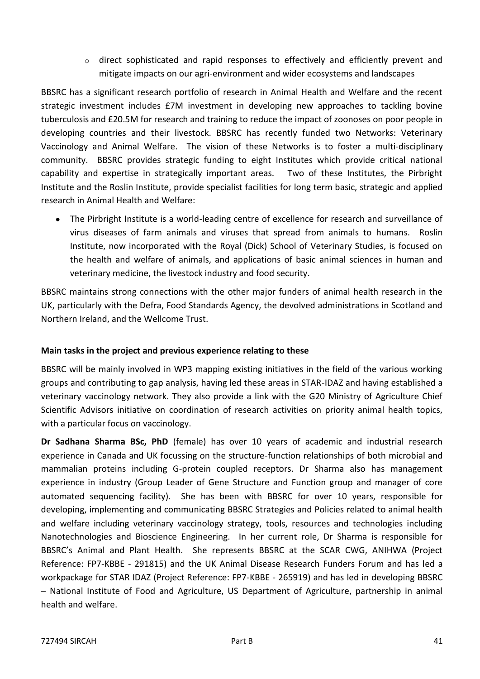o direct sophisticated and rapid responses to effectively and efficiently prevent and mitigate impacts on our agri-environment and wider ecosystems and landscapes

BBSRC has a significant research portfolio of research in Animal Health and Welfare and the recent strategic investment includes £7M investment in developing new approaches to tackling bovine tuberculosis and £20.5M for research and training to reduce the impact of zoonoses on poor people in developing countries and their livestock. BBSRC has recently funded two Networks: Veterinary Vaccinology and Animal Welfare. The vision of these Networks is to foster a multi-disciplinary community. BBSRC provides strategic funding to eight Institutes which provide critical national capability and expertise in strategically important areas. Two of these Institutes, the Pirbright Institute and the Roslin Institute, provide specialist facilities for long term basic, strategic and applied research in Animal Health and Welfare:

 The Pirbright Institute is a world-leading centre of excellence for research and surveillance of virus diseases of farm animals and viruses that spread from animals to humans. Roslin Institute, now incorporated with the Royal (Dick) School of Veterinary Studies, is focused on the health and welfare of animals, and applications of basic animal sciences in human and veterinary medicine, the livestock industry and food security.

BBSRC maintains strong connections with the other major funders of animal health research in the UK, particularly with the Defra, Food Standards Agency, the devolved administrations in Scotland and Northern Ireland, and the Wellcome Trust.

#### **Main tasks in the project and previous experience relating to these**

BBSRC will be mainly involved in WP3 mapping existing initiatives in the field of the various working groups and contributing to gap analysis, having led these areas in STAR-IDAZ and having established a veterinary vaccinology network. They also provide a link with the G20 Ministry of Agriculture Chief Scientific Advisors initiative on coordination of research activities on priority animal health topics, with a particular focus on vaccinology.

**Dr Sadhana Sharma BSc, PhD** (female) has over 10 years of academic and industrial research experience in Canada and UK focussing on the structure-function relationships of both microbial and mammalian proteins including G-protein coupled receptors. Dr Sharma also has management experience in industry (Group Leader of Gene Structure and Function group and manager of core automated sequencing facility). She has been with BBSRC for over 10 years, responsible for developing, implementing and communicating BBSRC Strategies and Policies related to animal health and welfare including veterinary vaccinology strategy, tools, resources and technologies including Nanotechnologies and Bioscience Engineering. In her current role, Dr Sharma is responsible for BBSRC's Animal and Plant Health. She represents BBSRC at the SCAR CWG, ANIHWA (Project Reference: FP7-KBBE - 291815) and the UK Animal Disease Research Funders Forum and has led a workpackage for STAR IDAZ (Project Reference: FP7-KBBE - 265919) and has led in developing BBSRC – National Institute of Food and Agriculture, US Department of Agriculture, partnership in animal health and welfare.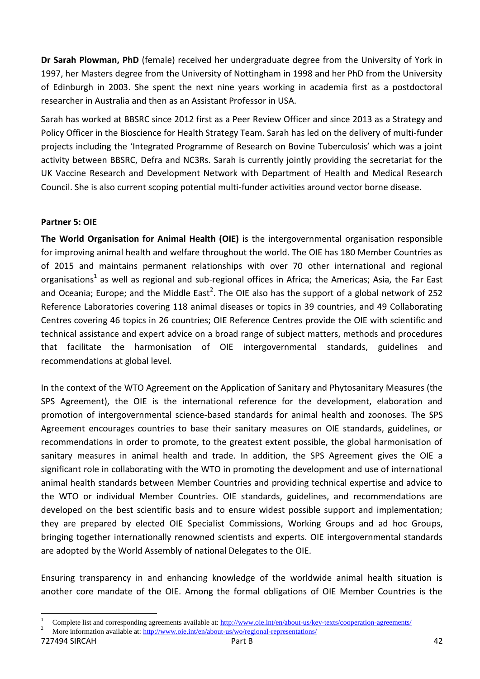**Dr Sarah Plowman, PhD** (female) received her undergraduate degree from the University of York in 1997, her Masters degree from the University of Nottingham in 1998 and her PhD from the University of Edinburgh in 2003. She spent the next nine years working in academia first as a postdoctoral researcher in Australia and then as an Assistant Professor in USA.

Sarah has worked at BBSRC since 2012 first as a Peer Review Officer and since 2013 as a Strategy and Policy Officer in the Bioscience for Health Strategy Team. Sarah has led on the delivery of multi-funder projects including the 'Integrated Programme of Research on Bovine Tuberculosis' which was a joint activity between BBSRC, Defra and NC3Rs. Sarah is currently jointly providing the secretariat for the UK Vaccine Research and Development Network with Department of Health and Medical Research Council. She is also current scoping potential multi-funder activities around vector borne disease.

#### <span id="page-41-0"></span>**Partner 5: OIE**

**The World Organisation for Animal Health (OIE)** is the intergovernmental organisation responsible for improving animal health and welfare throughout the world. The OIE has 180 Member Countries as of 2015 and maintains permanent relationships with over 70 other international and regional organisations<sup>1</sup> as well as regional and sub-regional offices in Africa; the Americas; Asia, the Far East and Oceania; Europe; and the Middle East<sup>2</sup>. The OIE also has the support of a global network of 252 Reference Laboratories covering 118 animal diseases or topics in 39 countries, and 49 Collaborating Centres covering 46 topics in 26 countries; OIE Reference Centres provide the OIE with scientific and technical assistance and expert advice on a broad range of subject matters, methods and procedures that facilitate the harmonisation of OIE intergovernmental standards, guidelines and recommendations at global level.

In the context of the WTO Agreement on the Application of Sanitary and Phytosanitary Measures (the SPS Agreement), the OIE is the international reference for the development, elaboration and promotion of intergovernmental science-based standards for animal health and zoonoses. The SPS Agreement encourages countries to base their sanitary measures on OIE standards, guidelines, or recommendations in order to promote, to the greatest extent possible, the global harmonisation of sanitary measures in animal health and trade. In addition, the SPS Agreement gives the OIE a significant role in collaborating with the WTO in promoting the development and use of international animal health standards between Member Countries and providing technical expertise and advice to the WTO or individual Member Countries. OIE standards, guidelines, and recommendations are developed on the best scientific basis and to ensure widest possible support and implementation; they are prepared by elected OIE Specialist Commissions, Working Groups and ad hoc Groups, bringing together internationally renowned scientists and experts. OIE intergovernmental standards are adopted by the World Assembly of national Delegates to the OIE.

Ensuring transparency in and enhancing knowledge of the worldwide animal health situation is another core mandate of the OIE. Among the formal obligations of OIE Member Countries is the

1

<sup>1</sup> Complete list and corresponding agreements available at:<http://www.oie.int/en/about-us/key-texts/cooperation-agreements/>

More information available at[: http://www.oie.int/en/about-us/wo/regional-representations/](http://www.oie.int/en/about-us/wo/regional-representations/)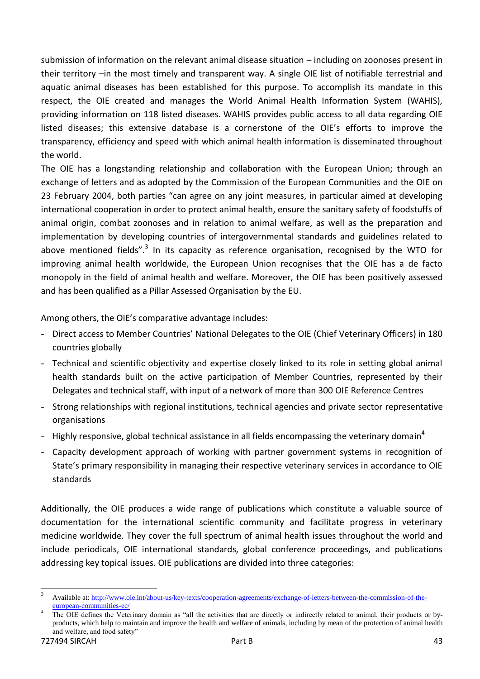submission of information on the relevant animal disease situation – including on zoonoses present in their territory –in the most timely and transparent way. A single OIE list of notifiable terrestrial and aquatic animal diseases has been established for this purpose. To accomplish its mandate in this respect, the OIE created and manages the World Animal Health Information System (WAHIS), providing information on 118 listed diseases. WAHIS provides public access to all data regarding OIE listed diseases; this extensive database is a cornerstone of the OIE's efforts to improve the transparency, efficiency and speed with which animal health information is disseminated throughout the world.

The OIE has a longstanding relationship and collaboration with the European Union; through an exchange of letters and as adopted by the Commission of the European Communities and the OIE on 23 February 2004, both parties "can agree on any joint measures, in particular aimed at developing international cooperation in order to protect animal health, ensure the sanitary safety of foodstuffs of animal origin, combat zoonoses and in relation to animal welfare, as well as the preparation and implementation by developing countries of intergovernmental standards and guidelines related to above mentioned fields".<sup>3</sup> In its capacity as reference organisation, recognised by the WTO for improving animal health worldwide, the European Union recognises that the OIE has a de facto monopoly in the field of animal health and welfare. Moreover, the OIE has been positively assessed and has been qualified as a Pillar Assessed Organisation by the EU.

Among others, the OIE's comparative advantage includes:

- Direct access to Member Countries' National Delegates to the OIE (Chief Veterinary Officers) in 180 countries globally
- Technical and scientific objectivity and expertise closely linked to its role in setting global animal health standards built on the active participation of Member Countries, represented by their Delegates and technical staff, with input of a network of more than 300 OIE Reference Centres
- Strong relationships with regional institutions, technical agencies and private sector representative organisations
- Highly responsive, global technical assistance in all fields encompassing the veterinary domain<sup>4</sup>
- Capacity development approach of working with partner government systems in recognition of State's primary responsibility in managing their respective veterinary services in accordance to OIE standards

Additionally, the OIE produces a wide range of publications which constitute a valuable source of documentation for the international scientific community and facilitate progress in veterinary medicine worldwide. They cover the full spectrum of animal health issues throughout the world and include periodicals, OIE international standards, global conference proceedings, and publications addressing key topical issues. OIE publications are divided into three categories:

**.** 

<sup>3</sup> Available at[: http://www.oie.int/about-us/key-texts/cooperation-agreements/exchange-of-letters-between-the-commission-of-the](http://www.oie.int/about-us/key-texts/cooperation-agreements/exchange-of-letters-between-the-commission-of-the-european-communities-ec/)[european-communities-ec/](http://www.oie.int/about-us/key-texts/cooperation-agreements/exchange-of-letters-between-the-commission-of-the-european-communities-ec/)

<sup>4</sup> The OIE defines the Veterinary domain as "all the activities that are directly or indirectly related to animal, their products or byproducts, which help to maintain and improve the health and welfare of animals, including by mean of the protection of animal health and welfare, and food safety"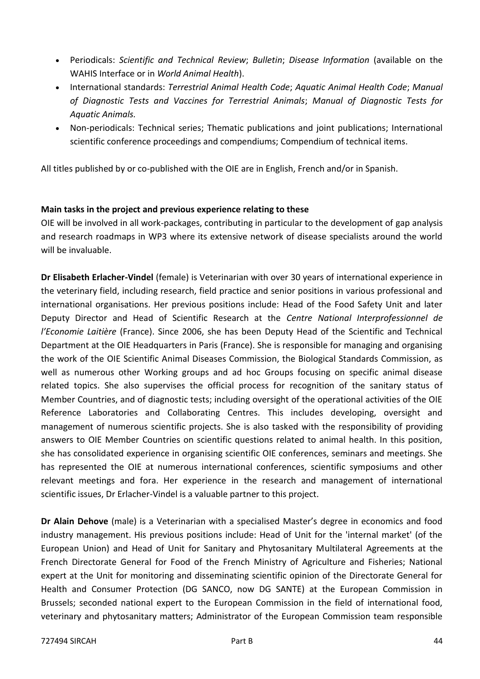- Periodicals: *Scientific and Technical Review*; *Bulletin*; *Disease Information* (available on the WAHIS Interface or in *World Animal Health*).
- International standards: *Terrestrial Animal Health Code*; *Aquatic Animal Health Code*; *Manual of Diagnostic Tests and Vaccines for Terrestrial Animals*; *Manual of Diagnostic Tests for Aquatic Animals.*
- Non-periodicals: Technical series; Thematic publications and joint publications; International scientific conference proceedings and compendiums; Compendium of technical items.

All titles published by or co-published with the OIE are in English, French and/or in Spanish.

## **Main tasks in the project and previous experience relating to these**

OIE will be involved in all work-packages, contributing in particular to the development of gap analysis and research roadmaps in WP3 where its extensive network of disease specialists around the world will be invaluable.

**Dr Elisabeth Erlacher-Vindel** (female) is Veterinarian with over 30 years of international experience in the veterinary field, including research, field practice and senior positions in various professional and international organisations. Her previous positions include: Head of the Food Safety Unit and later Deputy Director and Head of Scientific Research at the *Centre National Interprofessionnel de l'Economie Laitière* (France). Since 2006, she has been Deputy Head of the Scientific and Technical Department at the OIE Headquarters in Paris (France). She is responsible for managing and organising the work of the OIE Scientific Animal Diseases Commission, the Biological Standards Commission, as well as numerous other Working groups and ad hoc Groups focusing on specific animal disease related topics. She also supervises the official process for recognition of the sanitary status of Member Countries, and of diagnostic tests; including oversight of the operational activities of the OIE Reference Laboratories and Collaborating Centres. This includes developing, oversight and management of numerous scientific projects. She is also tasked with the responsibility of providing answers to OIE Member Countries on scientific questions related to animal health. In this position, she has consolidated experience in organising scientific OIE conferences, seminars and meetings. She has represented the OIE at numerous international conferences, scientific symposiums and other relevant meetings and fora. Her experience in the research and management of international scientific issues, Dr Erlacher-Vindel is a valuable partner to this project.

**Dr Alain Dehove** (male) is a Veterinarian with a specialised Master's degree in economics and food industry management. His previous positions include: Head of Unit for the 'internal market' (of the European Union) and Head of Unit for Sanitary and Phytosanitary Multilateral Agreements at the French Directorate General for Food of the French Ministry of Agriculture and Fisheries; National expert at the Unit for monitoring and disseminating scientific opinion of the Directorate General for Health and Consumer Protection (DG SANCO, now DG SANTE) at the European Commission in Brussels; seconded national expert to the European Commission in the field of international food, veterinary and phytosanitary matters; Administrator of the European Commission team responsible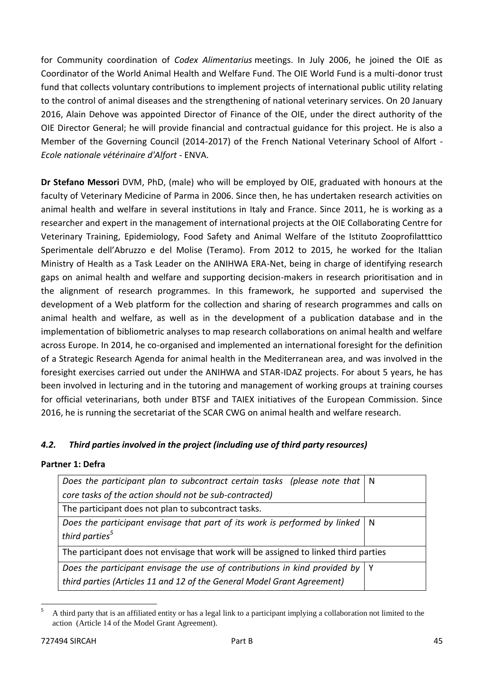for Community coordination of *Codex Alimentarius* meetings. In July 2006, he joined the OIE as Coordinator of the World Animal Health and Welfare Fund. The OIE World Fund is a multi-donor trust fund that collects voluntary contributions to implement projects of international public utility relating to the control of animal diseases and the strengthening of national veterinary services. On 20 January 2016, Alain Dehove was appointed Director of Finance of the OIE, under the direct authority of the OIE Director General; he will provide financial and contractual guidance for this project. He is also a Member of the Governing Council (2014-2017) of the French National Veterinary School of Alfort - *Ecole nationale vétérinaire d'Alfort* - ENVA.

**Dr Stefano Messori** DVM, PhD, (male) who will be employed by OIE, graduated with honours at the faculty of Veterinary Medicine of Parma in 2006. Since then, he has undertaken research activities on animal health and welfare in several institutions in Italy and France. Since 2011, he is working as a researcher and expert in the management of international projects at the OIE Collaborating Centre for Veterinary Training, Epidemiology, Food Safety and Animal Welfare of the Istituto Zooprofilatttico Sperimentale dell'Abruzzo e del Molise (Teramo). From 2012 to 2015, he worked for the Italian Ministry of Health as a Task Leader on the ANIHWA ERA-Net, being in charge of identifying research gaps on animal health and welfare and supporting decision-makers in research prioritisation and in the alignment of research programmes. In this framework, he supported and supervised the development of a Web platform for the collection and sharing of research programmes and calls on animal health and welfare, as well as in the development of a publication database and in the implementation of bibliometric analyses to map research collaborations on animal health and welfare across Europe. In 2014, he co-organised and implemented an international foresight for the definition of a Strategic Research Agenda for animal health in the Mediterranean area, and was involved in the foresight exercises carried out under the ANIHWA and STAR-IDAZ projects. For about 5 years, he has been involved in lecturing and in the tutoring and management of working groups at training courses for official veterinarians, both under BTSF and TAIEX initiatives of the European Commission. Since 2016, he is running the secretariat of the SCAR CWG on animal health and welfare research.

## <span id="page-44-0"></span>*4.2. Third parties involved in the project (including use of third party resources)*

#### **Partner 1: Defra**

| Does the participant plan to subcontract certain tasks (please note that $\vert$ N       |     |  |  |
|------------------------------------------------------------------------------------------|-----|--|--|
| core tasks of the action should not be sub-contracted)                                   |     |  |  |
| The participant does not plan to subcontract tasks.                                      |     |  |  |
| Does the participant envisage that part of its work is performed by linked $\mid N \mid$ |     |  |  |
| third parties <sup>5</sup>                                                               |     |  |  |
| The participant does not envisage that work will be assigned to linked third parties     |     |  |  |
| Does the participant envisage the use of contributions in kind provided by               | - Y |  |  |
| third parties (Articles 11 and 12 of the General Model Grant Agreement)                  |     |  |  |

 $\overline{a}$ <sup>5</sup> A third party that is an affiliated entity or has a legal link to a participant implying a collaboration not limited to the action (Article 14 of the Model Grant Agreement).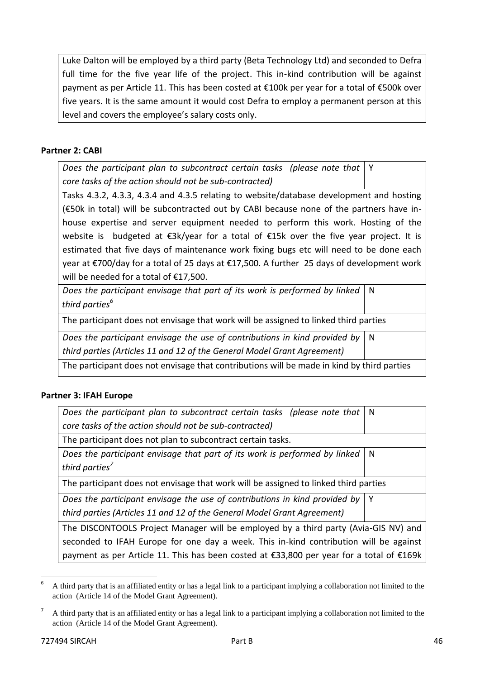Luke Dalton will be employed by a third party (Beta Technology Ltd) and seconded to Defra full time for the five year life of the project. This in-kind contribution will be against payment as per Article 11. This has been costed at €100k per year for a total of €500k over five years. It is the same amount it would cost Defra to employ a permanent person at this level and covers the employee's salary costs only.

#### **Partner 2: CABI**

*Does the participant plan to subcontract certain tasks (please note that core tasks of the action should not be sub-contracted)* Y

Tasks 4.3.2, 4.3.3, 4.3.4 and 4.3.5 relating to website/database development and hosting (€50k in total) will be subcontracted out by CABI because none of the partners have inhouse expertise and server equipment needed to perform this work. Hosting of the website is budgeted at €3k/year for a total of €15k over the five year project. It is estimated that five days of maintenance work fixing bugs etc will need to be done each year at €700/day for a total of 25 days at €17,500. A further 25 days of development work will be needed for a total of €17,500.

*Does the participant envisage that part of its work is performed by linked third parties<sup>6</sup>* N

The participant does not envisage that work will be assigned to linked third parties

*Does the participant envisage the use of contributions in kind provided by third parties (Articles 11 and 12 of the General Model Grant Agreement)*

The participant does not envisage that contributions will be made in kind by third parties

#### **Partner 3: IFAH Europe**

| Does the participant plan to subcontract certain tasks (please note that   N         |     |  |
|--------------------------------------------------------------------------------------|-----|--|
| core tasks of the action should not be sub-contracted)                               |     |  |
| The participant does not plan to subcontract certain tasks.                          |     |  |
| Does the participant envisage that part of its work is performed by linked           | I N |  |
| third parties <sup>7</sup>                                                           |     |  |
| The participant does not envisage that work will be assigned to linked third parties |     |  |
| Does the participant envisage the use of contributions in kind provided by   Y       |     |  |
| third parties (Articles 11 and 12 of the General Model Grant Agreement)              |     |  |
| The DISCONTOOLS Project Manager will be employed by a third party (Avia-GIS NV) and  |     |  |

seconded to IFAH Europe for one day a week. This in-kind contribution will be against payment as per Article 11. This has been costed at €33,800 per year for a total of €169k

**.** 

N

<sup>6</sup> A third party that is an affiliated entity or has a legal link to a participant implying a collaboration not limited to the action (Article 14 of the Model Grant Agreement).

<sup>7</sup> A third party that is an affiliated entity or has a legal link to a participant implying a collaboration not limited to the action (Article 14 of the Model Grant Agreement).